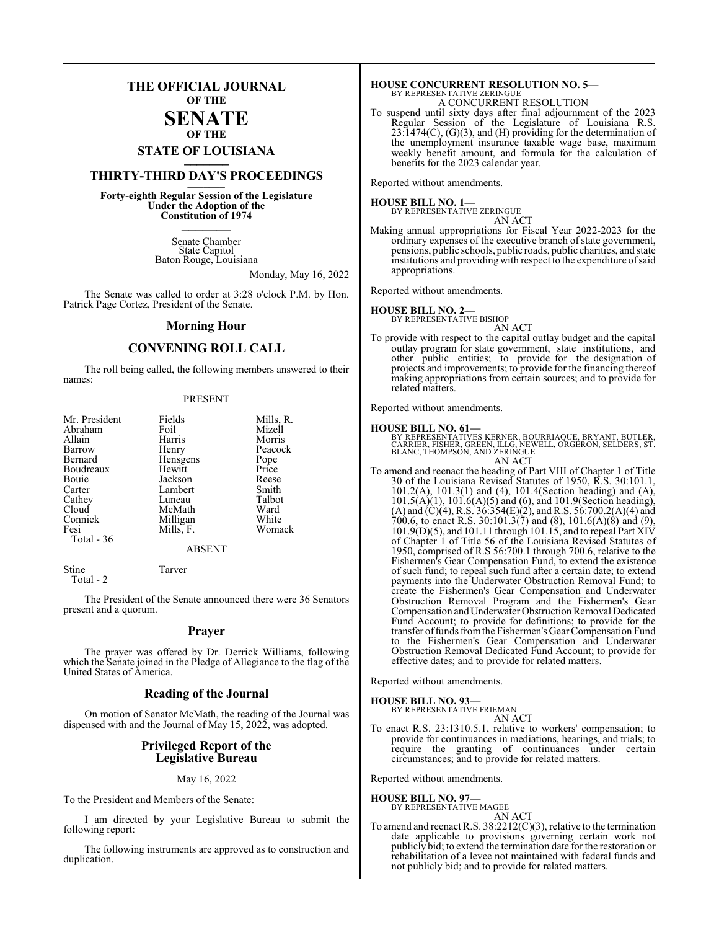## **THE OFFICIAL JOURNAL OF THE**

#### **SENATE OF THE**

# **STATE OF LOUISIANA \_\_\_\_\_\_\_**

## **THIRTY-THIRD DAY'S PROCEEDINGS \_\_\_\_\_\_\_**

**Forty-eighth Regular Session of the Legislature Under the Adoption of the Constitution of 1974 \_\_\_\_\_\_\_**

> Senate Chamber State Capitol Baton Rouge, Louisiana

> > Monday, May 16, 2022

The Senate was called to order at 3:28 o'clock P.M. by Hon. Patrick Page Cortez, President of the Senate.

#### **Morning Hour**

#### **CONVENING ROLL CALL**

The roll being called, the following members answered to their names:

#### PRESENT

| Mr. President | Fields    | Mills, R. |
|---------------|-----------|-----------|
| Abraham       | Foil      | Mizell    |
| Allain        | Harris    | Morris    |
| Barrow        | Henry     | Peacock   |
| Bernard       | Hensgens  | Pope      |
| Boudreaux     | Hewitt    | Price     |
| Bouie         | Jackson   | Reese     |
| Carter        | Lambert   | Smith     |
| Cathey        | Luneau    | Talbot    |
| Cloud         | McMath    | Ward      |
| Connick       | Milligan  | White     |
| Fesi          | Mills, F. | Womack    |
| Total - 36    |           |           |
|               | A D CENT  |           |

#### ABSENT

Stine Tarver Total - 2

The President of the Senate announced there were 36 Senators present and a quorum.

#### **Prayer**

The prayer was offered by Dr. Derrick Williams, following which the Senate joined in the Pledge of Allegiance to the flag of the United States of America.

#### **Reading of the Journal**

On motion of Senator McMath, the reading of the Journal was dispensed with and the Journal of May 15, 2022, was adopted.

#### **Privileged Report of the Legislative Bureau**

#### May 16, 2022

To the President and Members of the Senate:

I am directed by your Legislative Bureau to submit the following report:

The following instruments are approved as to construction and duplication.

#### **HOUSE CONCURRENT RESOLUTION NO. 5—** BY REPRESENTATIVE ZERINGUE A CONCURRENT RESOLUTION

To suspend until sixty days after final adjournment of the 2023 Regular Session of the Legislature of Louisiana R.S.  $23:1474(C)$ ,  $(G)(3)$ , and  $(H)$  providing for the determination of the unemployment insurance taxable wage base, maximum weekly benefit amount, and formula for the calculation of benefits for the 2023 calendar year.

Reported without amendments.

#### **HOUSE BILL NO. 1—**

BY REPRESENTATIVE ZERINGUE AN ACT

Making annual appropriations for Fiscal Year 2022-2023 for the ordinary expenses of the executive branch of state government, pensions, public schools, public roads, public charities, and state institutions and providing with respect to the expenditure ofsaid appropriations.

Reported without amendments.

#### **HOUSE BILL NO. 2—**

BY REPRESENTATIVE BISHOP

AN ACT To provide with respect to the capital outlay budget and the capital outlay program for state government, state institutions, and other public entities; to provide for the designation of projects and improvements; to provide for the financing thereof making appropriations from certain sources; and to provide for related matters.

Reported without amendments.

#### **HOUSE BILL NO. 61—**

BY REPRESENTATIVES KERNER, BOURRIAQUE, BRYANT, BUTLER,<br>CARRIER, FISHER, GREEN, ILLG, NEWELL, ORGERON, SELDERS, ST.<br>BLANC, THOMPSON, AND ZERINGUE AN ACT

To amend and reenact the heading of Part VIII of Chapter 1 of Title 30 of the Louisiana Revised Statutes of 1950, R.S. 30:101.1, 101.2(A), 101.3(1) and (4), 101.4(Section heading) and (A), 101.5(A)(1), 101.6(A)(5) and (6), and 101.9(Section heading), (A) and (C)(4), R.S. 36:354(E)(2), and R.S. 56:700.2(A)(4) and 700.6, to enact R.S. 30:101.3(7) and (8), 101.6(A)(8) and (9), 101.9(D)(5), and 101.11 through 101.15, and to repeal Part XIV of Chapter 1 of Title 56 of the Louisiana Revised Statutes of 1950, comprised of R.S 56:700.1 through 700.6, relative to the Fishermen's Gear Compensation Fund, to extend the existence of such fund; to repeal such fund after a certain date; to extend payments into the Underwater Obstruction Removal Fund; to create the Fishermen's Gear Compensation and Underwater Obstruction Removal Program and the Fishermen's Gear Compensation and Underwater Obstruction Removal Dedicated Fund Account; to provide for definitions; to provide for the transfer offunds fromthe Fishermen's Gear Compensation Fund to the Fishermen's Gear Compensation and Underwater Obstruction Removal Dedicated Fund Account; to provide for effective dates; and to provide for related matters.

Reported without amendments.

#### **HOUSE BILL NO. 93—**

BY REPRESENTATIVE FRIEMAN AN ACT

To enact R.S. 23:1310.5.1, relative to workers' compensation; to provide for continuances in mediations, hearings, and trials; to require the granting of continuances under certain circumstances; and to provide for related matters.

Reported without amendments.

#### **HOUSE BILL NO. 97—**

BY REPRESENTATIVE MAGEE AN ACT

To amend and reenact R.S. 38:2212(C)(3), relative to the termination date applicable to provisions governing certain work not publicly bid; to extend the termination date for the restoration or rehabilitation of a levee not maintained with federal funds and not publicly bid; and to provide for related matters.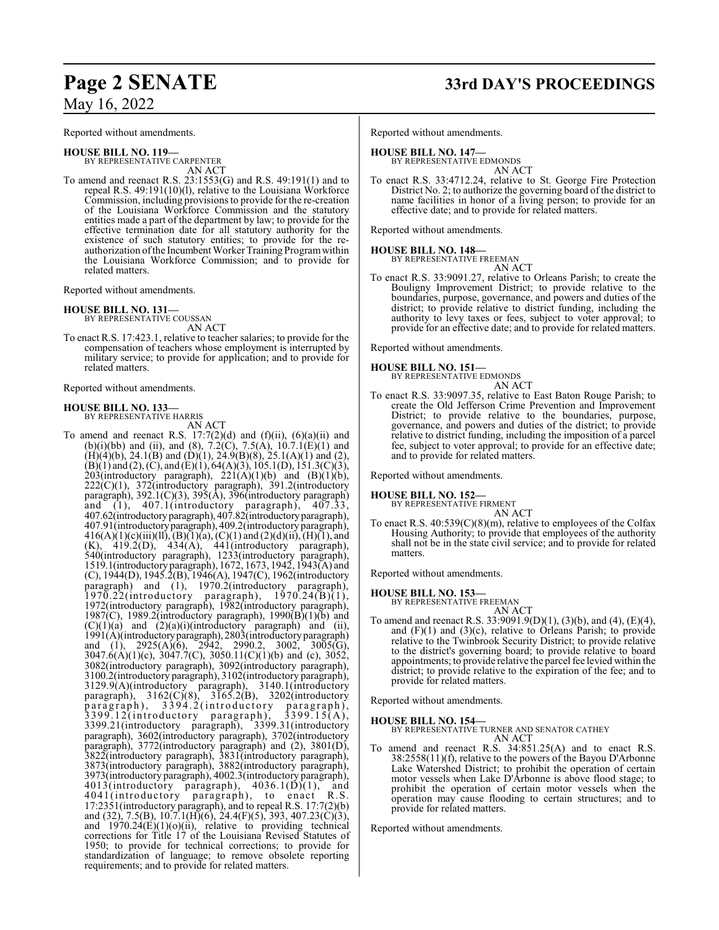Reported without amendments.

**HOUSE BILL NO. 119—** BY REPRESENTATIVE CARPENTER AN ACT

To amend and reenact R.S. 23:1553(G) and R.S. 49:191(1) and to repeal R.S. 49:191(10)(l), relative to the Louisiana Workforce Commission, including provisions to provide for the re-creation of the Louisiana Workforce Commission and the statutory entities made a part of the department by law; to provide for the effective termination date for all statutory authority for the existence of such statutory entities; to provide for the reauthorization of the Incumbent Worker Training Program within the Louisiana Workforce Commission; and to provide for related matters.

Reported without amendments.

#### **HOUSE BILL NO. 131—**

BY REPRESENTATIVE COUSSAN AN ACT

To enact R.S. 17:423.1, relative to teacher salaries; to provide for the compensation of teachers whose employment is interrupted by military service; to provide for application; and to provide for related matters.

Reported without amendments.

#### **HOUSE BILL NO. 133—** BY REPRESENTATIVE HARRIS

AN ACT

To amend and reenact R.S.  $17:7(2)(d)$  and  $(f)(ii)$ ,  $(6)(a)(ii)$  and (b)(i)(bb) and (ii), and (8),  $7.2(\text{C})$ ,  $7.5(\text{A})$ ,  $10.7.1(\text{E})(1)$  and  $(H)(4)(b)$ , 24.1 $(B)$  and  $(D)(1)$ , 24.9 $(B)(8)$ , 25.1 $(A)(1)$  and (2),  $(B)(1)$  and (2), (C), and (E)(1), 64(A)(3), 105.1(D), 151.3(C)(3), 203(introductory paragraph),  $221(A)(1)(b)$  and  $(B)(1)(b)$ , 222(C)(1), 372(introductory paragraph), 391.2(introductory paragraph), 392.1(C)(3), 395(A), 396(introductory paragraph) and (1), 407.1(introductory paragraph), 407.33, 407.62(introductoryparagraph), 407.82(introductoryparagraph), 407.91(introductoryparagraph), 409.2(introductory paragraph),  $416(A)(1)(c)(iii)(ll), (B)(1)(a), (C)(1)$  and  $(2)(d)(ii), (H)(1),$  and  $(K)$ , 419.2(D), 434(A), 441(introductory paragraph), 540(introductory paragraph), 1233(introductory paragraph), 1519.1(introductory paragraph), 1672, 1673, 1942, 1943(A) and (C), 1944(D), 1945.2(B), 1946(A), 1947(C), 1962(introductory paragraph) and (1), 1970.2(introductory paragraph), 1970.22(introductory paragraph), 1970.24(B)(1), 1972(introductory paragraph), 1982(introductory paragraph), 1987(C), 1989.2(introductory paragraph), 1990( $\overline{B}$ )(1)( $\overline{b}$ ) and  $(C)(1)(a)$  and  $(2)(a)(i)$ (introductory paragraph) and (ii), 1991(A)(introductoryparagraph), 2803(introductory paragraph) and (1), 2925(A)(6), 2942, 2990.2, 3002, 3005(G), 3047.6(A)(1)(c), 3047.7(C), 3050.11(C)(1)(b) and (c), 3052, 3082(introductory paragraph), 3092(introductory paragraph), 3100.2(introductory paragraph), 3102(introductory paragraph), 3129.9(A)(introductory paragraph), 3140.1(introductory paragraph), 3162(C)(8), 3165.2(B), 3202(introductory paragraph), 3394.2(introductory paragraph),  $3399.12$ (introductory paragraph),  $3399.15(A)$ , 3399.21(introductory paragraph), 3399.31(introductory paragraph), 3602(introductory paragraph), 3702(introductory paragraph), 3772(introductory paragraph) and (2), 3801(D), 3822(introductory paragraph), 3831(introductory paragraph), 3873(introductory paragraph), 3882(introductory paragraph), 3973(introductory paragraph), 4002.3(introductory paragraph),  $4013$ (introductory paragraph),  $4036.1(\overline{D})(1)$ , and 4041(introductory paragraph), to enact R.S. 17:2351(introductory paragraph), and to repeal R.S. 17:7(2)(b) and (32), 7.5(B), 10.7.1(H)(6), 24.4(F)(5), 393, 407.23(C)(3), and  $1970.24(E)(1)(o)(ii)$ , relative to providing technical corrections for Title 17 of the Louisiana Revised Statutes of 1950; to provide for technical corrections; to provide for standardization of language; to remove obsolete reporting requirements; and to provide for related matters.

**Page 2 SENATE 33rd DAY'S PROCEEDINGS**

Reported without amendments.

#### **HOUSE BILL NO. 147—**

BY REPRESENTATIVE EDMONDS AN ACT

To enact R.S. 33:4712.24, relative to St. George Fire Protection District No. 2; to authorize the governing board of the district to name facilities in honor of a living person; to provide for an effective date; and to provide for related matters.

Reported without amendments.

**HOUSE BILL NO. 148—**

BY REPRESENTATIVE FREEMAN AN ACT

To enact R.S. 33:9091.27, relative to Orleans Parish; to create the Bouligny Improvement District; to provide relative to the boundaries, purpose, governance, and powers and duties of the district; to provide relative to district funding, including the authority to levy taxes or fees, subject to voter approval; to provide for an effective date; and to provide for related matters.

Reported without amendments.

#### **HOUSE BILL NO. 151—**

BY REPRESENTATIVE EDMONDS

AN ACT To enact R.S. 33:9097.35, relative to East Baton Rouge Parish; to create the Old Jefferson Crime Prevention and Improvement District; to provide relative to the boundaries, purpose, governance, and powers and duties of the district; to provide relative to district funding, including the imposition of a parcel fee, subject to voter approval; to provide for an effective date; and to provide for related matters.

Reported without amendments.

#### **HOUSE BILL NO. 152—**

BY REPRESENTATIVE FIRMENT AN ACT

To enact R.S. 40:539(C)(8)(m), relative to employees of the Colfax Housing Authority; to provide that employees of the authority shall not be in the state civil service; and to provide for related matters.

Reported without amendments.

#### **HOUSE BILL NO. 153—**

BY REPRESENTATIVE FREEMAN AN ACT

To amend and reenact R.S. 33:9091.9(D)(1), (3)(b), and (4), (E)(4), and (F)(1) and (3)(c), relative to Orleans Parish; to provide relative to the Twinbrook Security District; to provide relative to the district's governing board; to provide relative to board appointments; to provide relative the parcel fee levied within the district; to provide relative to the expiration of the fee; and to provide for related matters.

Reported without amendments.

**HOUSE BILL NO. 154—**

BY REPRESENTATIVE TURNER AND SENATOR CATHEY AN ACT

To amend and reenact R.S. 34:851.25(A) and to enact R.S. 38:2558(11)(f), relative to the powers of the Bayou D'Arbonne Lake Watershed District; to prohibit the operation of certain motor vessels when Lake D'Arbonne is above flood stage; to prohibit the operation of certain motor vessels when the operation may cause flooding to certain structures; and to provide for related matters.

Reported without amendments.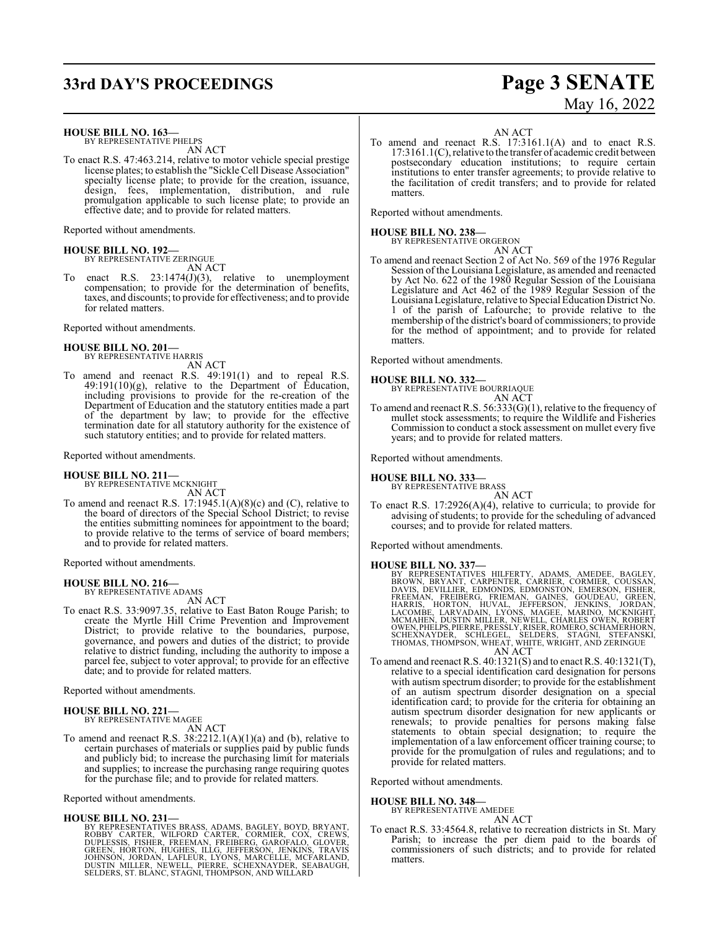# **33rd DAY'S PROCEEDINGS Page 3 SENATE**

#### **HOUSE BILL NO. 163—**

BY REPRESENTATIVE PHELPS AN ACT

To enact R.S. 47:463.214, relative to motor vehicle special prestige license plates; to establish the "Sickle Cell Disease Association" specialty license plate; to provide for the creation, issuance, design, fees, implementation, distribution, and rule promulgation applicable to such license plate; to provide an effective date; and to provide for related matters.

Reported without amendments.

#### **HOUSE BILL NO. 192—** BY REPRESENTATIVE ZERINGUE AN ACT

To enact R.S. 23:1474(J)(3), relative to unemployment compensation; to provide for the determination of benefits, taxes, and discounts; to provide for effectiveness; and to provide for related matters.

Reported without amendments.

#### **HOUSE BILL NO. 201—** BY REPRESENTATIVE HARRIS

AN ACT

To amend and reenact R.S. 49:191(1) and to repeal R.S. 49:191(10)(g), relative to the Department of Education, including provisions to provide for the re-creation of the Department of Education and the statutory entities made a part of the department by law; to provide for the effective termination date for all statutory authority for the existence of such statutory entities; and to provide for related matters.

#### Reported without amendments.

# **HOUSE BILL NO. 211—** BY REPRESENTATIVE MCKNIGHT

AN ACT

To amend and reenact R.S. 17:1945.1(A)(8)(c) and (C), relative to the board of directors of the Special School District; to revise the entities submitting nominees for appointment to the board; to provide relative to the terms of service of board members; and to provide for related matters.

Reported without amendments.

#### **HOUSE BILL NO. 216—**

BY REPRESENTATIVE ADAMS AN ACT

To enact R.S. 33:9097.35, relative to East Baton Rouge Parish; to create the Myrtle Hill Crime Prevention and Improvement District; to provide relative to the boundaries, purpose, governance, and powers and duties of the district; to provide relative to district funding, including the authority to impose a parcel fee, subject to voter approval; to provide for an effective date; and to provide for related matters.

Reported without amendments.

#### **HOUSE BILL NO. 221—** BY REPRESENTATIVE MAGEE

AN ACT

To amend and reenact R.S.  $38:2212.1(A)(1)(a)$  and (b), relative to certain purchases of materials or supplies paid by public funds and publicly bid; to increase the purchasing limit for materials and supplies; to increase the purchasing range requiring quotes for the purchase file; and to provide for related matters.

Reported without amendments.

#### **HOUSE BILL NO. 231—**

BY REPRESENTATIVES BRASS, ADAMS, BAGLEY, BOYD, BRYANT,<br>ROBBY CARTER, WILFORD CARTER, CORMIER, COX, CREWS,<br>DUPLESSIS, FISHER, FREEMAN, FREIBERG, GAROFALO, GLOVER,<br>GREEN, HORTON, HUGHES, ILLG, JEFFERSON, JENKINS, TRAVIS<br>JOHN

# May 16, 2022

#### AN ACT

To amend and reenact R.S. 17:3161.1(A) and to enact R.S. 17:3161.1(C), relative to the transfer of academic credit between postsecondary education institutions; to require certain institutions to enter transfer agreements; to provide relative to the facilitation of credit transfers; and to provide for related matters.

Reported without amendments.

#### **HOUSE BILL NO. 238—**

BY REPRESENTATIVE ORGERON

- AN ACT
- To amend and reenact Section 2 of Act No. 569 of the 1976 Regular Session of the Louisiana Legislature, as amended and reenacted by Act No. 622 of the 1980 Regular Session of the Louisiana Legislature and Act 462 of the 1989 Regular Session of the Louisiana Legislature, relative to Special Education District No. 1 of the parish of Lafourche; to provide relative to the membership of the district's board of commissioners; to provide for the method of appointment; and to provide for related matters.

Reported without amendments.

#### **HOUSE BILL NO. 332—**

BY REPRESENTATIVE BOURRIAQUE AN ACT

To amend and reenact R.S. 56:333(G)(1), relative to the frequency of mullet stock assessments; to require the Wildlife and Fisheries Commission to conduct a stock assessment on mullet every five years; and to provide for related matters.

Reported without amendments.

## **HOUSE BILL NO. 333—** BY REPRESENTATIVE BRASS

AN ACT

To enact R.S. 17:2926(A)(4), relative to curricula; to provide for advising of students; to provide for the scheduling of advanced courses; and to provide for related matters.

Reported without amendments.

- **HOUSE BILL NO. 337—**<br>BY REPRESENTATIVES HILFERTY, ADAMS, AMEDEE, BAGLEY, BROWN, BRYANT, CARPENTER, CARRIER, CORMIER, COUSSAN, DAVIS, DEVILLIER, EDMONDS, EDMONSTON, EMERSON, FISHER, FREERAAN, FREIBERG, FRIEMAN, GREEN, HARR
- To amend and reenact R.S. 40:1321(S) and to enact R.S. 40:1321(T), relative to a special identification card designation for persons with autism spectrum disorder; to provide for the establishment of an autism spectrum disorder designation on a special identification card; to provide for the criteria for obtaining an autism spectrum disorder designation for new applicants or renewals; to provide penalties for persons making false statements to obtain special designation; to require the implementation of a law enforcement officer training course; to provide for the promulgation of rules and regulations; and to provide for related matters.

Reported without amendments.

#### **HOUSE BILL NO. 348—**

BY REPRESENTATIVE AMEDEE AN ACT

To enact R.S. 33:4564.8, relative to recreation districts in St. Mary Parish; to increase the per diem paid to the boards of commissioners of such districts; and to provide for related matters.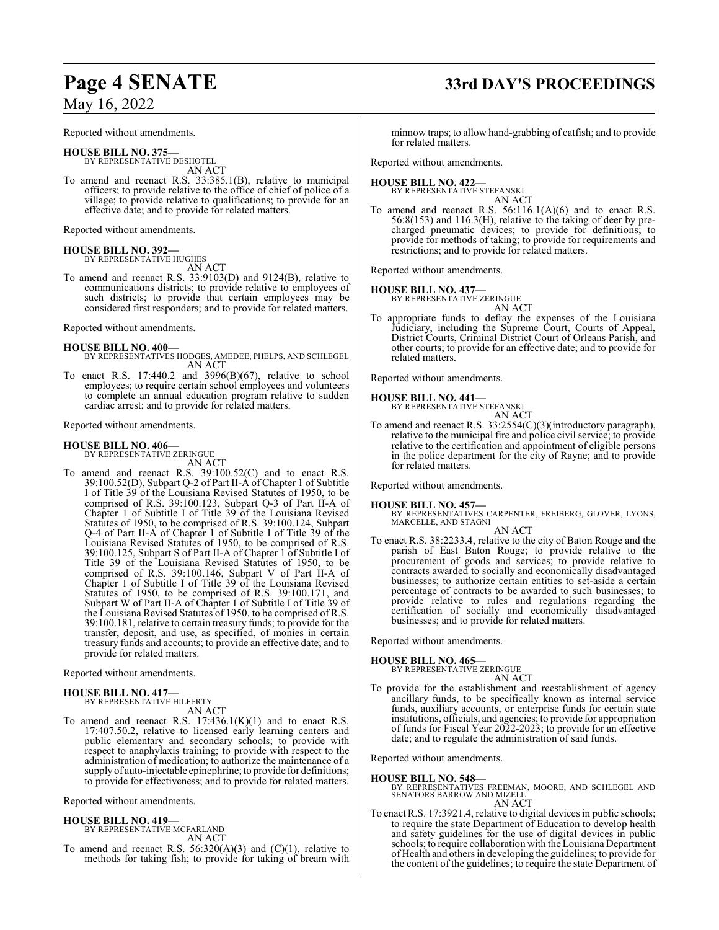Reported without amendments.

**HOUSE BILL NO. 375—** BY REPRESENTATIVE DESHOTEL AN ACT

To amend and reenact R.S. 33:385.1(B), relative to municipal officers; to provide relative to the office of chief of police of a village; to provide relative to qualifications; to provide for an effective date; and to provide for related matters.

Reported without amendments.

**HOUSE BILL NO. 392—** BY REPRESENTATIVE HUGHES

AN ACT To amend and reenact R.S. 33:9103(D) and 9124(B), relative to communications districts; to provide relative to employees of such districts; to provide that certain employees may be considered first responders; and to provide for related matters.

Reported without amendments.

#### **HOUSE BILL NO. 400—**

- BY REPRESENTATIVES HODGES, AMEDEE, PHELPS, AND SCHLEGEL AN ACT
- To enact R.S. 17:440.2 and 3996(B)(67), relative to school employees; to require certain school employees and volunteers to complete an annual education program relative to sudden cardiac arrest; and to provide for related matters.

#### Reported without amendments.

**HOUSE BILL NO. 406—** BY REPRESENTATIVE ZERINGUE AN ACT

To amend and reenact R.S. 39:100.52(C) and to enact R.S. 39:100.52(D), Subpart Q-2 of Part II-A of Chapter 1 of Subtitle I of Title 39 of the Louisiana Revised Statutes of 1950, to be comprised of R.S. 39:100.123, Subpart Q-3 of Part II-A of Chapter 1 of Subtitle I of Title 39 of the Louisiana Revised Statutes of 1950, to be comprised of R.S. 39:100.124, Subpart Q-4 of Part II-A of Chapter 1 of Subtitle I of Title 39 of the Louisiana Revised Statutes of 1950, to be comprised of R.S. 39:100.125, Subpart S of Part II-A of Chapter 1 of Subtitle I of Title 39 of the Louisiana Revised Statutes of 1950, to be comprised of R.S. 39:100.146, Subpart V of Part II-A of Chapter 1 of Subtitle I of Title 39 of the Louisiana Revised Statutes of 1950, to be comprised of R.S. 39:100.171, and Subpart W of Part II-A of Chapter 1 of Subtitle I of Title 39 of the Louisiana Revised Statutes of 1950, to be comprised of R.S. 39:100.181, relative to certain treasury funds; to provide for the transfer, deposit, and use, as specified, of monies in certain treasury funds and accounts; to provide an effective date; and to provide for related matters.

Reported without amendments.

#### **HOUSE BILL NO. 417—** BY REPRESENTATIVE HILFERTY

AN ACT To amend and reenact R.S.  $17:436.1(K)(1)$  and to enact R.S. 17:407.50.2, relative to licensed early learning centers and public elementary and secondary schools; to provide with respect to anaphylaxis training; to provide with respect to the administration of medication; to authorize the maintenance of a supply of auto-injectable epinephrine; to provide for definitions; to provide for effectiveness; and to provide for related matters.

Reported without amendments.

#### **HOUSE BILL NO. 419—**

BY REPRESENTATIVE MCFARLAND AN ACT

To amend and reenact R.S.  $56:320(A)(3)$  and  $(C)(1)$ , relative to methods for taking fish; to provide for taking of bream with

# **Page 4 SENATE 33rd DAY'S PROCEEDINGS**

minnow traps; to allow hand-grabbing of catfish; and to provide for related matters.

Reported without amendments.

#### **HOUSE BILL NO. 422—** BY REPRESENTATIVE STEFANSKI

AN ACT To amend and reenact R.S.  $56:116.1(A)(6)$  and to enact R.S. 56:8(153) and 116.3(H), relative to the taking of deer by precharged pneumatic devices; to provide for definitions; to provide for methods of taking; to provide for requirements and restrictions; and to provide for related matters.

Reported without amendments.

#### **HOUSE BILL NO. 437—**

BY REPRESENTATIVE ZERINGUE AN ACT

To appropriate funds to defray the expenses of the Louisiana Judiciary, including the Supreme Court, Courts of Appeal, District Courts, Criminal District Court of Orleans Parish, and other courts; to provide for an effective date; and to provide for related matters.

Reported without amendments.

# **HOUSE BILL NO. 441—** BY REPRESENTATIVE STEFANSKI

AN ACT

To amend and reenact R.S. 33:2554(C)(3)(introductory paragraph), relative to the municipal fire and police civil service; to provide relative to the certification and appointment of eligible persons in the police department for the city of Rayne; and to provide for related matters.

Reported without amendments.

#### **HOUSE BILL NO. 457—**

BY REPRESENTATIVES CARPENTER, FREIBERG, GLOVER, LYONS, MARCELLE, AND STAGNI AN ACT

To enact R.S. 38:2233.4, relative to the city of Baton Rouge and the parish of East Baton Rouge; to provide relative to the procurement of goods and services; to provide relative to contracts awarded to socially and economically disadvantaged businesses; to authorize certain entities to set-aside a certain percentage of contracts to be awarded to such businesses; to provide relative to rules and regulations regarding the certification of socially and economically disadvantaged businesses; and to provide for related matters.

Reported without amendments.

#### **HOUSE BILL NO. 465—**

BY REPRESENTATIVE ZERINGUE AN ACT

To provide for the establishment and reestablishment of agency ancillary funds, to be specifically known as internal service funds, auxiliary accounts, or enterprise funds for certain state institutions, officials, and agencies; to provide for appropriation of funds for Fiscal Year 2022-2023; to provide for an effective date; and to regulate the administration of said funds.

Reported without amendments.

#### **HOUSE BILL NO. 548—**

- BY REPRESENTATIVES FREEMAN, MOORE, AND SCHLEGEL AND SENATORS BARROW AND MIZELL AN ACT
- To enact R.S. 17:3921.4, relative to digital devices in public schools; to require the state Department of Education to develop health and safety guidelines for the use of digital devices in public schools; to require collaboration with the Louisiana Department of Health and others in developing the guidelines; to provide for the content of the guidelines; to require the state Department of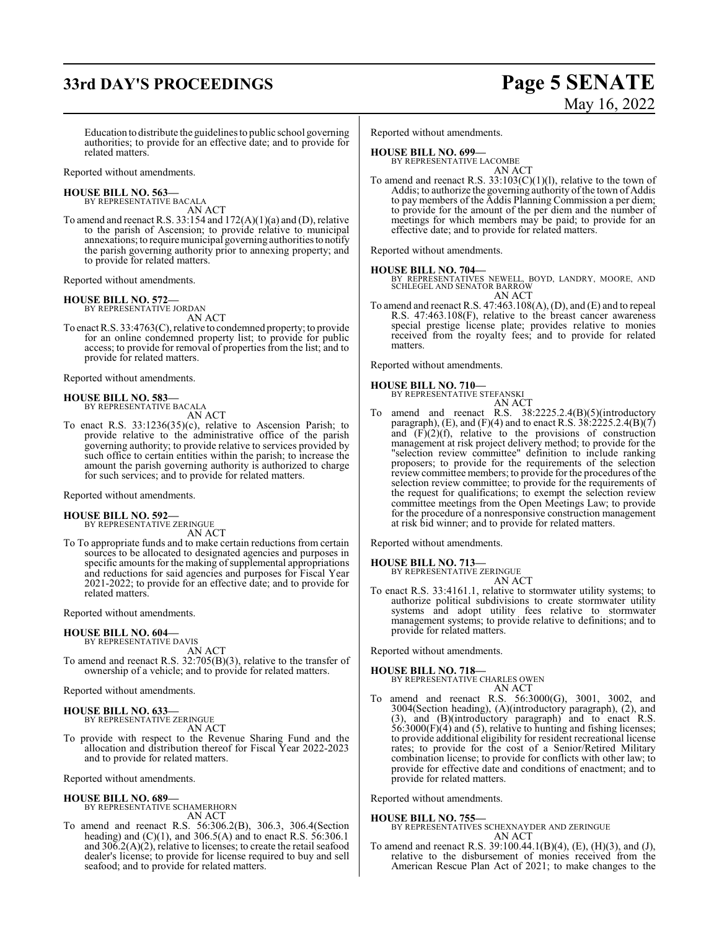# **33rd DAY'S PROCEEDINGS Page 5 SENATE**

Education to distribute the guidelines to public school governing authorities; to provide for an effective date; and to provide for related matters.

Reported without amendments.

# **HOUSE BILL NO. 563—** BY REPRESENTATIVE BACALA

AN ACT

To amend and reenact R.S. 33:154 and 172(A)(1)(a) and (D), relative to the parish of Ascension; to provide relative to municipal annexations; to require municipal governing authoritiesto notify the parish governing authority prior to annexing property; and to provide for related matters.

Reported without amendments.

#### **HOUSE BILL NO. 572—**

BY REPRESENTATIVE JORDAN AN ACT

To enact R.S. 33:4763(C), relative to condemned property; to provide for an online condemned property list; to provide for public access; to provide for removal of properties from the list; and to provide for related matters.

Reported without amendments.

#### **HOUSE BILL NO. 583—** BY REPRESENTATIVE BACALA

AN ACT

To enact R.S. 33:1236(35)(c), relative to Ascension Parish; to provide relative to the administrative office of the parish governing authority; to provide relative to services provided by such office to certain entities within the parish; to increase the amount the parish governing authority is authorized to charge for such services; and to provide for related matters.

Reported without amendments.

#### **HOUSE BILL NO. 592—** BY REPRESENTATIVE ZERINGUE

AN ACT

To To appropriate funds and to make certain reductions from certain sources to be allocated to designated agencies and purposes in specific amounts for the making of supplemental appropriations and reductions for said agencies and purposes for Fiscal Year 2021-2022; to provide for an effective date; and to provide for related matters.

Reported without amendments.

#### **HOUSE BILL NO. 604—** BY REPRESENTATIVE DAVIS

AN ACT

To amend and reenact R.S. 32:705(B)(3), relative to the transfer of ownership of a vehicle; and to provide for related matters.

Reported without amendments.

#### **HOUSE BILL NO. 633—** BY REPRESENTATIVE ZERINGUE

AN ACT

To provide with respect to the Revenue Sharing Fund and the allocation and distribution thereof for Fiscal Year 2022-2023 and to provide for related matters.

Reported without amendments.

#### **HOUSE BILL NO. 689—**

BY REPRESENTATIVE SCHAMERHORN AN ACT

To amend and reenact R.S. 56:306.2(B), 306.3, 306.4(Section heading) and  $(C)(1)$ , and 306.5(A) and to enact R.S. 56:306.1 and  $30\overline{6}$ .2(A)(2), relative to licenses; to create the retail seafood dealer's license; to provide for license required to buy and sell seafood; and to provide for related matters.

Reported without amendments.

#### **HOUSE BILL NO. 699—**

BY REPRESENTATIVE LACOMBE AN ACT

To amend and reenact R.S.  $33:103(C)(1)(1)$ , relative to the town of Addis; to authorize the governing authority of the town of Addis to pay members of the Addis Planning Commission a per diem; to provide for the amount of the per diem and the number of meetings for which members may be paid; to provide for an effective date; and to provide for related matters.

Reported without amendments.

#### **HOUSE BILL NO. 704—**

BY REPRESENTATIVES NEWELL, BOYD, LANDRY, MOORE, AND SCHLEGEL AND SENATOR BARROW AN ACT

To amend and reenact R.S. 47:463.108(A), (D), and (E) and to repeal R.S. 47:463.108(F), relative to the breast cancer awareness special prestige license plate; provides relative to monies received from the royalty fees; and to provide for related matters.

Reported without amendments.

## **HOUSE BILL NO. 710—** BY REPRESENTATIVE STEFANSKI

AN ACT

To amend and reenact R.S. 38:2225.2.4(B)(5)(introductory paragraph), (E), and (F)(4) and to enact R.S.  $38:2225.2.4(B)(7)$ and  $(F)(2)(f)$ , relative to the provisions of construction management at risk project delivery method; to provide for the "selection review committee" definition to include ranking proposers; to provide for the requirements of the selection review committee members; to provide for the procedures of the selection review committee; to provide for the requirements of the request for qualifications; to exempt the selection review committee meetings from the Open Meetings Law; to provide for the procedure of a nonresponsive construction management at risk bid winner; and to provide for related matters.

Reported without amendments.

**HOUSE BILL NO. 713—** BY REPRESENTATIVE ZERINGUE

AN ACT

To enact R.S. 33:4161.1, relative to stormwater utility systems; to authorize political subdivisions to create stormwater utility systems and adopt utility fees relative to stormwater management systems; to provide relative to definitions; and to provide for related matters.

Reported without amendments.

**HOUSE BILL NO. 718—** BY REPRESENTATIVE CHARLES OWEN AN ACT

To amend and reenact R.S. 56:3000(G), 3001, 3002, and 3004(Section heading), (A)(introductory paragraph), (2), and (3), and (B)(introductory paragraph) and to enact R.S. 56:3000(F)(4) and (5), relative to hunting and fishing licenses; to provide additional eligibility for resident recreational license rates; to provide for the cost of a Senior/Retired Military combination license; to provide for conflicts with other law; to provide for effective date and conditions of enactment; and to provide for related matters.

Reported without amendments.

**HOUSE BILL NO. 755—**

BY REPRESENTATIVES SCHEXNAYDER AND ZERINGUE AN ACT

To amend and reenact R.S. 39:100.44.1(B)(4), (E), (H)(3), and (J), relative to the disbursement of monies received from the American Rescue Plan Act of 2021; to make changes to the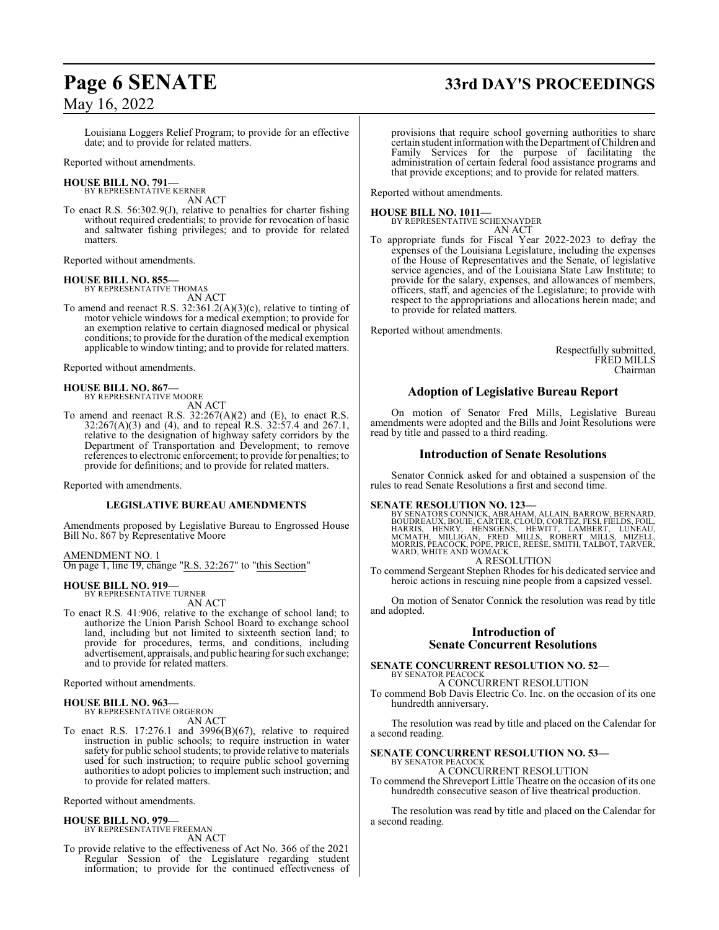# **Page 6 SENATE 33rd DAY'S PROCEEDINGS**

## May 16, 2022

Louisiana Loggers Relief Program; to provide for an effective date; and to provide for related matters.

Reported without amendments.

#### **HOUSE BILL NO. 791—**

BY REPRESENTATIVE KERNER AN ACT

To enact R.S. 56:302.9(J), relative to penalties for charter fishing without required credentials; to provide for revocation of basic and saltwater fishing privileges; and to provide for related matters.

Reported without amendments.

# **HOUSE BILL NO. 855—** BY REPRESENTATIVE THOMAS

AN ACT

To amend and reenact R.S. 32:361.2(A)(3)(c), relative to tinting of motor vehicle windows for a medical exemption; to provide for an exemption relative to certain diagnosed medical or physical conditions; to provide for the duration of the medical exemption applicable to window tinting; and to provide for related matters.

Reported without amendments.

#### **HOUSE BILL NO. 867—**

BY REPRESENTATIVE MOORE AN ACT

To amend and reenact R.S. 32:267(A)(2) and (E), to enact R.S. 32:267(A)(3) and (4), and to repeal R.S. 32:57.4 and 267.1, relative to the designation of highway safety corridors by the Department of Transportation and Development; to remove references to electronic enforcement; to provide for penalties; to provide for definitions; and to provide for related matters.

Reported with amendments.

#### **LEGISLATIVE BUREAU AMENDMENTS**

Amendments proposed by Legislative Bureau to Engrossed House Bill No. 867 by Representative Moore

#### AMENDMENT NO. 1

On page 1, line 19, change "R.S. 32:267" to "this Section"

#### **HOUSE BILL NO. 919—**

BY REPRESENTATIVE TURNER AN ACT

To enact R.S. 41:906, relative to the exchange of school land; to authorize the Union Parish School Board to exchange school land, including but not limited to sixteenth section land; to provide for procedures, terms, and conditions, including advertisement, appraisals, and public hearing for such exchange; and to provide for related matters.

Reported without amendments.

#### **HOUSE BILL NO. 963—**

BY REPRESENTATIVE ORGERON AN ACT

To enact R.S. 17:276.1 and 3996(B)(67), relative to required instruction in public schools; to require instruction in water safety for public school students; to provide relative to materials used for such instruction; to require public school governing authorities to adopt policies to implement such instruction; and to provide for related matters.

Reported without amendments.

#### **HOUSE BILL NO. 979—**

BY REPRESENTATIVE FREEMAN AN ACT

To provide relative to the effectiveness of Act No. 366 of the 2021 Regular Session of the Legislature regarding student information; to provide for the continued effectiveness of

provisions that require school governing authorities to share certain student information with the Department ofChildren and Family Services for the purpose of facilitating the administration of certain federal food assistance programs and that provide exceptions; and to provide for related matters.

Reported without amendments.

**HOUSE BILL NO. 1011—** BY REPRESENTATIVE SCHEXNAYDER AN ACT

To appropriate funds for Fiscal Year 2022-2023 to defray the expenses of the Louisiana Legislature, including the expenses of the House of Representatives and the Senate, of legislative service agencies, and of the Louisiana State Law Institute; to provide for the salary, expenses, and allowances of members, officers, staff, and agencies of the Legislature; to provide with respect to the appropriations and allocations herein made; and to provide for related matters.

Reported without amendments.

Respectfully submitted, FRED MILLS Chairman

### **Adoption of Legislative Bureau Report**

On motion of Senator Fred Mills, Legislative Bureau amendments were adopted and the Bills and Joint Resolutions were read by title and passed to a third reading.

#### **Introduction of Senate Resolutions**

Senator Connick asked for and obtained a suspension of the rules to read Senate Resolutions a first and second time.

#### **SENATE RESOLUTION NO. 123—**

BY SENATORS CONNICK, ABRAHAM, ALLAIN, BARROW, BERNARD, BOUDREAUX, BOUIE, CARTER, CLOUD, CORTEZ, FESI, FIELDS, FOIL, HARRIS, HENRY, HENSGENS, HEWITT, LAMBERT, LUNEAU,<br>MCMATH, MILLIGAN, FRED MILLS, ROBERT MILLS, MIZELL,<br>MORRIS,PEACOCK,POPE,PRICE,REESE,SMITH,TALBOT,TARVER,<br>WARD,WHITE AND WOMACK A RESOLUTION

To commend Sergeant Stephen Rhodes for his dedicated service and heroic actions in rescuing nine people from a capsized vessel.

On motion of Senator Connick the resolution was read by title and adopted.

#### **Introduction of Senate Concurrent Resolutions**

**SENATE CONCURRENT RESOLUTION NO. 52—** BY SENATOR PEACOCK

A CONCURRENT RESOLUTION To commend Bob Davis Electric Co. Inc. on the occasion of its one hundredth anniversary.

The resolution was read by title and placed on the Calendar for a second reading.

#### **SENATE CONCURRENT RESOLUTION NO. 53—**

BY SENATOR PEACOCK A CONCURRENT RESOLUTION

To commend the Shreveport Little Theatre on the occasion of its one hundredth consecutive season of live theatrical production.

The resolution was read by title and placed on the Calendar for a second reading.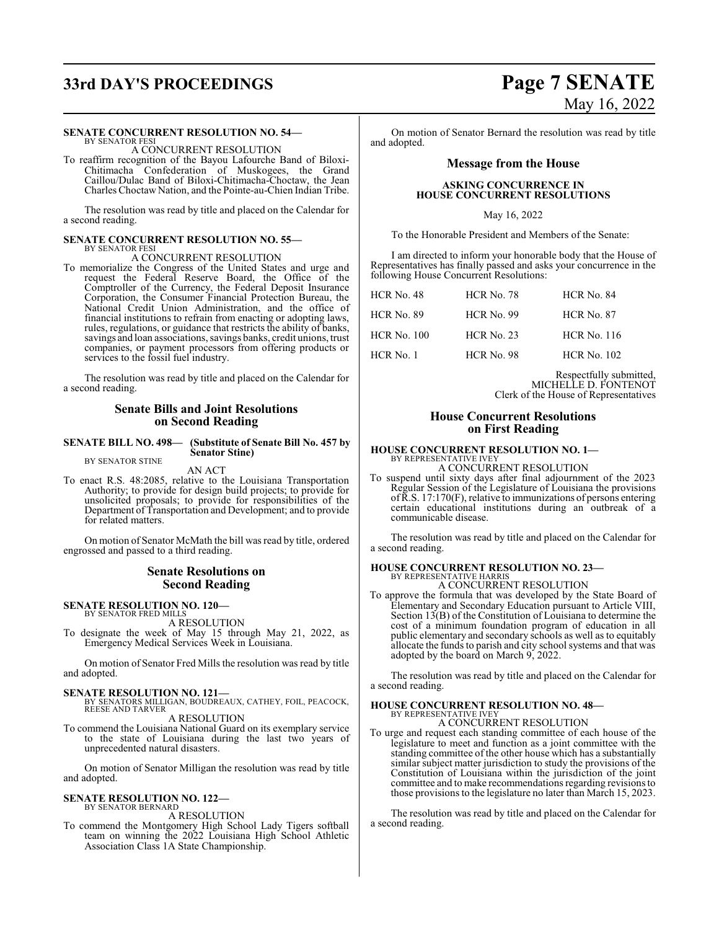# **33rd DAY'S PROCEEDINGS Page 7 SENATE**

#### **SENATE CONCURRENT RESOLUTION NO. 54—**

BY SENATOR FESI A CONCURRENT RESOLUTION

To reaffirm recognition of the Bayou Lafourche Band of Biloxi-Chitimacha Confederation of Muskogees, the Grand Caillou/Dulac Band of Biloxi-Chitimacha-Choctaw, the Jean Charles Choctaw Nation, and the Pointe-au-Chien Indian Tribe.

The resolution was read by title and placed on the Calendar for a second reading.

#### **SENATE CONCURRENT RESOLUTION NO. 55—** BY SENATOR FESI

A CONCURRENT RESOLUTION

To memorialize the Congress of the United States and urge and request the Federal Reserve Board, the Office of the Comptroller of the Currency, the Federal Deposit Insurance Corporation, the Consumer Financial Protection Bureau, the National Credit Union Administration, and the office of financial institutions to refrain from enacting or adopting laws, rules, regulations, or guidance that restricts the ability of banks, savings and loan associations, savings banks, credit unions, trust companies, or payment processors from offering products or services to the fossil fuel industry.

The resolution was read by title and placed on the Calendar for a second reading.

#### **Senate Bills and Joint Resolutions on Second Reading**

**SENATE BILL NO. 498— (Substitute of Senate Bill No. 457 by Senator Stine)** BY SENATOR STINE

AN ACT

To enact R.S. 48:2085, relative to the Louisiana Transportation Authority; to provide for design build projects; to provide for unsolicited proposals; to provide for responsibilities of the Department of Transportation and Development; and to provide for related matters.

On motion of Senator McMath the bill was read by title, ordered engrossed and passed to a third reading.

#### **Senate Resolutions on Second Reading**

**SENATE RESOLUTION NO. 120—** BY SENATOR FRED MILLS

A RESOLUTION

To designate the week of May 15 through May 21, 2022, as Emergency Medical Services Week in Louisiana.

On motion of Senator Fred Mills the resolution was read by title and adopted.

#### **SENATE RESOLUTION NO. 121—**

BY SENATORS MILLIGAN, BOUDREAUX, CATHEY, FOIL, PEACOCK, REESE AND TARVER A RESOLUTION

To commend the Louisiana National Guard on its exemplary service to the state of Louisiana during the last two years of unprecedented natural disasters.

On motion of Senator Milligan the resolution was read by title and adopted.

#### **SENATE RESOLUTION NO. 122—** BY SENATOR BERNARD

A RESOLUTION

To commend the Montgomery High School Lady Tigers softball team on winning the 2022 Louisiana High School Athletic Association Class 1A State Championship.

On motion of Senator Bernard the resolution was read by title and adopted.

#### **Message from the House**

#### **ASKING CONCURRENCE IN HOUSE CONCURRENT RESOLUTIONS**

May 16, 2022

To the Honorable President and Members of the Senate:

I am directed to inform your honorable body that the House of Representatives has finally passed and asks your concurrence in the following House Concurrent Resolutions:

| $HCR$ No. 48       | <b>HCR No. 78</b> | <b>HCR No. 84</b>  |
|--------------------|-------------------|--------------------|
| HCR No. 89         | $HCR$ No. 99      | <b>HCR No. 87</b>  |
| <b>HCR</b> No. 100 | $HCR$ No. 23      | <b>HCR No. 116</b> |
| $HCR$ No. 1        | <b>HCR</b> No. 98 | <b>HCR No. 102</b> |

Respectfully submitted, MICHELLE D. FONTENOT Clerk of the House of Representatives

#### **House Concurrent Resolutions on First Reading**

#### **HOUSE CONCURRENT RESOLUTION NO. 1—** BY REPRESENTATIVE IVE

A CONCURRENT RESOLUTION

To suspend until sixty days after final adjournment of the 2023 Regular Session of the Legislature of Louisiana the provisions ofR.S. 17:170(F), relative to immunizations of persons entering certain educational institutions during an outbreak of a communicable disease.

The resolution was read by title and placed on the Calendar for a second reading.

## **HOUSE CONCURRENT RESOLUTION NO. 23—** BY REPRESENTATIVE HARRIS

A CONCURRENT RESOLUTION

To approve the formula that was developed by the State Board of Elementary and Secondary Education pursuant to Article VIII, Section 13(B) of the Constitution of Louisiana to determine the cost of a minimum foundation program of education in all public elementary and secondary schools as well as to equitably allocate the funds to parish and city school systems and that was adopted by the board on March 9, 2022.

The resolution was read by title and placed on the Calendar for a second reading.

#### **HOUSE CONCURRENT RESOLUTION NO. 48—** BY REPRESENTATIVE IVEY

A CONCURRENT RESOLUTION

To urge and request each standing committee of each house of the legislature to meet and function as a joint committee with the standing committee of the other house which has a substantially similar subject matter jurisdiction to study the provisions of the Constitution of Louisiana within the jurisdiction of the joint committee and to make recommendations regarding revisions to those provisions to the legislature no later than March 15, 2023.

The resolution was read by title and placed on the Calendar for a second reading.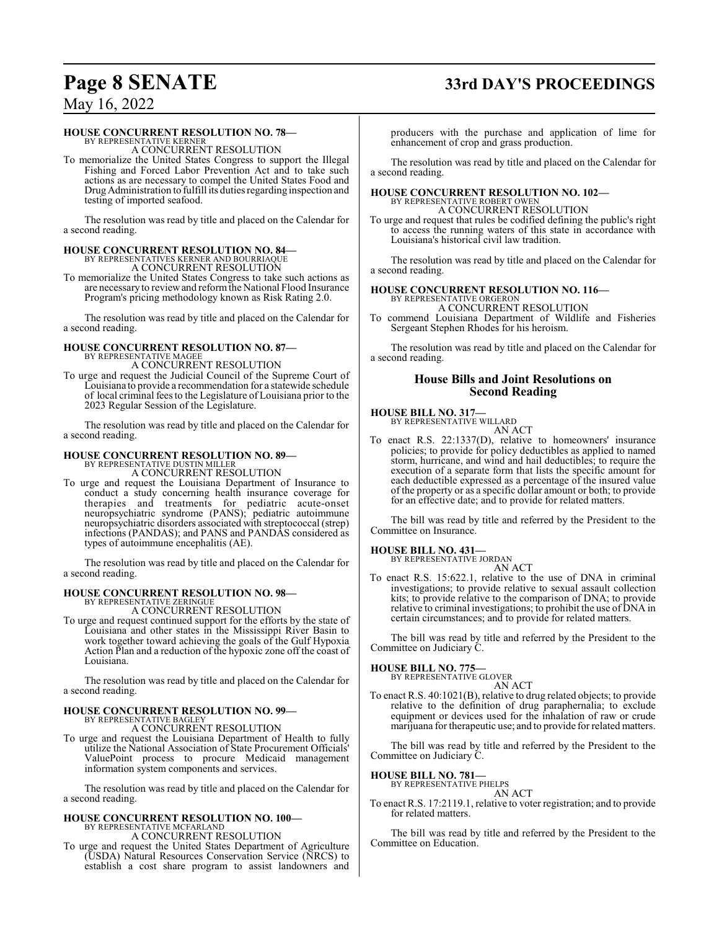# **Page 8 SENATE 33rd DAY'S PROCEEDINGS**

May 16, 2022

#### **HOUSE CONCURRENT RESOLUTION NO. 78—**

BY REPRESENTATIVE KERNER A CONCURRENT RESOLUTION

To memorialize the United States Congress to support the Illegal Fishing and Forced Labor Prevention Act and to take such actions as are necessary to compel the United States Food and DrugAdministration to fulfill its duties regarding inspection and testing of imported seafood.

The resolution was read by title and placed on the Calendar for a second reading.

# **HOUSE CONCURRENT RESOLUTION NO. 84—** BY REPRESENTATIVES KERNER AND BOURRIAQUE

A CONCURRENT RESOLUTION

To memorialize the United States Congress to take such actions as are necessaryto reviewand reformthe National Flood Insurance Program's pricing methodology known as Risk Rating 2.0.

The resolution was read by title and placed on the Calendar for a second reading.

# **HOUSE CONCURRENT RESOLUTION NO. 87—** BY REPRESENTATIVE MAGEE

A CONCURRENT RESOLUTION

To urge and request the Judicial Council of the Supreme Court of Louisiana to provide a recommendation for a statewide schedule of local criminal fees to the Legislature of Louisiana prior to the 2023 Regular Session of the Legislature.

The resolution was read by title and placed on the Calendar for a second reading.

## **HOUSE CONCURRENT RESOLUTION NO. 89—**

BY REPRESENTATIVE DUSTIN MILLER A CONCURRENT RESOLUTION

To urge and request the Louisiana Department of Insurance to conduct a study concerning health insurance coverage for therapies and treatments for pediatric acute-onset neuropsychiatric syndrome (PANS); pediatric autoimmune neuropsychiatric disorders associated with streptococcal (strep) infections (PANDAS); and PANS and PANDAS considered as types of autoimmune encephalitis (AE).

The resolution was read by title and placed on the Calendar for a second reading.

# **HOUSE CONCURRENT RESOLUTION NO. 98—**<br>BY REPRESENTATIVE ZERINGUE<br>A CONCURRENT RESOLUTION

To urge and request continued support for the efforts by the state of Louisiana and other states in the Mississippi River Basin to work together toward achieving the goals of the Gulf Hypoxia Action Plan and a reduction of the hypoxic zone off the coast of Louisiana.

The resolution was read by title and placed on the Calendar for a second reading.

# **HOUSE CONCURRENT RESOLUTION NO. 99—** BY REPRESENTATIVE BAGLEY

A CONCURRENT RESOLUTION

To urge and request the Louisiana Department of Health to fully utilize the National Association of State Procurement Officials' ValuePoint process to procure Medicaid management information system components and services.

The resolution was read by title and placed on the Calendar for a second reading.

#### **HOUSE CONCURRENT RESOLUTION NO. 100—** BY REPRESENTATIVE MCFARLAND A CONCURRENT RESOLUTION

To urge and request the United States Department of Agriculture (USDA) Natural Resources Conservation Service (NRCS) to establish a cost share program to assist landowners and producers with the purchase and application of lime for enhancement of crop and grass production.

The resolution was read by title and placed on the Calendar for a second reading.

# **HOUSE CONCURRENT RESOLUTION NO. 102—** BY REPRESENTATIVE ROBERT OWEN

A CONCURRENT RESOLUTION

To urge and request that rules be codified defining the public's right to access the running waters of this state in accordance with Louisiana's historical civil law tradition.

The resolution was read by title and placed on the Calendar for a second reading.

## **HOUSE CONCURRENT RESOLUTION NO. 116—**

BY REPRESENTATIVE ORGERON A CONCURRENT RESOLUTION

To commend Louisiana Department of Wildlife and Fisheries Sergeant Stephen Rhodes for his heroism.

The resolution was read by title and placed on the Calendar for a second reading.

#### **House Bills and Joint Resolutions on Second Reading**

**HOUSE BILL NO. 317—**

BY REPRESENTATIVE WILLARD AN ACT

To enact R.S. 22:1337(D), relative to homeowners' insurance policies; to provide for policy deductibles as applied to named storm, hurricane, and wind and hail deductibles; to require the execution of a separate form that lists the specific amount for each deductible expressed as a percentage of the insured value of the property or as a specific dollar amount or both; to provide for an effective date; and to provide for related matters.

The bill was read by title and referred by the President to the Committee on Insurance.

# **HOUSE BILL NO. 431—** BY REPRESENTATIVE JORDAN

AN ACT To enact R.S. 15:622.1, relative to the use of DNA in criminal investigations; to provide relative to sexual assault collection kits; to provide relative to the comparison of DNA; to provide relative to criminal investigations; to prohibit the use of DNA in certain circumstances; and to provide for related matters.

The bill was read by title and referred by the President to the Committee on Judiciary C.

#### **HOUSE BILL NO. 775—**

BY REPRESENTATIVE GLOVER AN ACT

To enact R.S. 40:1021(B), relative to drug related objects; to provide relative to the definition of drug paraphernalia; to exclude equipment or devices used for the inhalation of raw or crude marijuana for therapeutic use; and to provide for related matters.

The bill was read by title and referred by the President to the Committee on Judiciary C.

**HOUSE BILL NO. 781—** BY REPRESENTATIVE PHELPS

AN ACT

To enact R.S. 17:2119.1, relative to voter registration; and to provide for related matters.

The bill was read by title and referred by the President to the Committee on Education.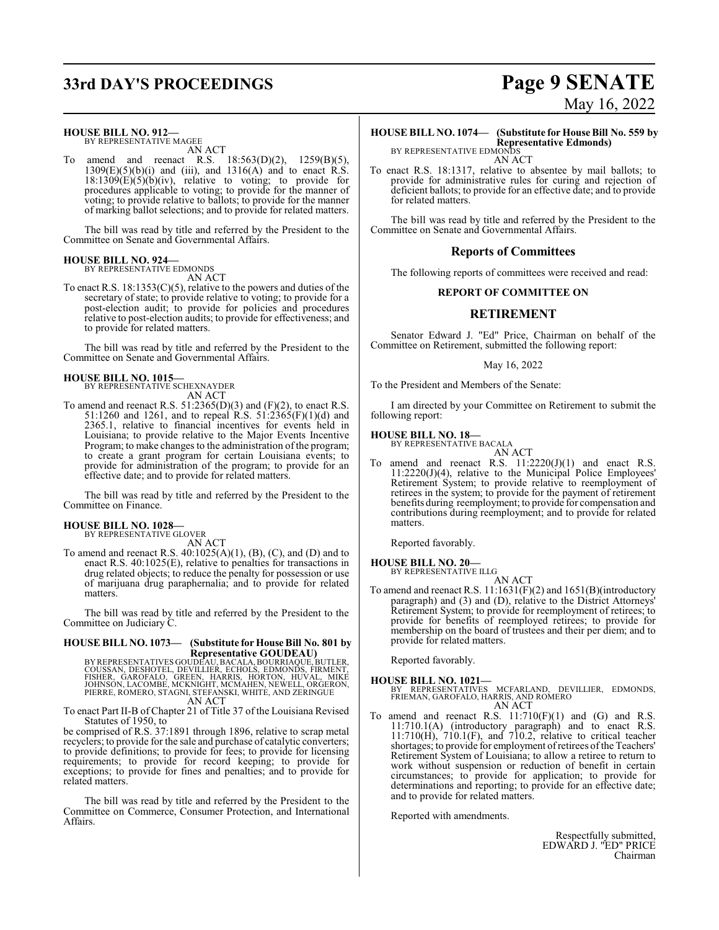# **33rd DAY'S PROCEEDINGS Page 9 SENATE**

**HOUSE BILL NO. 912—**

BY REPRESENTATIVE MAGEE AN ACT

To amend and reenact R.S. 18:563(D)(2), 1259(B)(5),  $1309(E)(5)(b)(i)$  and (iii), and  $1316(A)$  and to enact R.S.  $18:1309(E)(5)(b)(iv)$ , relative to voting; to provide for procedures applicable to voting; to provide for the manner of voting; to provide relative to ballots; to provide for the manner of marking ballot selections; and to provide for related matters.

The bill was read by title and referred by the President to the Committee on Senate and Governmental Affairs.

# **HOUSE BILL NO. 924—** BY REPRESENTATIVE EDMONDS

AN ACT

To enact R.S.  $18:1353(C)(5)$ , relative to the powers and duties of the secretary of state; to provide relative to voting; to provide for a post-election audit; to provide for policies and procedures relative to post-election audits; to provide for effectiveness; and to provide for related matters.

The bill was read by title and referred by the President to the Committee on Senate and Governmental Affairs.

# **HOUSE BILL NO. 1015—** BY REPRESENTATIVE SCHEXNAYDER

AN ACT

To amend and reenact R.S.  $51:2365(D)(3)$  and  $(F)(2)$ , to enact R.S. 51:1260 and 1261, and to repeal R.S. 51:2365(F)(1)(d) and 2365.1, relative to financial incentives for events held in Louisiana; to provide relative to the Major Events Incentive Program; to make changes to the administration of the program; to create a grant program for certain Louisiana events; to provide for administration of the program; to provide for an effective date; and to provide for related matters.

The bill was read by title and referred by the President to the Committee on Finance.

#### **HOUSE BILL NO. 1028—**

BY REPRESENTATIVE GLOVER

AN ACT

To amend and reenact R.S. 40:1025(A)(1), (B), (C), and (D) and to enact R.S. 40:1025(E), relative to penalties for transactions in drug related objects; to reduce the penalty for possession or use of marijuana drug paraphernalia; and to provide for related matters.

The bill was read by title and referred by the President to the Committee on Judiciary C.

# **HOUSE BILL NO. 1073— (Substitute for House Bill No. 801 by**

**Representative GOUDEAU)<br>EXALGOUSSAN, DESHOTEL, DEVILLIER, ECHOLS, ADURRIAQUE, BUTLER,<br>COUSSAN, DESHOTEL, DEVILLIER, ECHOLS, EDMONDS, FIRMENT,<br>JOHNSON, LACOMBE, MCKNIGHT, MCMAHEN, NEWELL, ORGERON,<br>PIERRE, ROMERO, STAGNI, S** AN ACT

To enact Part II-B of Chapter 21 of Title 37 of the Louisiana Revised Statutes of 1950, to

be comprised of R.S. 37:1891 through 1896, relative to scrap metal recyclers; to provide for the sale and purchase of catalytic converters; to provide definitions; to provide for fees; to provide for licensing requirements; to provide for record keeping; to provide for exceptions; to provide for fines and penalties; and to provide for related matters.

The bill was read by title and referred by the President to the Committee on Commerce, Consumer Protection, and International Affairs.

# May 16, 2022

## **HOUSE BILL NO. 1074— (Substitute for House Bill No. 559 by Representative Edmonds)** BY REPRESENTATIVE EDMONDS

AN ACT

To enact R.S. 18:1317, relative to absentee by mail ballots; to provide for administrative rules for curing and rejection of deficient ballots; to provide for an effective date; and to provide for related matters.

The bill was read by title and referred by the President to the Committee on Senate and Governmental Affairs.

#### **Reports of Committees**

The following reports of committees were received and read:

#### **REPORT OF COMMITTEE ON**

### **RETIREMENT**

Senator Edward J. "Ed" Price, Chairman on behalf of the Committee on Retirement, submitted the following report:

#### May 16, 2022

To the President and Members of the Senate:

I am directed by your Committee on Retirement to submit the following report:

# **HOUSE BILL NO. 18—** BY REPRESENTATIVE BACALA

AN ACT

To amend and reenact R.S.  $11:2220(J)(1)$  and enact R.S. 11:2220(J)(4), relative to the Municipal Police Employees' Retirement System; to provide relative to reemployment of retirees in the system; to provide for the payment of retirement benefits during reemployment; to provide for compensation and contributions during reemployment; and to provide for related matters.

Reported favorably.

# **HOUSE BILL NO. 20—** BY REPRESENTATIVE ILLG

AN ACT

To amend and reenact R.S. 11:1631(F)(2) and 1651(B)(introductory paragraph) and (3) and (D), relative to the District Attorneys' Retirement System; to provide for reemployment of retirees; to provide for benefits of reemployed retirees; to provide for membership on the board of trustees and their per diem; and to provide for related matters.

Reported favorably.

- **HOUSE BILL NO. 1021—** BY REPRESENTATIVES MCFARLAND, DEVILLIER, EDMONDS, FRIEMAN, GAROFALO, HARRIS, AND ROMERO AN ACT
- To amend and reenact R.S.  $11:710(F)(1)$  and  $(G)$  and R.S. 11:710.1(A) (introductory paragraph) and to enact R.S. 11:710(H), 710.1(F), and 710.2, relative to critical teacher shortages; to provide for employment of retirees of the Teachers' Retirement System of Louisiana; to allow a retiree to return to work without suspension or reduction of benefit in certain circumstances; to provide for application; to provide for determinations and reporting; to provide for an effective date; and to provide for related matters.

Reported with amendments.

Respectfully submitted, EDWARD J. "ED" PRICE Chairman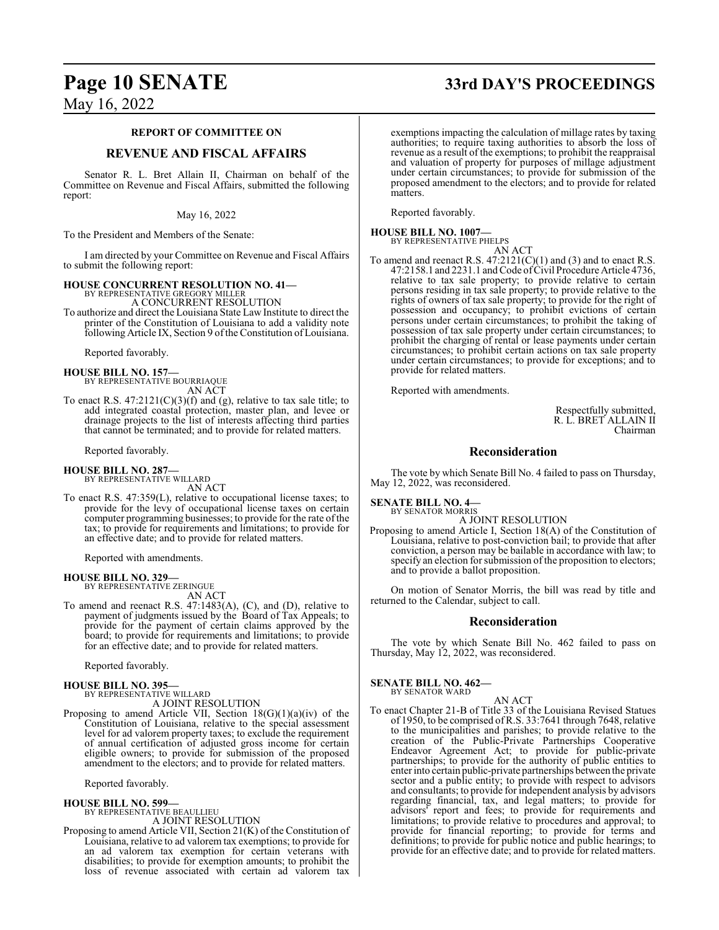#### **REPORT OF COMMITTEE ON**

#### **REVENUE AND FISCAL AFFAIRS**

Senator R. L. Bret Allain II, Chairman on behalf of the Committee on Revenue and Fiscal Affairs, submitted the following report:

#### May 16, 2022

To the President and Members of the Senate:

I am directed by your Committee on Revenue and Fiscal Affairs to submit the following report:

#### **HOUSE CONCURRENT RESOLUTION NO. 41—** BY REPRESENTATIVE GREGORY MILLER

A CONCURRENT RESOLUTION

To authorize and direct the Louisiana State Law Institute to direct the printer of the Constitution of Louisiana to add a validity note following Article IX, Section 9 of the Constitution of Louisiana.

Reported favorably.

#### **HOUSE BILL NO. 157—**

BY REPRESENTATIVE BOURRIAQUE AN ACT

To enact R.S.  $47:2121(C)(3)(f)$  and (g), relative to tax sale title; to add integrated coastal protection, master plan, and levee or drainage projects to the list of interests affecting third parties that cannot be terminated; and to provide for related matters.

Reported favorably.

# **HOUSE BILL NO. 287—** BY REPRESENTATIVE WILLARD

AN ACT

To enact R.S. 47:359(L), relative to occupational license taxes; to provide for the levy of occupational license taxes on certain computer programming businesses; to provide for the rate of the tax; to provide for requirements and limitations; to provide for an effective date; and to provide for related matters.

Reported with amendments.

**HOUSE BILL NO. 329—** BY REPRESENTATIVE ZERINGUE

AN ACT

To amend and reenact R.S. 47:1483(A), (C), and (D), relative to payment of judgments issued by the Board of Tax Appeals; to provide for the payment of certain claims approved by the board; to provide for requirements and limitations; to provide for an effective date; and to provide for related matters.

Reported favorably.

- **HOUSE BILL NO. 395—** BY REPRESENTATIVE WILLARD A JOINT RESOLUTION
- Proposing to amend Article VII, Section 18(G)(1)(a)(iv) of the Constitution of Louisiana, relative to the special assessment level for ad valorem property taxes; to exclude the requirement of annual certification of adjusted gross income for certain eligible owners; to provide for submission of the proposed amendment to the electors; and to provide for related matters.

Reported favorably.

**HOUSE BILL NO. 599—**

BY REPRESENTATIVE BEAULLIEU

A JOINT RESOLUTION

Proposing to amend Article VII, Section 21(K) of the Constitution of Louisiana, relative to ad valorem tax exemptions; to provide for an ad valorem tax exemption for certain veterans with disabilities; to provide for exemption amounts; to prohibit the loss of revenue associated with certain ad valorem tax

# **Page 10 SENATE 33rd DAY'S PROCEEDINGS**

exemptions impacting the calculation of millage rates by taxing authorities; to require taxing authorities to absorb the loss of revenue as a result of the exemptions; to prohibit the reappraisal and valuation of property for purposes of millage adjustment under certain circumstances; to provide for submission of the proposed amendment to the electors; and to provide for related matters.

Reported favorably.

#### **HOUSE BILL NO. 1007—** BY REPRESENTATIVE PHELPS

AN ACT

To amend and reenact R.S.  $47:2121(C)(1)$  and (3) and to enact R.S. 47:2158.1 and 2231.1 and Code of Civil Procedure Article 4736, relative to tax sale property; to provide relative to certain persons residing in tax sale property; to provide relative to the rights of owners of tax sale property; to provide for the right of possession and occupancy; to prohibit evictions of certain persons under certain circumstances; to prohibit the taking of possession of tax sale property under certain circumstances; to prohibit the charging of rental or lease payments under certain circumstances; to prohibit certain actions on tax sale property under certain circumstances; to provide for exceptions; and to provide for related matters.

Reported with amendments.

Respectfully submitted, R. L. BRET ALLAIN II Chairman

#### **Reconsideration**

The vote by which Senate Bill No. 4 failed to pass on Thursday, May 12, 2022, was reconsidered.

**SENATE BILL NO. 4—** BY SENATOR MORRIS

A JOINT RESOLUTION

Proposing to amend Article I, Section 18(A) of the Constitution of Louisiana, relative to post-conviction bail; to provide that after conviction, a person may be bailable in accordance with law; to specify an election for submission of the proposition to electors; and to provide a ballot proposition.

On motion of Senator Morris, the bill was read by title and returned to the Calendar, subject to call.

#### **Reconsideration**

The vote by which Senate Bill No. 462 failed to pass on Thursday, May 12, 2022, was reconsidered.

**SENATE BILL NO. 462—** BY SENATOR WARD

#### AN ACT

To enact Chapter 21-B of Title 33 of the Louisiana Revised Statues of 1950, to be comprised ofR.S. 33:7641 through 7648, relative to the municipalities and parishes; to provide relative to the creation of the Public-Private Partnerships Cooperative Endeavor Agreement Act; to provide for public-private partnerships; to provide for the authority of public entities to enter into certain public-private partnerships between the private sector and a public entity; to provide with respect to advisors and consultants; to provide for independent analysis by advisors regarding financial, tax, and legal matters; to provide for advisors' report and fees; to provide for requirements and limitations; to provide relative to procedures and approval; to provide for financial reporting; to provide for terms and definitions; to provide for public notice and public hearings; to provide for an effective date; and to provide for related matters.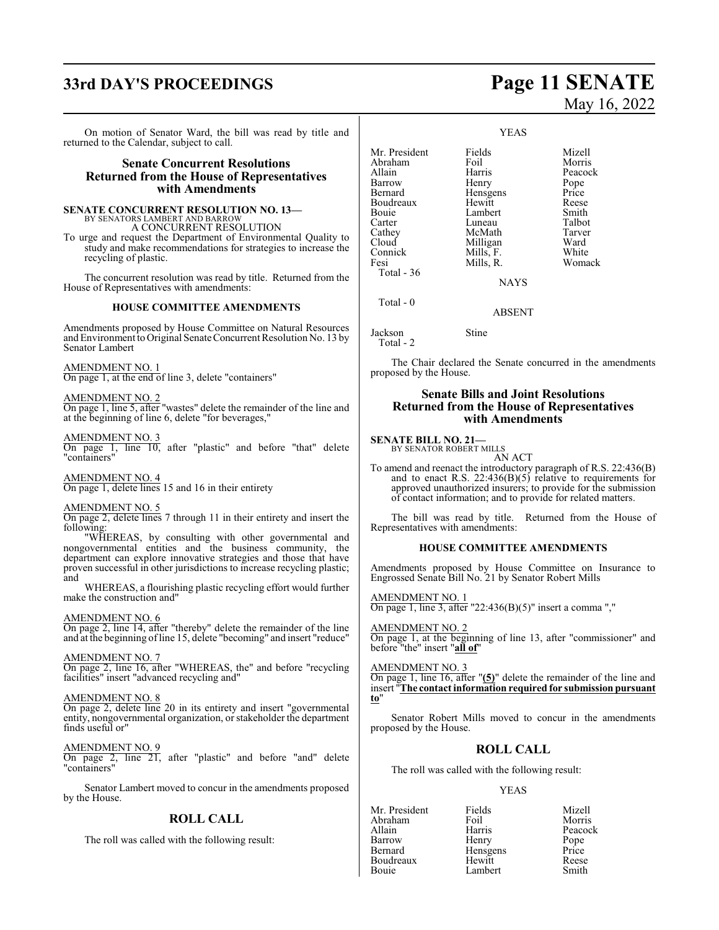# **33rd DAY'S PROCEEDINGS Page 11 SENATE**

On motion of Senator Ward, the bill was read by title and returned to the Calendar, subject to call.

#### **Senate Concurrent Resolutions Returned from the House of Representatives with Amendments**

#### **SENATE CONCURRENT RESOLUTION NO. 13—**

BY SENATORS LAMBERT AND BARROW A CONCURRENT RESOLUTION

To urge and request the Department of Environmental Quality to study and make recommendations for strategies to increase the recycling of plastic.

The concurrent resolution was read by title. Returned from the House of Representatives with amendments:

#### **HOUSE COMMITTEE AMENDMENTS**

Amendments proposed by House Committee on Natural Resources and Environment to Original Senate Concurrent Resolution No. 13 by Senator Lambert

#### AMENDMENT NO. 1

On page 1, at the end of line 3, delete "containers"

#### AMENDMENT NO. 2

On page 1, line 5, after "wastes" delete the remainder of the line and at the beginning of line 6, delete "for beverages,"

#### AMENDMENT NO. 3

On page 1, line 10, after "plastic" and before "that" delete "containers"

## AMENDMENT NO. 4

On page 1, delete lines 15 and 16 in their entirety

#### AMENDMENT NO. 5

On page 2, delete lines 7 through 11 in their entirety and insert the following:

"WHEREAS, by consulting with other governmental and nongovernmental entities and the business community, the department can explore innovative strategies and those that have proven successful in other jurisdictions to increase recycling plastic; and

WHEREAS, a flourishing plastic recycling effort would further make the construction and"

#### AMENDMENT NO. 6

On page 2, line 14, after "thereby" delete the remainder of the line and at the beginning of line 15, delete "becoming" and insert "reduce"

#### AMENDMENT NO. 7

On page 2, line 16, after "WHEREAS, the" and before "recycling facilities" insert "advanced recycling and"

#### AMENDMENT NO. 8

On page 2, delete line 20 in its entirety and insert "governmental entity, nongovernmental organization, or stakeholder the department finds useful or"

#### AMENDMENT NO. 9

On page 2, line 21, after "plastic" and before "and" delete "containers"

Senator Lambert moved to concur in the amendments proposed by the House.

#### **ROLL CALL**

The roll was called with the following result:

# May 16, 2022

YEAS

Mr. President Fields Mizell<br>Abraham Foil Morris Abraham Foil<br>Allain Harris Allain **Harris** Peacock<br>
Barrow Henry Pope Barrow Henry Pope<br>Bernard Hensgens Price Hensgens<br>Hewitt Boudreaux Hewitt Reese Bouie Lambert Smith<br>Carter Luneau Talbot Carter Luneau Talbot<br>Cathey McMath Tarver Cathey McMath Tarver<br>Cloud Milligan Ward Cloud Milligan Ward<br>
Mills, F. White<br>
Mills, F. White Connick Mills, F.<br>Fesi Mills, R.

Womack

NAYS

ABSENT

Total - 0

Jackson Stine

Total - 36

Total - 2

The Chair declared the Senate concurred in the amendments proposed by the House.

#### **Senate Bills and Joint Resolutions Returned from the House of Representatives with Amendments**

#### **SENATE BILL NO. 21—**

BY SENATOR ROBERT MILLS AN ACT

To amend and reenact the introductory paragraph of R.S. 22:436(B) and to enact R.S.  $22:436(B)(5)$  relative to requirements for approved unauthorized insurers; to provide for the submission of contact information; and to provide for related matters.

The bill was read by title. Returned from the House of Representatives with amendments:

#### **HOUSE COMMITTEE AMENDMENTS**

Amendments proposed by House Committee on Insurance to Engrossed Senate Bill No. 21 by Senator Robert Mills

AMENDMENT NO. 1 On page 1, line 3, after "22:436(B)(5)" insert a comma ","

AMENDMENT NO. 2 On page 1, at the beginning of line 13, after "commissioner" and before "the" insert "**all of**"

AMENDMENT NO. 3

On page 1, line 16, after "**(5)**" delete the remainder of the line and insert "**The contact information required for submission pursuant to**"

Senator Robert Mills moved to concur in the amendments proposed by the House.

#### **ROLL CALL**

The roll was called with the following result:

#### YEAS

| Mr. President | Fields   | Mizell        |
|---------------|----------|---------------|
| Abraham       | Foil     | Morris        |
| Allain        | Harris   | Peacock       |
| Barrow        | Henry    |               |
| Bernard       | Hensgens | Pope<br>Price |
| Boudreaux     | Hewitt   | Reese         |
| Bouie         | Lambert  | Smith         |
|               |          |               |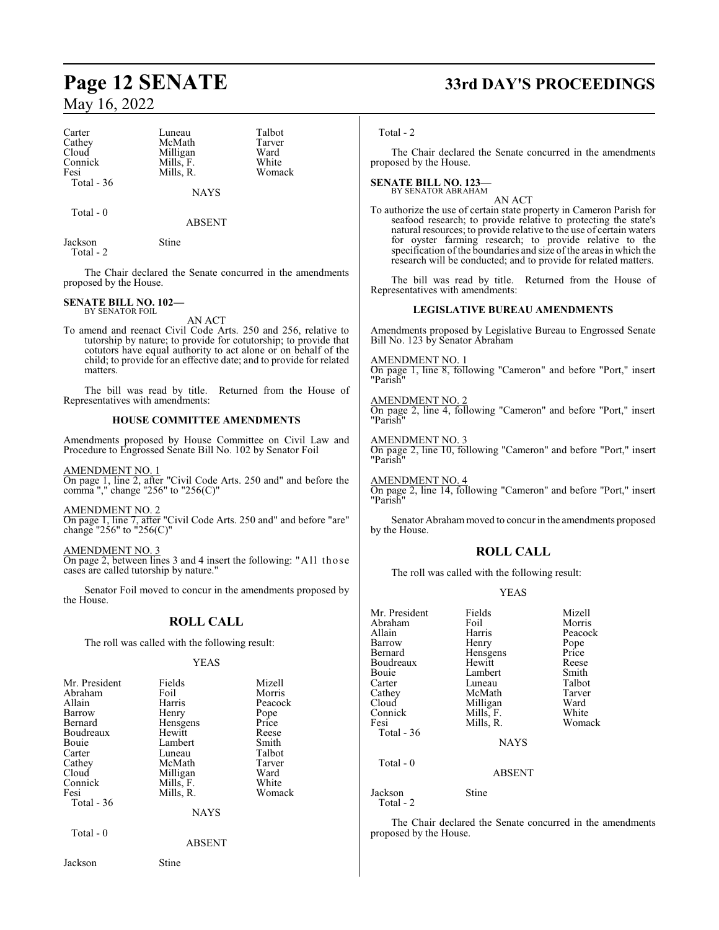Carter Luneau Talbot<br>Cathey McMath Tarver Cathey McMath Tarver<br>Cloud Milligan Ward Cloud Milligan Ward<br>
Connick Mills, F. White Connick Mills, F. White<br>
Fesi Mills, R. Womack Total - 36

Total - 0

Mills, R.

ABSENT

NAYS

Jackson Stine Total - 2

The Chair declared the Senate concurred in the amendments proposed by the House.

#### **SENATE BILL NO. 102—** BY SENATOR FOIL

AN ACT

To amend and reenact Civil Code Arts. 250 and 256, relative to tutorship by nature; to provide for cotutorship; to provide that cotutors have equal authority to act alone or on behalf of the child; to provide for an effective date; and to provide for related matters.

The bill was read by title. Returned from the House of Representatives with amendments:

#### **HOUSE COMMITTEE AMENDMENTS**

Amendments proposed by House Committee on Civil Law and Procedure to Engrossed Senate Bill No. 102 by Senator Foil

AMENDMENT NO. 1

On page 1, line 2, after "Civil Code Arts. 250 and" and before the comma "," change "256" to "256(C)"

AMENDMENT NO. 2

On page 1, line 7, after "Civil Code Arts. 250 and" and before "are" change "256" to "256(C)"

AMENDMENT NO. 3 On page 2, between lines 3 and 4 insert the following: "All those cases are called tutorship by nature."

Senator Foil moved to concur in the amendments proposed by the House.

### **ROLL CALL**

The roll was called with the following result:

#### YEAS

| Mr. President<br>Abraham<br>Allain<br>Barrow<br>Bernard<br>Boudreaux<br>Bouie<br>Carter<br>Cathey<br>Cloud<br>Connick<br>Fesi<br>Total $-36$ | Fields<br>Foil<br>Harris<br>Henry<br>Hensgens<br>Hewitt<br>Lambert<br>Luneau<br>McMath<br>Milligan<br>Mills, F.<br>Mills, R. | Mizell<br>Morris<br>Peacock<br>Pope<br>Price<br>Reese<br>Smith<br>Talbot<br>Tarver<br>Ward<br>White<br>Womack |
|----------------------------------------------------------------------------------------------------------------------------------------------|------------------------------------------------------------------------------------------------------------------------------|---------------------------------------------------------------------------------------------------------------|
|                                                                                                                                              | <b>NAYS</b>                                                                                                                  |                                                                                                               |
| Total - 0                                                                                                                                    | ABSENT                                                                                                                       |                                                                                                               |

Jackson Stine

# **Page 12 SENATE 33rd DAY'S PROCEEDINGS**

#### Total - 2

The Chair declared the Senate concurred in the amendments proposed by the House.

#### **SENATE BILL NO. 123—** BY SENATOR ABRAHAM

AN ACT

To authorize the use of certain state property in Cameron Parish for seafood research; to provide relative to protecting the state's natural resources; to provide relative to the use of certain waters for oyster farming research; to provide relative to the specification of the boundaries and size of the areas in which the research will be conducted; and to provide for related matters.

The bill was read by title. Returned from the House of Representatives with amendments:

#### **LEGISLATIVE BUREAU AMENDMENTS**

Amendments proposed by Legislative Bureau to Engrossed Senate Bill No. 123 by Senator Abraham

AMENDMENT NO. 1 On page 1, line 8, following "Cameron" and before "Port," insert "Parish"

AMENDMENT NO. 2 On page 2, line 4, following "Cameron" and before "Port," insert "Parish"

AMENDMENT NO. 3 On page 2, line 10, following "Cameron" and before "Port," insert "Parish"

AMENDMENT NO. 4 On page 2, line 14, following "Cameron" and before "Port," insert "Parish"

Senator Abrahammoved to concur in the amendments proposed by the House.

## **ROLL CALL**

The roll was called with the following result:

#### YEAS

| Mr. President<br>Abraham<br>Allain<br>Barrow<br>Bernard<br>Boudreaux<br>Bouie<br>Carter<br>Cathey<br>Cloud<br>Connick<br>Fesi | Fields<br>Foil<br>Harris<br>Henry<br>Hensgens<br>Hewitt<br>Lambert<br>Luneau<br>McMath<br>Milligan<br>Mills, F.<br>Mills, R. | Mizell<br>Morris<br>Peacock<br>Pope<br>Price<br>Reese<br>Smith<br>Talbot<br>Tarver<br>Ward<br>White<br>Womack |
|-------------------------------------------------------------------------------------------------------------------------------|------------------------------------------------------------------------------------------------------------------------------|---------------------------------------------------------------------------------------------------------------|
| Total - 36                                                                                                                    | <b>NAYS</b>                                                                                                                  |                                                                                                               |
| Total - 0                                                                                                                     | <b>ABSENT</b>                                                                                                                |                                                                                                               |
| Jackson<br>Total - 2                                                                                                          | Stine                                                                                                                        |                                                                                                               |

The Chair declared the Senate concurred in the amendments proposed by the House.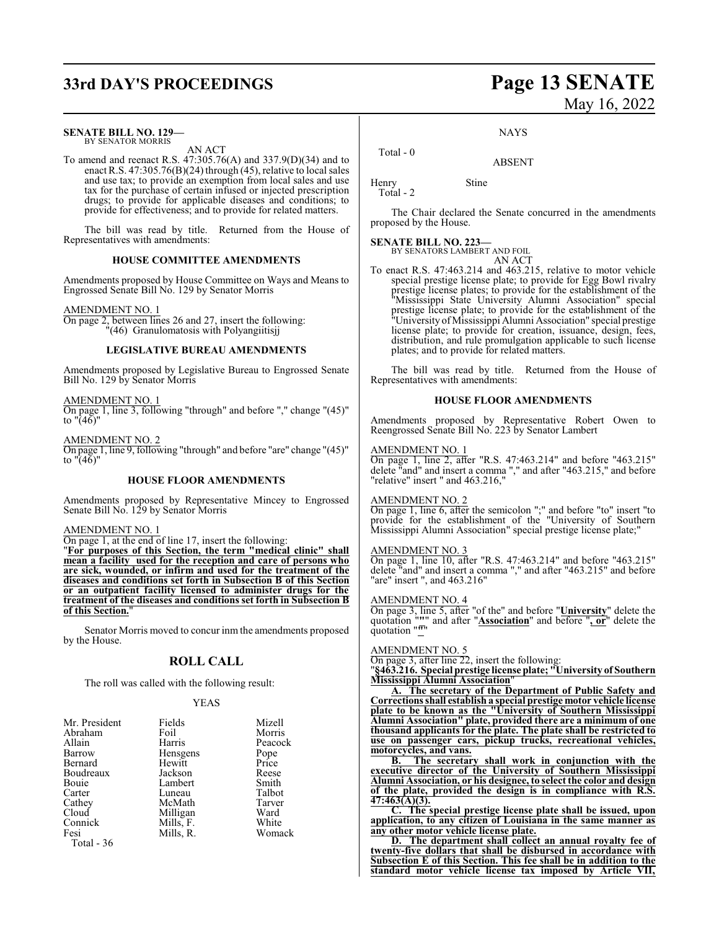# **33rd DAY'S PROCEEDINGS Page 13 SENATE**

#### **SENATE BILL NO. 129—** BY SENATOR MORRIS

AN ACT

To amend and reenact R.S. 47:305.76(A) and 337.9(D)(34) and to enact R.S. 47:305.76(B)(24) through (45), relative to local sales and use tax; to provide an exemption from local sales and use tax for the purchase of certain infused or injected prescription drugs; to provide for applicable diseases and conditions; to provide for effectiveness; and to provide for related matters.

The bill was read by title. Returned from the House of Representatives with amendments:

#### **HOUSE COMMITTEE AMENDMENTS**

Amendments proposed by House Committee on Ways and Means to Engrossed Senate Bill No. 129 by Senator Morris

#### AMENDMENT NO. 1

On page 2, between lines 26 and 27, insert the following: "(46) Granulomatosis with Polyangiitisjj

#### **LEGISLATIVE BUREAU AMENDMENTS**

Amendments proposed by Legislative Bureau to Engrossed Senate Bill No. 129 by Senator Morris

#### AMENDMENT NO. 1

On page 1, line 3, following "through" and before "," change "(45)" to "(46)"

AMENDMENT NO. 2 On page 1, line 9, following "through" and before "are" change "(45)" to  $\sqrt{46}$ "

#### **HOUSE FLOOR AMENDMENTS**

Amendments proposed by Representative Mincey to Engrossed Senate Bill No. 129 by Senator Morris

#### AMENDMENT NO. 1

On page 1, at the end of line 17, insert the following: "**For purposes of this Section, the term "medical clinic" shall mean a facility used for the reception and care of persons who are sick, wounded, or infirm and used for the treatment of the diseases and conditions set forth in Subsection B of this Section**

**or an outpatient facility licensed to administer drugs for the treatment of the diseases and conditions set forth in Subsection B of this Section.**"

Senator Morris moved to concur inm the amendments proposed by the House.

#### **ROLL CALL**

The roll was called with the following result:

#### YEAS

| Mr. President | Fields    | Mizell  |
|---------------|-----------|---------|
| Abraham       | Foil      | Morris  |
| Allain        | Harris    | Peacock |
| Barrow        | Hensgens  | Pope    |
| Bernard       | Hewitt    | Price   |
| Boudreaux     | Jackson   | Reese   |
| Bouie         | Lambert   | Smith   |
| Carter        | Luneau    | Talbot  |
| Cathey        | McMath    | Tarver  |
| Cloud         | Milligan  | Ward    |
| Connick       | Mills, F. | White   |
| Fesi          | Mills, R. | Womack  |
| Total - 36    |           |         |

May 16, 2022

NAYS

ABSENT

Henry Stine Total - 2

Total - 0

The Chair declared the Senate concurred in the amendments proposed by the House.

**SENATE BILL NO. 223—** BY SENATORS LAMBERT AND FOIL AN ACT

To enact R.S. 47:463.214 and 463.215, relative to motor vehicle special prestige license plate; to provide for Egg Bowl rivalry prestige license plates; to provide for the establishment of the "Mississippi State University Alumni Association" special prestige license plate; to provide for the establishment of the "University ofMississippi Alumni Association" special prestige license plate; to provide for creation, issuance, design, fees, distribution, and rule promulgation applicable to such license plates; and to provide for related matters.

The bill was read by title. Returned from the House of Representatives with amendments:

#### **HOUSE FLOOR AMENDMENTS**

Amendments proposed by Representative Robert Owen to Reengrossed Senate Bill No. 223 by Senator Lambert

#### AMENDMENT NO. 1

On page 1, line 2, after "R.S. 47:463.214" and before "463.215" delete "and" and insert a comma "," and after "463.215," and before "relative" insert " and 463.216,"

#### AMENDMENT NO. 2

On page 1, line 6, after the semicolon ";" and before "to" insert "to provide for the establishment of the "University of Southern Mississippi Alumni Association" special prestige license plate;"

#### AMENDMENT NO. 3

On page 1, line 10, after "R.S. 47:463.214" and before "463.215" delete "and" and insert a comma "," and after "463.215" and before "are" insert ", and 463.216"

#### AMENDMENT NO. 4

On page 3, line 5, after "of the" and before "**University**" delete the quotation "**"**" and after "**Association**" and before "**, or**" delete the quotation "**"**"

#### AMENDMENT NO. 5

On page 3, after line 22, insert the following:

"**§463.216. Special prestige license plate; "University of Southern Mississippi Alumni Association**"

**A. The secretary of the Department of Public Safety and Correctionsshall establish a special prestige motor vehicle license plate to be known as the "University of Southern Mississippi Alumni Association" plate, provided there are a minimum of one thousand applicants for the plate. The plate shall be restricted to use on passenger cars, pickup trucks, recreational vehicles, motorcycles, and vans.**

**B. The secretary shall work in conjunction with the executive director of the University of Southern Mississippi Alumni Association, or his designee, to select the color and design of the plate, provided the design is in compliance with R.S. 47:463(A)(3).**

**C. The special prestige license plate shall be issued, upon application, to any citizen of Louisiana in the same manner as any other motor vehicle license plate.**

**D. The department shall collect an annual royalty fee of twenty-five dollars that shall be disbursed in accordance with Subsection E of this Section. This fee shall be in addition to the standard motor vehicle license tax imposed by Article VII,**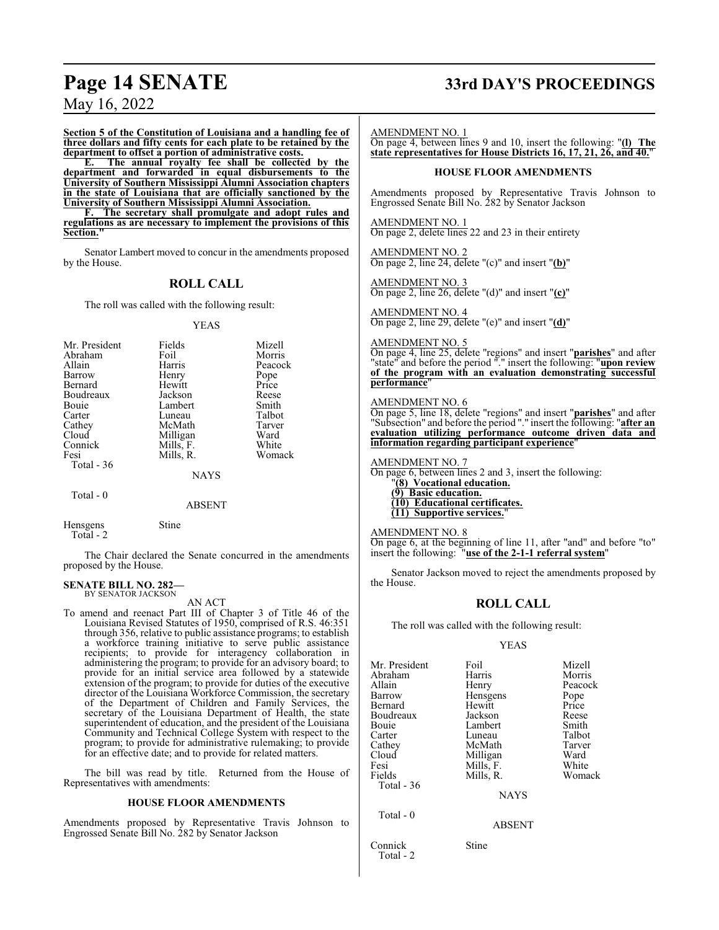**Section 5 of the Constitution of Louisiana and a handling fee of three dollars and fifty cents for each plate to be retained by the department to offset a portion of administrative costs.**<br> **E.** The annual royalty fee shall be collected

**E. The annual royalty fee shall be collected by the department and forwarded in equal disbursements to the University of Southern Mississippi Alumni Association chapters in the state of Louisiana that are officially sanctioned by the University of Southern Mississippi Alumni Association.**

**F. The secretary shall promulgate and adopt rules and regulations as are necessary to implement the provisions of this Section."**

Senator Lambert moved to concur in the amendments proposed by the House.

## **ROLL CALL**

The roll was called with the following result:

#### YEAS

| Mr. President | Fields      | Mizell  |
|---------------|-------------|---------|
| Abraham       | Foil        | Morris  |
| Allain        | Harris      | Peacock |
| Barrow        | Henry       | Pope    |
| Bernard       | Hewitt      | Price   |
| Boudreaux     | Jackson     | Reese   |
| Bouie         | Lambert     | Smith   |
| Carter        | Luneau      | Talbot  |
| Cathey        | McMath      | Tarver  |
| Cloud         | Milligan    | Ward    |
| Connick       | Mills, F.   | White   |
| Fesi          | Mills, R.   | Womack  |
| Total - 36    |             |         |
|               | <b>NAYS</b> |         |
| Total - 0     |             |         |

ABSENT

Hensgens Stine Total - 2

The Chair declared the Senate concurred in the amendments proposed by the House.

#### **SENATE BILL NO. 282—** BY SENATOR JACKSON

AN ACT

To amend and reenact Part III of Chapter 3 of Title 46 of the Louisiana Revised Statutes of 1950, comprised of R.S. 46:351 through 356, relative to public assistance programs; to establish a workforce training initiative to serve public assistance recipients; to provide for interagency collaboration in administering the program; to provide for an advisory board; to provide for an initial service area followed by a statewide extension of the program; to provide for duties of the executive director of the Louisiana Workforce Commission, the secretary of the Department of Children and Family Services, the secretary of the Louisiana Department of Health, the state superintendent of education, and the president of the Louisiana Community and Technical College System with respect to the program; to provide for administrative rulemaking; to provide for an effective date; and to provide for related matters.

The bill was read by title. Returned from the House of Representatives with amendments:

#### **HOUSE FLOOR AMENDMENTS**

Amendments proposed by Representative Travis Johnson to Engrossed Senate Bill No. 282 by Senator Jackson

# **Page 14 SENATE 33rd DAY'S PROCEEDINGS**

AMENDMENT NO. 1

On page 4, between lines 9 and 10, insert the following: "**(l) The state representatives for House Districts 16, 17, 21, 26, and 40.**"

#### **HOUSE FLOOR AMENDMENTS**

Amendments proposed by Representative Travis Johnson to Engrossed Senate Bill No. 282 by Senator Jackson

AMENDMENT NO. 1 On page 2, delete lines 22 and 23 in their entirety

AMENDMENT NO. 2 On page 2, line 24, delete "(c)" and insert "**(b)**"

AMENDMENT NO. 3 On page 2, line 26, delete "(d)" and insert "**(c)**"

AMENDMENT NO. 4 On page 2, line 29, delete "(e)" and insert "**(d)**"

#### AMENDMENT NO. 5

On page 4, line 25, delete "regions" and insert "**parishes**" and after "state" and before the period "." insert the following: "**upon review of the program with an evaluation demonstrating successful performance**"

#### AMENDMENT NO. 6

On page 5, line 18, delete "regions" and insert "**parishes**" and after "Subsection" and before the period "." insert the following: "**after an evaluation utilizing performance outcome driven data and information regarding participant experience**"

AMENDMENT NO. 7

On page 6, between lines 2 and 3, insert the following:

"**(8) Vocational education. (9) Basic education. (10) Educational certificates. (11) Supportive services.**"

#### AMENDMENT NO. 8

On page 6, at the beginning of line 11, after "and" and before "to" insert the following: "**use of the 2-1-1 referral system**"

Senator Jackson moved to reject the amendments proposed by the House.

#### **ROLL CALL**

The roll was called with the following result:

#### YEAS

| Mr. President | Foil        | Mizell  |
|---------------|-------------|---------|
| Abraham       | Harris      | Morris  |
| Allain        | Henry       | Peacock |
| Barrow        | Hensgens    | Pope    |
| Bernard       | Hewitt      | Price   |
| Boudreaux     | Jackson     | Reese   |
| Bouie         | Lambert     | Smith   |
| Carter        | Luneau      | Talbot  |
| Cathey        | McMath      | Tarver  |
| Cloud         | Milligan    | Ward    |
| Fesi          | Mills, F.   | White   |
| Fields        | Mills, R.   | Womack  |
| Total - 36    |             |         |
|               | <b>NAYS</b> |         |
| Total - 0     |             |         |
|               | ABSENT      |         |

Connick Stine Total - 2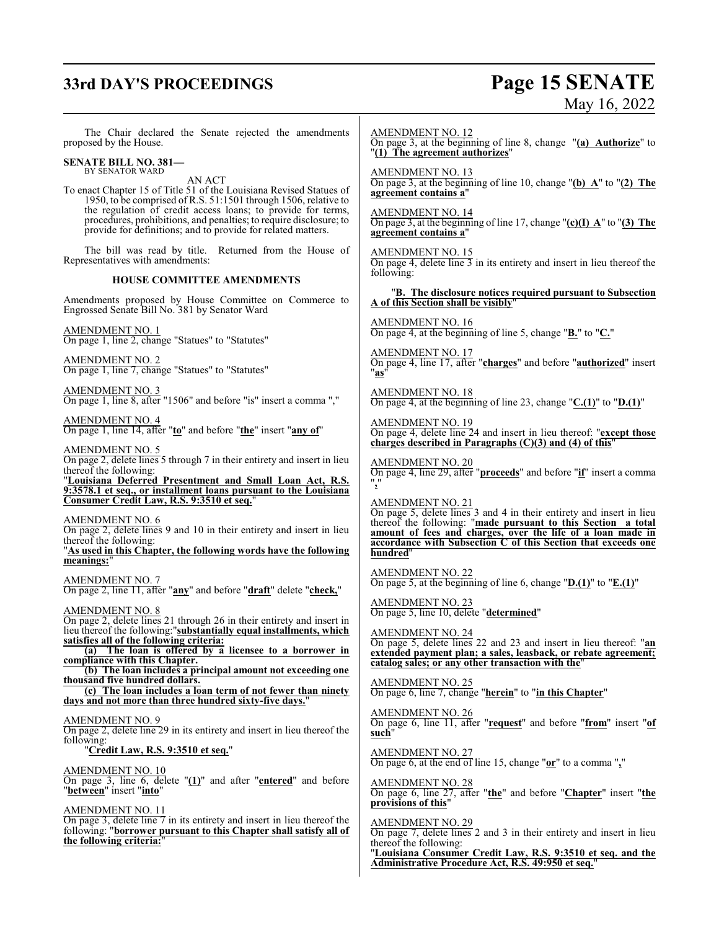# **33rd DAY'S PROCEEDINGS Page 15 SENATE**

# May 16, 2022

The Chair declared the Senate rejected the amendments proposed by the House. **SENATE BILL NO. 381—** BY SENATOR WARD AN ACT To enact Chapter 15 of Title 51 of the Louisiana Revised Statues of 1950, to be comprised of R.S. 51:1501 through 1506, relative to the regulation of credit access loans; to provide for terms, procedures, prohibitions, and penalties; to require disclosure; to provide for definitions; and to provide for related matters. The bill was read by title. Returned from the House of Representatives with amendments: **HOUSE COMMITTEE AMENDMENTS** Amendments proposed by House Committee on Commerce to Engrossed Senate Bill No. 381 by Senator Ward AMENDMENT NO. 1 On page 1, line 2, change "Statues" to "Statutes" AMENDMENT NO. 2 On page 1, line 7, change "Statues" to "Statutes" AMENDMENT NO. 3 On page 1, line 8, after "1506" and before "is" insert a comma "," AMENDMENT NO. 4 On page 1, line 14, after "**to**" and before "**the**" insert "**any of**" AMENDMENT NO. 5 On page 2, delete lines 5 through 7 in their entirety and insert in lieu thereof the following: "**Louisiana Deferred Presentment and Small Loan Act, R.S. 9:3578.1 et seq., or installment loans pursuant to the Louisiana Consumer Credit Law, R.S. 9:3510 et seq.**" AMENDMENT NO. 6 On page 2, delete lines 9 and 10 in their entirety and insert in lieu thereof the following: "**As used in this Chapter, the following words have the following** meanings: AMENDMENT NO. 7 On page 2, line 11, after "**any**" and before "**draft**" delete "**check,**" AMENDMENT NO. 8 On page 2, delete lines 21 through 26 in their entirety and insert in lieu thereof the following:"**substantially equal installments, which satisfies all of the following criteria: (a) The loan is offered by a licensee to a borrower in compliance with this Chapter. (b) The loan includes a principal amount not exceeding one thousand five hundred dollars. (c) The loan includes a loan term of not fewer than ninety days and not more than three hundred sixty-five days.**" AMENDMENT NO. 9 On page 2, delete line 29 in its entirety and insert in lieu thereof the following: "**Credit Law, R.S. 9:3510 et seq.**" AMENDMENT NO. 10 On page 3, line 6, delete "**(1)**" and after "**entered**" and before "**between**" insert "**into**" AMENDMENT NO. 11 On page 3, delete line 7 in its entirety and insert in lieu thereof the following: "**borrower pursuant to this Chapter shall satisfy all of the following criteria:**" AMENDMENT NO. 12 On page 3, at the beginning of line 8, change "**(a) Authorize**" to "**(1) The agreement authorizes**" AMENDMENT NO. 13 On page 3, at the beginning of line 10, change "**(b) A**" to "**(2) The agreement contains a**" AMENDMENT NO. 14 On page 3, at the beginning of line 17, change "**(c)(I) A**" to "**(3) The agreement contains a**" AMENDMENT NO. 15 On page 4, delete line 3 in its entirety and insert in lieu thereof the following: "**B. The disclosure notices required pursuant to Subsection A of this Section shall be visibly**" AMENDMENT NO. 16 On page 4, at the beginning of line 5, change "**B.**" to "**C.**" AMENDMENT NO. 17 On page 4, line 17, after "**charges**" and before "**authorized**" insert "**as**" AMENDMENT NO. 18 On page 4, at the beginning of line 23, change "**C.(1)**" to "**D.(1)**" AMENDMENT NO. 19 On page 4, delete line 24 and insert in lieu thereof: "**except those charges described in Paragraphs (C)(3) and (4) of this**" AMENDMENT NO. 20 On page 4, line 29, after "**proceeds**" and before "**if**" insert a comma "**,**" AMENDMENT NO. 21 On page 5, delete lines 3 and 4 in their entirety and insert in lieu thereof the following: "**made pursuant to this Section a total amount of fees and charges, over the life of a loan made in accordance with Subsection C of this Section that exceeds one hundred**" AMENDMENT NO. 22 On page 5, at the beginning of line 6, change "**D.(1)**" to "**E.(1)**" AMENDMENT NO. 23 On page 5, line 10, delete "**determined**" AMENDMENT NO. 24 On page 5, delete lines 22 and 23 and insert in lieu thereof: "**an extended payment plan; a sales, leasback, or rebate agreement; catalog sales; or any other transaction with the**" AMENDMENT NO. 25 On page 6, line 7, change "**herein**" to "**in this Chapter**" AMENDMENT NO. 26 On page 6, line 11, after "**request**" and before "**from**" insert "**of such**" AMENDMENT NO. 27 On page 6, at the end of line 15, change "**or**" to a comma "**,**" AMENDMENT NO. 28 On page 6, line 27, after "**the**" and before "**Chapter**" insert "**the provisions of this**" AMENDMENT NO. 29 On page 7, delete lines 2 and 3 in their entirety and insert in lieu thereof the following: "**Louisiana Consumer Credit Law, R.S. 9:3510 et seq. and the Administrative Procedure Act, R.S. 49:950 et seq.**"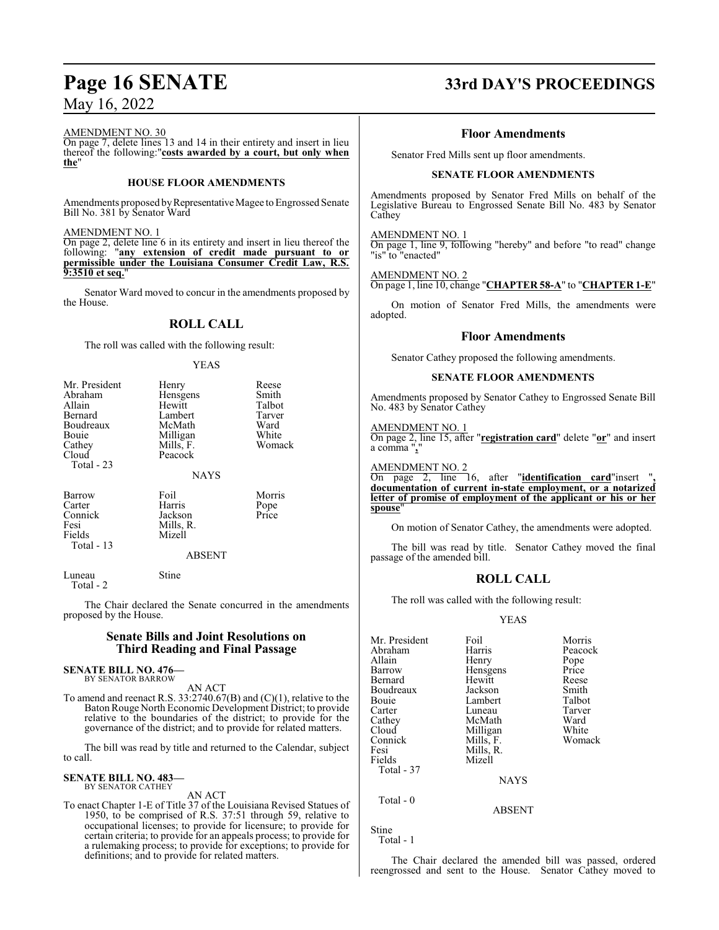AMENDMENT NO. 30

On page 7, delete lines 13 and 14 in their entirety and insert in lieu thereof the following:"**costs awarded by a court, but only when the**"

#### **HOUSE FLOOR AMENDMENTS**

Amendments proposed by Representative Magee to Engrossed Senate Bill No. 381 by Senator Ward

#### AMENDMENT NO. 1

On page 2, delete line 6 in its entirety and insert in lieu thereof the following: "**any extension of credit made pursuant to or permissible under the Louisiana Consumer Credit Law, R.S. 9:3510 et seq.**"

Senator Ward moved to concur in the amendments proposed by the House.

## **ROLL CALL**

The roll was called with the following result:

YEAS

| Mr. President<br>Abraham<br>Allain<br>Bernard<br>Boudreaux<br>Bouie<br>Cathey<br>Cloud | Henry<br>Hensgens<br>Hewitt<br>Lambert<br>McMath<br>Milligan<br>Mills, F.<br>Peacock | Reese<br>Smith<br>Talbot<br>Tarver<br>Ward<br>White<br>Womack |
|----------------------------------------------------------------------------------------|--------------------------------------------------------------------------------------|---------------------------------------------------------------|
| Total - 23                                                                             | <b>NAYS</b>                                                                          |                                                               |
| Barrow<br>Carter<br>Connick<br>Fesi<br>Fields<br>Total - 13                            | Foil<br>Harris<br>Jackson<br>Mills, R.<br>Mizell                                     | Morris<br>Pope<br>Price                                       |
|                                                                                        | <b>ABSENT</b>                                                                        |                                                               |
| Luneau                                                                                 | Stine                                                                                |                                                               |

The Chair declared the Senate concurred in the amendments proposed by the House.

#### **Senate Bills and Joint Resolutions on Third Reading and Final Passage**

# **SENATE BILL NO. 476—** BY SENATOR BARROW

Total - 2

AN ACT

To amend and reenact R.S. 33:2740.67(B) and (C)(1), relative to the Baton Rouge North Economic Development District; to provide relative to the boundaries of the district; to provide for the governance of the district; and to provide for related matters.

The bill was read by title and returned to the Calendar, subject to call.

#### **SENATE BILL NO. 483—** BY SENATOR CATHEY

AN ACT

To enact Chapter 1-E of Title 37 of the Louisiana Revised Statues of 1950, to be comprised of R.S. 37:51 through 59, relative to occupational licenses; to provide for licensure; to provide for certain criteria; to provide for an appeals process; to provide for a rulemaking process; to provide for exceptions; to provide for definitions; and to provide for related matters.

# **Page 16 SENATE 33rd DAY'S PROCEEDINGS**

#### **Floor Amendments**

Senator Fred Mills sent up floor amendments.

#### **SENATE FLOOR AMENDMENTS**

Amendments proposed by Senator Fred Mills on behalf of the Legislative Bureau to Engrossed Senate Bill No. 483 by Senator Cathey

#### AMENDMENT NO. 1

On page 1, line 9, following "hereby" and before "to read" change "is" to "enacted"

#### AMENDMENT NO. 2

On page 1, line 10, change "**CHAPTER 58-A**" to "**CHAPTER 1-E**"

On motion of Senator Fred Mills, the amendments were adopted.

#### **Floor Amendments**

Senator Cathey proposed the following amendments.

#### **SENATE FLOOR AMENDMENTS**

Amendments proposed by Senator Cathey to Engrossed Senate Bill No. 483 by Senator Cathey

AMENDMENT NO. 1

On page 2, line 15, after "**registration card**" delete "**or**" and insert a comma "**,**"

AMENDMENT NO. 2

On page 2, line 16, after "**identification card**"insert "**, documentation of current in-state employment, or a notarized letter of promise of employment of the applicant or his or her spouse**"

On motion of Senator Cathey, the amendments were adopted.

The bill was read by title. Senator Cathey moved the final passage of the amended bill.

#### **ROLL CALL**

The roll was called with the following result:

YEAS

| Mr. President | Foil        | Morris  |
|---------------|-------------|---------|
| Abraham       | Harris      | Peacock |
| Allain        | Henry       | Pope    |
| Barrow        | Hensgens    | Price   |
| Bernard       | Hewitt      | Reese   |
| Boudreaux     | Jackson     | Smith   |
| Bouie         | Lambert     | Talbot  |
| Carter        | Luneau      | Tarver  |
| Cathey        | McMath      | Ward    |
| Cloud         | Milligan    | White   |
| Connick       | Mills, F.   | Womack  |
| Fesi          | Mills, R.   |         |
| Fields        | Mizell      |         |
| Total - 37    |             |         |
|               | <b>NAYS</b> |         |
| Total - 0     |             |         |
|               | ABSENT      |         |

Stine

Total - 1

The Chair declared the amended bill was passed, ordered reengrossed and sent to the House. Senator Cathey moved to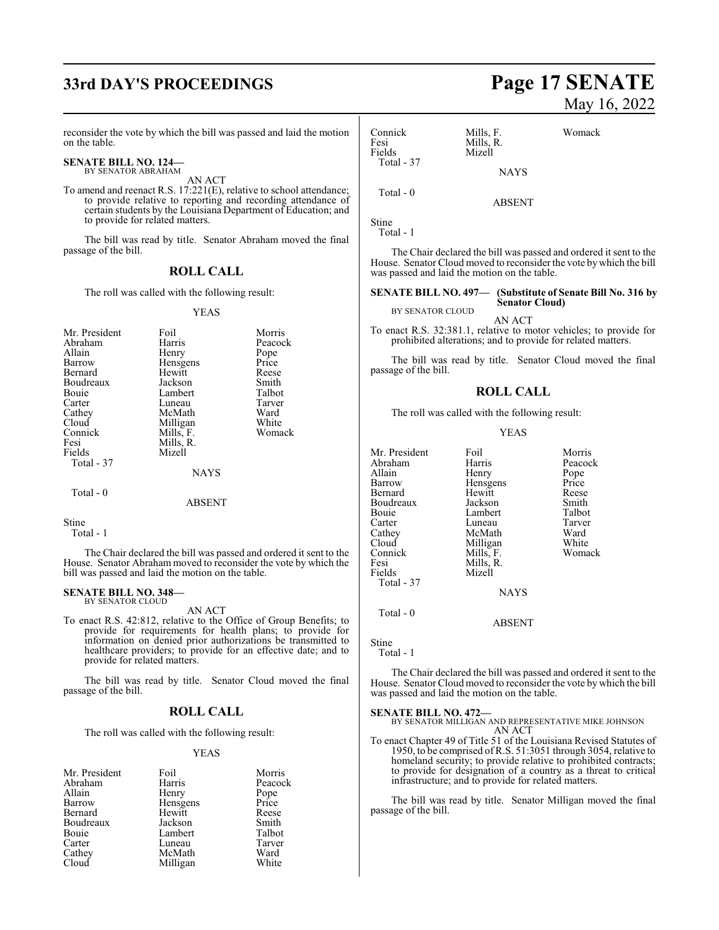# **33rd DAY'S PROCEEDINGS Page 17 SENATE**

reconsider the vote by which the bill was passed and laid the motion on the table.

#### **SENATE BILL NO. 124—** BY SENATOR ABRAHAM

AN ACT

To amend and reenact R.S. 17:221(E), relative to school attendance; to provide relative to reporting and recording attendance of certain students by the Louisiana Department of Education; and to provide for related matters.

The bill was read by title. Senator Abraham moved the final passage of the bill.

### **ROLL CALL**

The roll was called with the following result:

#### YEAS

| Mr. President<br>Abraham<br>Allain<br>Barrow<br>Bernard<br>Boudreaux<br>Bouie<br>Carter<br>Cathey<br>Cloud | Foil<br>Harris<br>Henry<br>Hensgens<br>Hewitt<br>Jackson<br>Lambert<br>Luneau<br>McMath<br>Milligan | Morris<br>Peacock<br>Pope<br>Price<br>Reese<br>Smith<br>Talbot<br>Tarver<br>Ward<br>White |
|------------------------------------------------------------------------------------------------------------|-----------------------------------------------------------------------------------------------------|-------------------------------------------------------------------------------------------|
| Fesi<br>Fields<br>Total - 37                                                                               | Mills, F.<br>Mills, R.<br>Mizell<br><b>NAYS</b>                                                     |                                                                                           |
| Total - 0                                                                                                  | ABSENT                                                                                              |                                                                                           |

Stine

Total - 1

The Chair declared the bill was passed and ordered it sent to the House. Senator Abraham moved to reconsider the vote by which the bill was passed and laid the motion on the table.

#### **SENATE BILL NO. 348—** BY SENATOR CLOUD

AN ACT

To enact R.S. 42:812, relative to the Office of Group Benefits; to provide for requirements for health plans; to provide for information on denied prior authorizations be transmitted to healthcare providers; to provide for an effective date; and to provide for related matters.

The bill was read by title. Senator Cloud moved the final passage of the bill.

#### **ROLL CALL**

The roll was called with the following result:

#### YEAS

| Mr. President | Foil     | Morris        |
|---------------|----------|---------------|
| Abraham       | Harris   | Peacock       |
| Allain        | Henry    | Pope<br>Price |
| Barrow        | Hensgens |               |
| Bernard       | Hewitt   | Reese         |
| Boudreaux     | Jackson  | Smith         |
| Bouie         | Lambert  | Talbot        |
| Carter        | Luneau   | Tarver        |
| Cathey        | McMath   | Ward          |
| Cloud         | Milligan | White         |

# May 16, 2022

| Connick<br>Fesi<br>Fields | Mills, F.<br>Mills, R.<br>Mizell | Womack |
|---------------------------|----------------------------------|--------|
| Total - 37                | <b>NAYS</b>                      |        |
| Total - 0                 | <b>ABSENT</b>                    |        |

Stine

Total - 1

The Chair declared the bill was passed and ordered it sent to the House. Senator Cloud moved to reconsider the vote bywhich the bill was passed and laid the motion on the table.

#### **SENATE BILL NO. 497— (Substitute of Senate Bill No. 316 by Senator Cloud)**

BY SENATOR CLOUD AN ACT

To enact R.S. 32:381.1, relative to motor vehicles; to provide for prohibited alterations; and to provide for related matters.

The bill was read by title. Senator Cloud moved the final passage of the bill.

#### **ROLL CALL**

The roll was called with the following result:

#### YEAS

| Mr. President | Foil          | Morris  |
|---------------|---------------|---------|
| Abraham       | Harris        | Peacock |
| Allain        | Henry         | Pope    |
| Barrow        | Hensgens      | Price   |
| Bernard       | Hewitt        | Reese   |
| Boudreaux     | Jackson       | Smith   |
| Bouie         | Lambert       | Talbot  |
| Carter        | Luneau        | Tarver  |
| Cathey        | McMath        | Ward    |
| Cloud         | Milligan      | White   |
| Connick       | Mills, F.     | Womack  |
| Fesi          | Mills, R.     |         |
| Fields        | Mizell        |         |
| Total - 37    |               |         |
|               | <b>NAYS</b>   |         |
| Total - 0     |               |         |
|               | <b>ABSENT</b> |         |

Stine Total - 1

The Chair declared the bill was passed and ordered it sent to the House. Senator Cloud moved to reconsider the vote by which the bill was passed and laid the motion on the table.

#### **SENATE BILL NO. 472—**

BY SENATOR MILLIGAN AND REPRESENTATIVE MIKE JOHNSON AN ACT

To enact Chapter 49 of Title 51 of the Louisiana Revised Statutes of 1950, to be comprised of R.S. 51:3051 through 3054, relative to homeland security; to provide relative to prohibited contracts; to provide for designation of a country as a threat to critical infrastructure; and to provide for related matters.

The bill was read by title. Senator Milligan moved the final passage of the bill.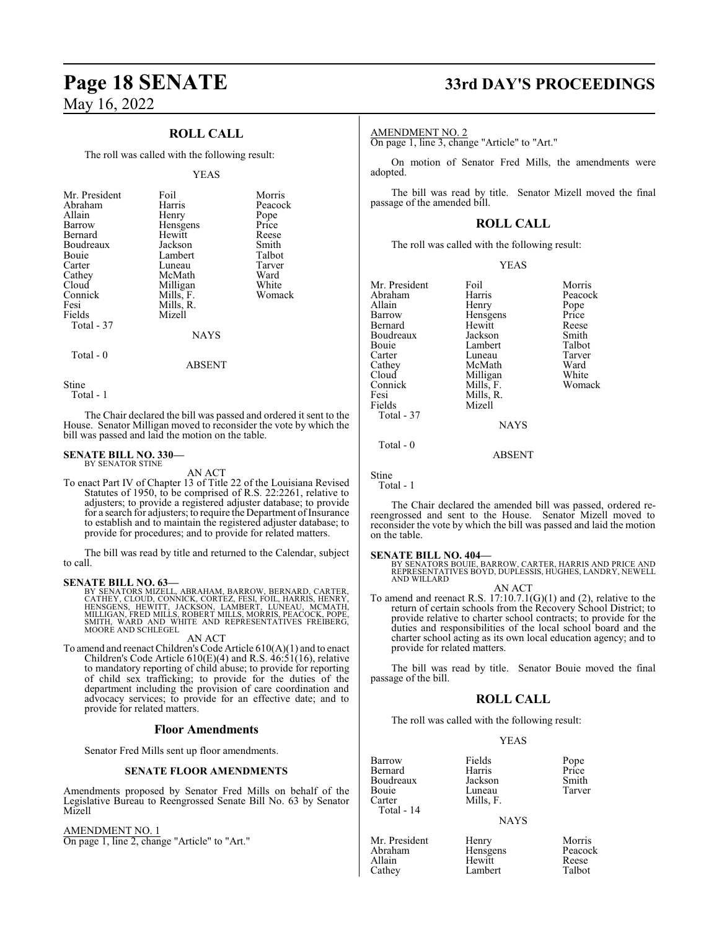### **ROLL CALL**

The roll was called with the following result:

#### YEAS

| Mr. President<br>Abraham<br>Allain<br>Barrow<br>Bernard<br>Boudreaux<br>Bouie<br>Carter<br>Cathey | Foil<br>Harris<br>Henry<br>Hensgens<br>Hewitt<br>Jackson<br>Lambert<br>Luneau<br>McMath | Morris<br>Peacock<br>Pope<br>Price<br>Reese<br>Smith<br>Talbot<br>Tarver<br>Ward |
|---------------------------------------------------------------------------------------------------|-----------------------------------------------------------------------------------------|----------------------------------------------------------------------------------|
|                                                                                                   |                                                                                         |                                                                                  |
|                                                                                                   |                                                                                         |                                                                                  |
|                                                                                                   |                                                                                         |                                                                                  |
|                                                                                                   |                                                                                         |                                                                                  |
| Cloud                                                                                             | Milligan                                                                                | White                                                                            |
| Connick                                                                                           | Mills, F.                                                                               | Womack                                                                           |
| Fesi                                                                                              | Mills, R.                                                                               |                                                                                  |
| Fields                                                                                            | Mizell                                                                                  |                                                                                  |
| Total - 37                                                                                        |                                                                                         |                                                                                  |
|                                                                                                   | <b>NAYS</b>                                                                             |                                                                                  |
|                                                                                                   |                                                                                         |                                                                                  |

## Total - 0

Stine

Total - 1

The Chair declared the bill was passed and ordered it sent to the House. Senator Milligan moved to reconsider the vote by which the bill was passed and laid the motion on the table.

ABSENT

#### **SENATE BILL NO. 330—** BY SENATOR STINE

AN ACT

To enact Part IV of Chapter 13 of Title 22 of the Louisiana Revised Statutes of 1950, to be comprised of R.S. 22:2261, relative to adjusters; to provide a registered adjuster database; to provide for a search for adjusters; to require the Department of Insurance to establish and to maintain the registered adjuster database; to provide for procedures; and to provide for related matters.

The bill was read by title and returned to the Calendar, subject to call.

#### **SENATE BILL NO. 63—**

BY SENATORS MIZELL, ABRAHAM, BARROW, BERNARD, CARTER,<br>CATHEY, CLOUD, CONNICK, CORTEZ, FESI, FOIL, HARRIS, HENRY,<br>HENSGENS, HEWITT, JACKSON, LAMBERT, LUNEAU, MCMATH,<br>MILLIGAN, FRED MILLS, ROBERT MILLS, MORRIS, PEACOCK, POPE

#### AN ACT

To amend and reenact Children's Code Article 610(A)(1) and to enact Children's Code Article 610(E)(4) and R.S. 46:51(16), relative to mandatory reporting of child abuse; to provide for reporting of child sex trafficking; to provide for the duties of the department including the provision of care coordination and advocacy services; to provide for an effective date; and to provide for related matters.

#### **Floor Amendments**

Senator Fred Mills sent up floor amendments.

#### **SENATE FLOOR AMENDMENTS**

Amendments proposed by Senator Fred Mills on behalf of the Legislative Bureau to Reengrossed Senate Bill No. 63 by Senator Mizell

AMENDMENT NO. 1 On page 1, line 2, change "Article" to "Art."

# **Page 18 SENATE 33rd DAY'S PROCEEDINGS**

#### AMENDMENT NO. 2

On page 1, line 3, change "Article" to "Art."

On motion of Senator Fred Mills, the amendments were adopted.

The bill was read by title. Senator Mizell moved the final passage of the amended bill.

#### **ROLL CALL**

The roll was called with the following result:

| v<br>I |
|--------|
|--------|

| Mr. President | Foil        | Morris  |
|---------------|-------------|---------|
| Abraham       | Harris      | Peacock |
| Allain        | Henry       | Pope    |
| Barrow        | Hensgens    | Price   |
| Bernard       | Hewitt      | Reese   |
| Boudreaux     | Jackson     | Smith   |
| Bouie         | Lambert     | Talbot  |
| Carter        | Luneau      | Tarver  |
| Cathey        | McMath      | Ward    |
| Cloud         | Milligan    | White   |
| Connick       | Mills, F.   | Womack  |
| Fesi          | Mills, R.   |         |
| Fields        | Mizell      |         |
| Total - 37    |             |         |
|               | <b>NAYS</b> |         |
|               |             |         |

ABSENT

Stine

Total - 1

Total - 0

The Chair declared the amended bill was passed, ordered rereengrossed and sent to the House. Senator Mizell moved to reconsider the vote by which the bill was passed and laid the motion on the table.

#### **SENATE BILL NO. 404—**

BY SENATORS BOUIE, BARROW, CARTER, HARRIS AND PRICE AND REPRESENTATIVES BOYD, DUPLESSIS, HUGHES, LANDRY, NEWELL AND WILLARD

AN ACT To amend and reenact R.S.  $17:10.7.1(G)(1)$  and  $(2)$ , relative to the return of certain schools from the Recovery School District; to provide relative to charter school contracts; to provide for the duties and responsibilities of the local school board and the charter school acting as its own local education agency; and to provide for related matters.

The bill was read by title. Senator Bouie moved the final passage of the bill.

#### **ROLL CALL**

The roll was called with the following result:

#### YEAS

| Barrow     | Fields    |               |
|------------|-----------|---------------|
| Bernard    | Harris    | Pope<br>Price |
| Boudreaux  | Jackson   | Smith         |
| Bouie      | Luneau    | Tarver        |
| Carter     | Mills. F. |               |
| Total - 14 |           |               |
|            | NAVS      |               |

#### NAYS

| Mr. President | Henry    | Morris  |
|---------------|----------|---------|
| Abraham       | Hensgens | Peacock |
| Allain        | Hewitt   | Reese   |
| Cathey        | Lambert  | Talbot  |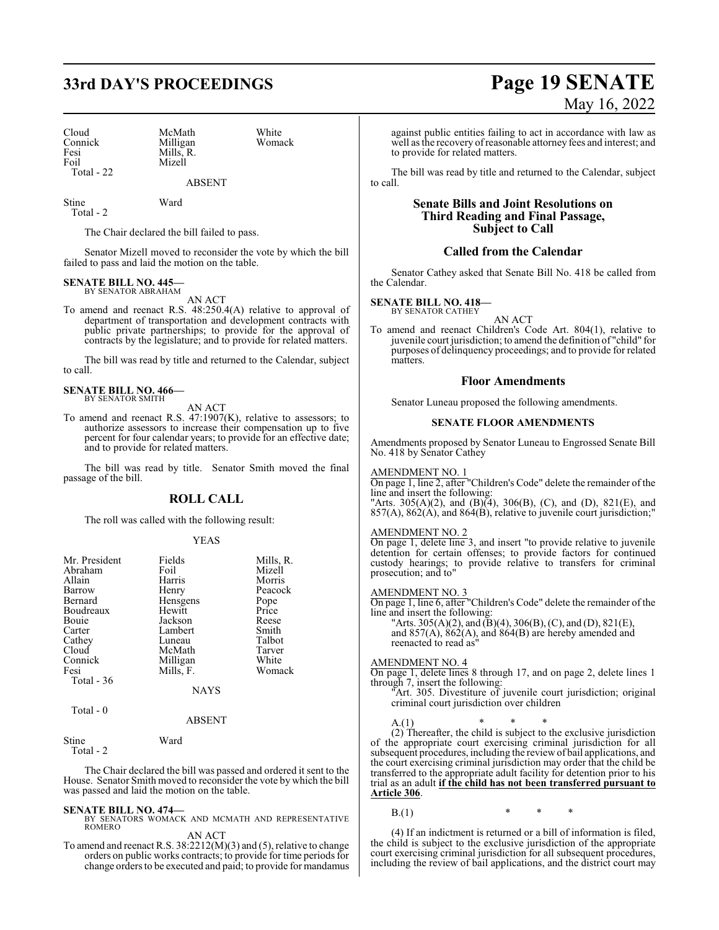| Cloud      | McMath    | White  |
|------------|-----------|--------|
| Connick    | Milligan  | Womack |
| Fesi       | Mills. R. |        |
| Foil       | Mizell    |        |
| Total - 22 |           |        |
|            |           |        |

ABSENT

Stine Ward Total - 2

The Chair declared the bill failed to pass.

Senator Mizell moved to reconsider the vote by which the bill failed to pass and laid the motion on the table.

#### **SENATE BILL NO. 445—** BY SENATOR ABRAHAM

AN ACT

To amend and reenact R.S. 48:250.4(A) relative to approval of department of transportation and development contracts with public private partnerships; to provide for the approval of contracts by the legislature; and to provide for related matters.

The bill was read by title and returned to the Calendar, subject to call.

#### **SENATE BILL NO. 466—** BY SENATOR SMITH

AN ACT

To amend and reenact R.S. 47:1907(K), relative to assessors; to authorize assessors to increase their compensation up to five percent for four calendar years; to provide for an effective date; and to provide for related matters.

The bill was read by title. Senator Smith moved the final passage of the bill.

#### **ROLL CALL**

The roll was called with the following result:

#### YEAS

| Mr. President | Fields      | Mills, R. |
|---------------|-------------|-----------|
| Abraham       | Foil        | Mizell    |
| Allain        | Harris      | Morris    |
|               |             |           |
| Barrow        | Henry       | Peacock   |
| Bernard       | Hensgens    | Pope      |
| Boudreaux     | Hewitt      | Price     |
| <b>Bouje</b>  | Jackson     | Reese     |
| Carter        | Lambert     | Smith     |
| Cathey        | Luneau      | Talbot    |
| Cloud         | McMath      | Tarver    |
| Connick       | Milligan    | White     |
| Fesi          | Mills, F.   | Womack    |
| Total - 36    |             |           |
|               | <b>NAYS</b> |           |
| Total - 0     |             |           |

#### ABSENT

The Chair declared the bill was passed and ordered it sent to the House. Senator Smith moved to reconsider the vote by which the bill was passed and laid the motion on the table.

Stine Ward

Total - 2

**SENATE BILL NO. 474—**<br>BY SENATORS WOMACK AND MCMATH AND REPRESENTATIVE<br>ROMERO

AN ACT

To amend and reenact R.S. 38:2212(M)(3) and (5), relative to change orders on public works contracts; to provide for time periods for change orders to be executed and paid; to provide for mandamus

# **33rd DAY'S PROCEEDINGS Page 19 SENATE** May 16, 2022

against public entities failing to act in accordance with law as well as the recovery ofreasonable attorney fees and interest; and to provide for related matters.

The bill was read by title and returned to the Calendar, subject to call.

#### **Senate Bills and Joint Resolutions on Third Reading and Final Passage, Subject to Call**

#### **Called from the Calendar**

Senator Cathey asked that Senate Bill No. 418 be called from the Calendar.

# **SENATE BILL NO. 418—** BY SENATOR CATHEY

AN ACT

To amend and reenact Children's Code Art. 804(1), relative to juvenile court jurisdiction; to amend the definition of "child" for purposes of delinquency proceedings; and to provide for related matters.

#### **Floor Amendments**

Senator Luneau proposed the following amendments.

#### **SENATE FLOOR AMENDMENTS**

Amendments proposed by Senator Luneau to Engrossed Senate Bill No. 418 by Senator Cathey

#### AMENDMENT NO. 1

On page 1, line 2, after "Children's Code" delete the remainder of the line and insert the following: "Arts. 305(A)(2), and (B)(4), 306(B), (C), and (D), 821(E), and 857(A), 862(A), and 864(B), relative to juvenile court jurisdiction;"

#### AMENDMENT NO. 2

On page 1, delete line 3, and insert "to provide relative to juvenile detention for certain offenses; to provide factors for continued custody hearings; to provide relative to transfers for criminal prosecution; and to"

#### AMENDMENT NO. 3

On page 1, line 6, after "Children's Code" delete the remainder of the line and insert the following:

"Arts. 305(A)(2), and (B)(4), 306(B), (C), and (D), 821(E), and 857(A), 862(A), and 864(B) are hereby amended and reenacted to read as"

#### AMENDMENT NO. 4

On page 1, delete lines 8 through 17, and on page 2, delete lines 1 through 7, insert the following:

"Art. 305. Divestiture of juvenile court jurisdiction; original criminal court jurisdiction over children

A.(1) \* \* \*

(2) Thereafter, the child is subject to the exclusive jurisdiction of the appropriate court exercising criminal jurisdiction for all subsequent procedures, including the reviewof bail applications, and the court exercising criminal jurisdiction may order that the child be transferred to the appropriate adult facility for detention prior to his trial as an adult **if the child has not been transferred pursuant to Article 306**.

B.(1)  $*$  \* \*

(4) If an indictment is returned or a bill of information is filed, the child is subject to the exclusive jurisdiction of the appropriate court exercising criminal jurisdiction for all subsequent procedures, including the review of bail applications, and the district court may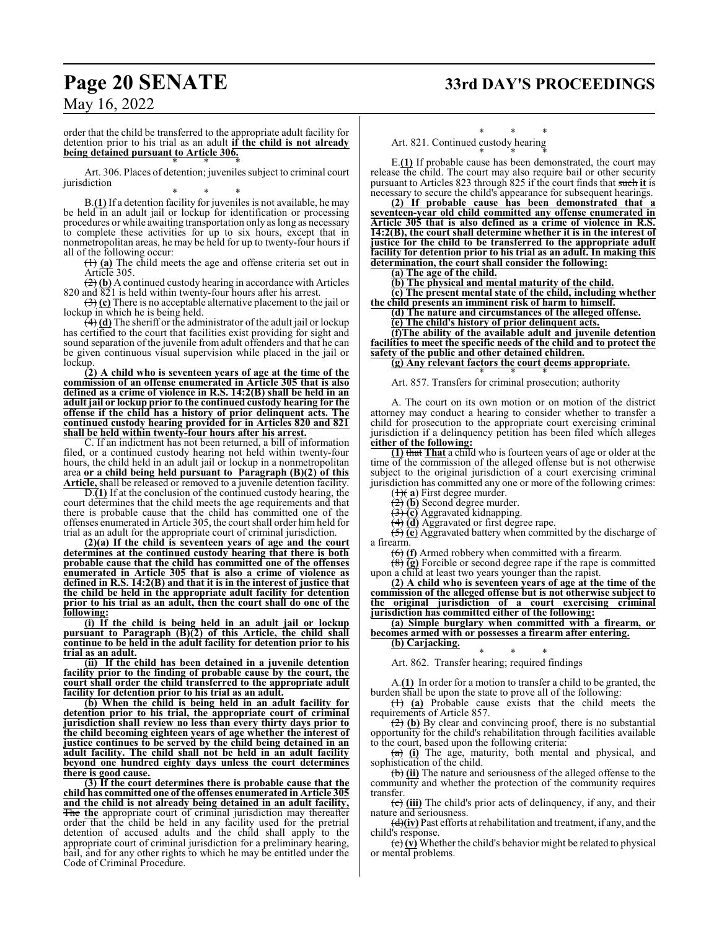# **Page 20 SENATE 33rd DAY'S PROCEEDINGS**

May 16, 2022

order that the child be transferred to the appropriate adult facility for detention prior to his trial as an adult **if the child is not already being detained pursuant to Article 306.** \* \* \*

Art. 306. Places of detention; juveniles subject to criminal court jurisdiction

\* \* \* B.**(1)** If a detention facility for juveniles is not available, he may be held in an adult jail or lockup for identification or processing procedures or while awaiting transportation only as long as necessary to complete these activities for up to six hours, except that in nonmetropolitan areas, he may be held for up to twenty-four hours if all of the following occur:

(1) **(a)** The child meets the age and offense criteria set out in Article 305.

(2) **(b)** A continued custody hearing in accordance with Articles 820 and 821 is held within twenty-four hours after his arrest.

(3) **(c)** There is no acceptable alternative placement to the jail or lockup in which he is being held.

(4) **(d)** The sheriff or the administrator of the adult jail or lockup has certified to the court that facilities exist providing for sight and sound separation of the juvenile from adult offenders and that he can be given continuous visual supervision while placed in the jail or lockup.

**(2) A child who is seventeen years of age at the time of the commission of an offense enumerated in Article 305 that is also defined as a crime of violence in R.S. 14:2(B) shall be held in an adult jail or lockup prior to the continued custody hearing for the offense if the child has a history of prior delinquent acts. The continued custody hearing provided for in Articles 820 and 821 shall be held within twenty-four hours after his arrest.**

C. If an indictment has not been returned, a bill of information filed, or a continued custody hearing not held within twenty-four hours, the child held in an adult jail or lockup in a nonmetropolitan area **or a child being held pursuant to Paragraph (B)(2) of this Article,** shall be released or removed to a juvenile detention facility.

D.**(1)** If at the conclusion of the continued custody hearing, the court determines that the child meets the age requirements and that there is probable cause that the child has committed one of the offenses enumerated in Article 305, the court shall order him held for trial as an adult for the appropriate court of criminal jurisdiction.

**(2)(a) If the child is seventeen years of age and the court determines at the continued custody hearing that there is both probable cause that the child has committed one of the offenses enumerated in Article 305 that is also a crime of violence as defined in R.S. 14:2(B) and that it is in the interest of justice that the child be held in the appropriate adult facility for detention prior to his trial as an adult, then the court shall do one of the following:**

**(i) If the child is being held in an adult jail or lockup pursuant to Paragraph (B)(2) of this Article, the child shall continue to be held in the adult facility for detention prior to his trial as an adult.**

**(ii) If the child has been detained in a juvenile detention facility prior to the finding of probable cause by the court, the court shall order the child transferred to the appropriate adult facility for detention prior to his trial as an adult.**

**(b) When the child is being held in an adult facility for detention prior to his trial, the appropriate court of criminal jurisdiction shall review no less than every thirty days prior to the child becoming eighteen years of age whether the interest of justice continues to be served by the child being detained in an adult facility. The child shall not be held in an adult facility beyond one hundred eighty days unless the court determines there is good cause.**

**(3) If the court determines there is probable cause that the child has committed one of the offenses enumerated in Article 305 and the child is not already being detained in an adult facility,** The **the** appropriate court of criminal jurisdiction may thereafter order that the child be held in any facility used for the pretrial detention of accused adults and the child shall apply to the appropriate court of criminal jurisdiction for a preliminary hearing, bail, and for any other rights to which he may be entitled under the Code of Criminal Procedure.

## \* \* \*

Art. 821. Continued custody hearing \* \* \*

E.**(1)** If probable cause has been demonstrated, the court may release the child. The court may also require bail or other security pursuant to Articles 823 through 825 if the court finds that such **it** is necessary to secure the child's appearance for subsequent hearings.

**(2) If probable cause has been demonstrated that a seventeen-year old child committed any offense enumerated in Article 305 that is also defined as a crime of violence in R.S. 14:2(B), the court shall determine whether it is in the interest of justice for the child to be transferred to the appropriate adult facility for detention prior to his trial as an adult. In making this determination, the court shall consider the following:**

**(a) The age of the child.**

**(b) The physical and mental maturity of the child.**

**(c) The present mental state of the child, including whether the child presents an imminent risk of harm to himself.**

**(d) The nature and circumstances of the alleged offense. (e) The child's history of prior delinquent acts.**

**(f)The ability of the available adult and juvenile detention facilities to meet the specific needs of the child and to protect the safety of the public and other detained children.**

#### **(g) Any relevant factors the court deems appropriate.** \* \* \*

Art. 857. Transfers for criminal prosecution; authority

A. The court on its own motion or on motion of the district attorney may conduct a hearing to consider whether to transfer a child for prosecution to the appropriate court exercising criminal jurisdiction if a delinquency petition has been filed which alleges **either of the following:**

**(1)** that **That** a child who is fourteen years of age or older at the time of the commission of the alleged offense but is not otherwise subject to the original jurisdiction of a court exercising criminal jurisdiction has committed any one or more of the following crimes:

 $(1)$ (**a**) First degree murder.

(2) **(b)** Second degree murder.

(3) **(c)** Aggravated kidnapping.

(4) **(d)** Aggravated or first degree rape. (5) **(e**) Aggravated battery when committed by the discharge of a firearm.

(6) **(f)** Armed robbery when committed with a firearm.

(8) **(g)** Forcible or second degree rape if the rape is committed upon a child at least two years younger than the rapist.

**(2) A child who is seventeen years of age at the time of the commission of the alleged offense but is not otherwise subject to the original jurisdiction of a court exercising criminal jurisdiction has committed either of the following:**

**(a) Simple burglary when committed with a firearm, or becomes armed with or possesses a firearm after entering.**

**(b) Carjacking.**

\* \* \* Art. 862. Transfer hearing; required findings

A.**(1)** In order for a motion to transfer a child to be granted, the burden shall be upon the state to prove all of the following:

(1) **(a)** Probable cause exists that the child meets the requirements of Article 857.

(2) **(b)** By clear and convincing proof, there is no substantial opportunity for the child's rehabilitation through facilities available to the court, based upon the following criteria:

(a) **(i)** The age, maturity, both mental and physical, and sophistication of the child.

(b) **(ii)** The nature and seriousness of the alleged offense to the community and whether the protection of the community requires transfer.

(c) **(iii)** The child's prior acts of delinquency, if any, and their nature and seriousness.

(d)**(iv)** Past efforts at rehabilitation and treatment, if any, and the child's response.

(e) **(v)** Whether the child's behavior might be related to physical or mental problems.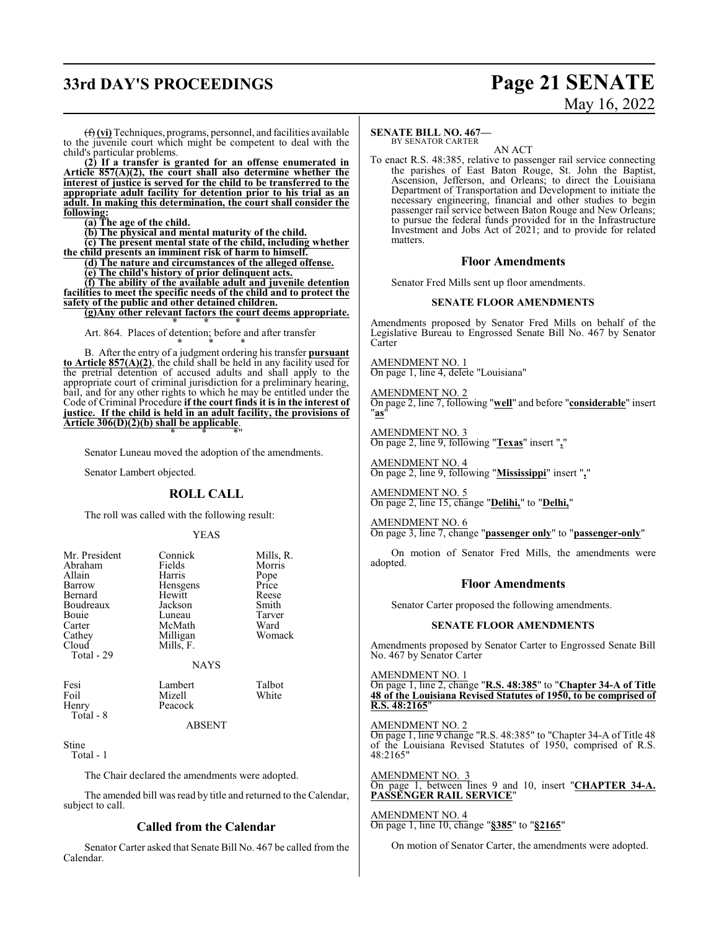# **33rd DAY'S PROCEEDINGS Page 21 SENATE**

# May 16, 2022

(f) **(vi)** Techniques, programs, personnel, and facilities available to the juvenile court which might be competent to deal with the child's particular problems.

**(2) If a transfer is granted for an offense enumerated in Article 857(A)(2), the court shall also determine whether the interest of justice is served for the child to be transferred to the appropriate adult facility for detention prior to his trial as an adult. In making this determination, the court shall consider the following:**

**(a) The age of the child.**

**(b) The physical and mental maturity of the child.**

**(c) The present mental state of the child, including whether**

**the child presents an imminent risk of harm to himself.**

**(d) The nature and circumstances of the alleged offense.**

**(e) The child's history of prior delinquent acts.**

**(f) The ability of the available adult and juvenile detention facilities to meet the specific needs of the child and to protect the safety of the public and other detained children.**

**(g)Any other relevant factors the court deems appropriate.** \* \* \*

Art. 864. Places of detention; before and after transfer

\* \* \* B. After the entry of a judgment ordering his transfer **pursuant to Article 857(A)(2)**, the child shall be held in any facility used for the pretrial detention of accused adults and shall apply to the appropriate court of criminal jurisdiction for a preliminary hearing, bail, and for any other rights to which he may be entitled under the Code of Criminal Procedure **if the court finds it is in the interest of justice. If the child is held in an adult facility, the provisions of Article 306(D)(2)(b) shall be applicable**. \* \* \*"

Senator Luneau moved the adoption of the amendments.

Senator Lambert objected.

#### **ROLL CALL**

The roll was called with the following result:

#### YEAS

| Mr. President<br>Abraham<br>Allain<br>Barrow<br>Bernard<br>Boudreaux<br>Bouie<br>Carter<br>Cathey<br>Cloud<br>Total - 29 | Connick<br>Fields<br>Harris<br>Hensgens<br>Hewitt<br>Jackson<br>Luneau<br>McMath<br>Milligan<br>Mills, F. | Mills, R.<br>Morris<br>Pope<br>Price<br>Reese<br>Smith<br>Tarver<br>Ward<br>Womack |
|--------------------------------------------------------------------------------------------------------------------------|-----------------------------------------------------------------------------------------------------------|------------------------------------------------------------------------------------|
|                                                                                                                          | <b>NAYS</b>                                                                                               |                                                                                    |
| Fesi<br>Foil<br>Henry<br>Total - 8                                                                                       | Lambert<br>Mizell<br>Peacock                                                                              | Talbot<br>White                                                                    |

#### ABSENT

Stine

Total - 1

The Chair declared the amendments were adopted.

The amended bill was read by title and returned to the Calendar, subject to call.

#### **Called from the Calendar**

Senator Carter asked that Senate Bill No. 467 be called from the Calendar.

#### **SENATE BILL NO. 467—**

BY SENATOR CARTER AN ACT

To enact R.S. 48:385, relative to passenger rail service connecting the parishes of East Baton Rouge, St. John the Baptist, Ascension, Jefferson, and Orleans; to direct the Louisiana Department of Transportation and Development to initiate the necessary engineering, financial and other studies to begin passenger rail service between Baton Rouge and New Orleans; to pursue the federal funds provided for in the Infrastructure Investment and Jobs Act of 2021; and to provide for related matters.

#### **Floor Amendments**

Senator Fred Mills sent up floor amendments.

#### **SENATE FLOOR AMENDMENTS**

Amendments proposed by Senator Fred Mills on behalf of the Legislative Bureau to Engrossed Senate Bill No. 467 by Senator Carter

AMENDMENT NO. 1 On page 1, line 4, delete "Louisiana"

AMENDMENT NO. 2 On page 2, line 7, following "**well**" and before "**considerable**" insert "**as**"

AMENDMENT NO. 3 On page 2, line 9, following "**Texas**" insert "**,**"

AMENDMENT NO. 4 On page 2, line 9, following "**Mississippi**" insert "**,**"

AMENDMENT NO. 5 On page 2, line 15, change "**Delihi,**" to "**Delhi,**"

AMENDMENT NO. 6

On page 3, line 7, change "**passenger only**" to "**passenger-only**"

On motion of Senator Fred Mills, the amendments were adopted.

#### **Floor Amendments**

Senator Carter proposed the following amendments.

#### **SENATE FLOOR AMENDMENTS**

Amendments proposed by Senator Carter to Engrossed Senate Bill No. 467 by Senator Carter

AMENDMENT NO. 1

On page 1, line 2, change "**R.S. 48:385**" to "**Chapter 34-A of Title 48 of the Louisiana Revised Statutes of 1950, to be comprised of R.S. 48:2165**"

#### AMENDMENT NO. 2

On page 1, line 9 change "R.S. 48:385" to "Chapter 34-A of Title 48 of the Louisiana Revised Statutes of 1950, comprised of R.S. 48:2165"

AMENDMENT NO. 3 On page 1, between lines 9 and 10, insert "**CHAPTER 34-A. PASSENGER RAIL SERVICE**"

AMENDMENT NO. 4 On page 1, line 10, change "**§385**" to "**§2165**"

On motion of Senator Carter, the amendments were adopted.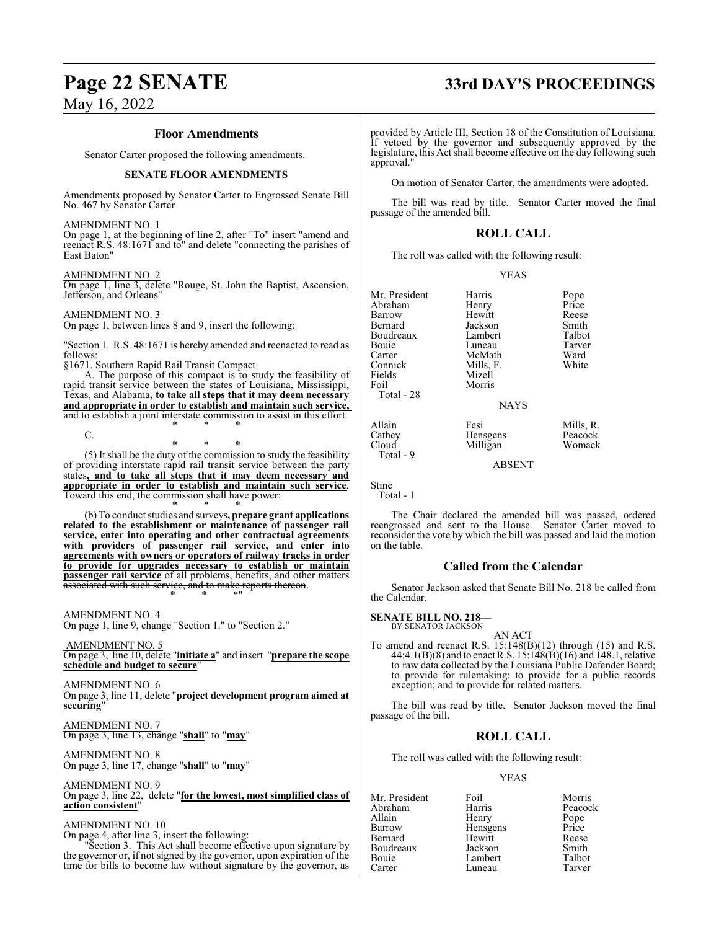# **Page 22 SENATE 33rd DAY'S PROCEEDINGS**

## May 16, 2022

#### **Floor Amendments**

Senator Carter proposed the following amendments.

#### **SENATE FLOOR AMENDMENTS**

Amendments proposed by Senator Carter to Engrossed Senate Bill No. 467 by Senator Carter

AMENDMENT NO. 1

On page 1, at the beginning of line 2, after "To" insert "amend and reenact R.S. 48:1671 and to" and delete "connecting the parishes of East Baton"

#### AMENDMENT NO. 2

On page 1, line 3, delete "Rouge, St. John the Baptist, Ascension, Jefferson, and Orleans"

#### AMENDMENT NO. 3

On page 1, between lines 8 and 9, insert the following:

"Section 1. R.S. 48:1671 is hereby amended and reenacted to read as follows:

§1671. Southern Rapid Rail Transit Compact

A. The purpose of this compact is to study the feasibility of rapid transit service between the states of Louisiana, Mississippi, Texas, and Alabama**, to take all steps that it may deem necessary and appropriate in order to establish and maintain such service,**  and to establish a joint interstate commission to assist in this effort. \* \* \*

C.

\* \* \* (5) It shall be the duty of the commission to study the feasibility of providing interstate rapid rail transit service between the party states**, and to take all steps that it may deem necessary and appropriate in order to establish and maintain such service**. Toward this end, the commission shall have power:

\* \* \* (b) To conduct studies and surveys**, prepare grant applications related to the establishment or maintenance of passenger rail service, enter into operating and other contractual agreements with providers of passenger rail service, and enter into agreements with owners or operators of railway tracks in order to provide for upgrades necessary to establish or maintain passenger rail service** of all problems, benefits, and other matters associated with such service, and to make reports thereon.

\* \* \*"

AMENDMENT NO. 4 On page 1, line 9, change "Section 1." to "Section 2."

 AMENDMENT NO. 5 On page 3, line 10, delete "**initiate a**" and insert "**prepare the scope schedule and budget to secure**"

AMENDMENT NO. 6 On page 3, line 11, delete "**project development program aimed at securing**"

AMENDMENT NO. 7 On page 3, line 13, change "**shall**" to "**may**"

AMENDMENT NO. 8 On page 3, line 17, change "**shall**" to "**may**"

AMENDMENT NO. 9 On page 3, line 22, delete "**for the lowest, most simplified class of action consistent**"

#### AMENDMENT NO. 10

On page 4, after line 3, insert the following:

"Section 3. This Act shall become effective upon signature by the governor or, if not signed by the governor, upon expiration of the time for bills to become law without signature by the governor, as

provided by Article III, Section 18 of the Constitution of Louisiana. If vetoed by the governor and subsequently approved by the legislature, this Act shall become effective on the day following such approval."

On motion of Senator Carter, the amendments were adopted.

The bill was read by title. Senator Carter moved the final passage of the amended bill.

### **ROLL CALL**

The roll was called with the following result:

#### YEAS

| Mr. President | Harris      | Pope      |
|---------------|-------------|-----------|
| Abraham       | Henry       | Price     |
| Barrow        | Hewitt      | Reese     |
| Bernard       | Jackson     | Smith     |
| Boudreaux     | Lambert     | Talbot    |
| Bouie         | Luneau      | Tarver    |
| Carter        | McMath      | Ward      |
| Connick       | Mills, F.   | White     |
| Fields        | Mizell      |           |
| Foil          | Morris      |           |
| Total - 28    |             |           |
|               | <b>NAYS</b> |           |
| Allain        | Fesi        | Mills, R. |
| Cathey        | Hensgens    | Peacock   |
| Cloud         | Milligan    | Womack    |
| Total - 9     |             |           |

Stine Total - 1

The Chair declared the amended bill was passed, ordered reengrossed and sent to the House. Senator Carter moved to reconsider the vote by which the bill was passed and laid the motion on the table.

ABSENT

#### **Called from the Calendar**

Senator Jackson asked that Senate Bill No. 218 be called from the Calendar.

#### **SENATE BILL NO. 218—** BY SENATOR JACKSON

AN ACT

To amend and reenact R.S. 15:148(B)(12) through (15) and R.S. 44:4.1(B)(8) and to enact R.S. 15:148(B)(16) and 148.1, relative to raw data collected by the Louisiana Public Defender Board; to provide for rulemaking; to provide for a public records exception; and to provide for related matters.

The bill was read by title. Senator Jackson moved the final passage of the bill.

#### **ROLL CALL**

The roll was called with the following result:

Luneau

#### YEAS

Abraham Harris Peacock<br>Allain Henry Pope Allain Henry Pope<br>
Barrow Hensgens Price Bernard Hewitt Reese Boudreaux Jackson Smith<br>Bouie Lambert Talbot Bouie Lambert Talbot

Mr. President Foil Foil Morris<br>Abraham Harris Peacock Hensgens Price<br>Hewitt Reese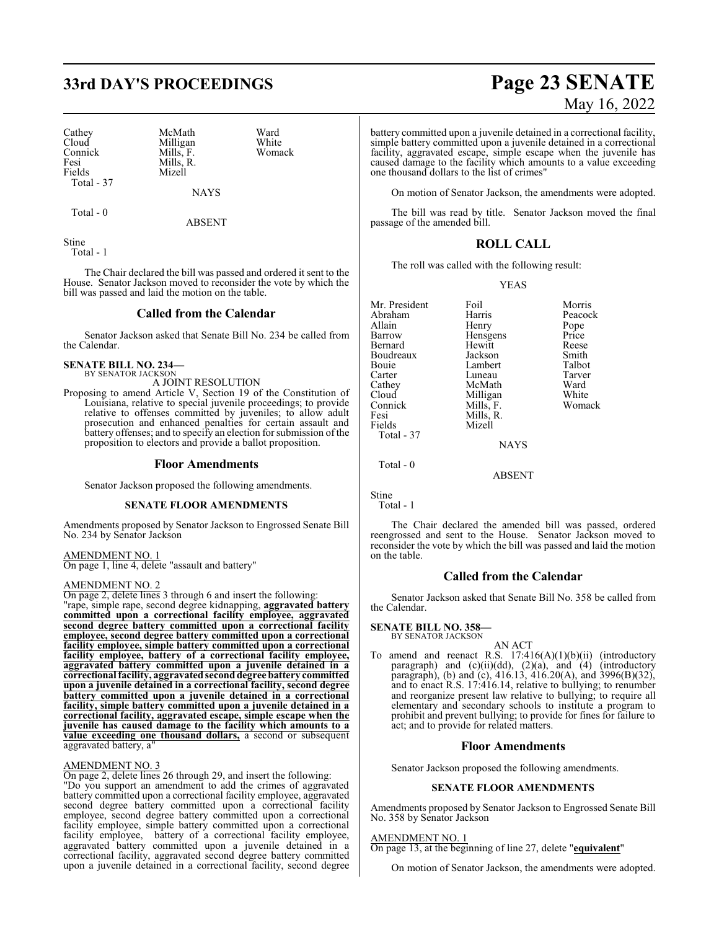# **33rd DAY'S PROCEEDINGS Page 23 SENATE**

Cathey McMath Ward<br>Cloud Milligan White Cloud Milligan White<br>
Connick Mills F. Womack Connick Mills, F.<br>Fesi Mills R Fesi Mills, R.<br>Fields Mizell Total - 37

Mizell

Total - 0

ABSENT

NAYS

Stine

Total - 1

The Chair declared the bill was passed and ordered it sent to the House. Senator Jackson moved to reconsider the vote by which the bill was passed and laid the motion on the table.

#### **Called from the Calendar**

Senator Jackson asked that Senate Bill No. 234 be called from the Calendar.

#### **SENATE BILL NO. 234—** BY SENATOR JACKSON

A JOINT RESOLUTION

Proposing to amend Article V, Section 19 of the Constitution of Louisiana, relative to special juvenile proceedings; to provide relative to offenses committed by juveniles; to allow adult prosecution and enhanced penalties for certain assault and battery offenses; and to specify an election for submission ofthe proposition to electors and provide a ballot proposition.

#### **Floor Amendments**

Senator Jackson proposed the following amendments.

#### **SENATE FLOOR AMENDMENTS**

Amendments proposed by Senator Jackson to Engrossed Senate Bill No. 234 by Senator Jackson

AMENDMENT NO. 1 On page 1, line 4, delete "assault and battery"

#### AMENDMENT NO. 2

On page 2, delete lines 3 through 6 and insert the following:

"rape, simple rape, second degree kidnapping, **aggravated battery committed upon a correctional facility employee, aggravated second degree battery committed upon a correctional facility employee, second degree battery committed upon a correctional facility employee, simple battery committed upon a correctional facility employee, battery of a correctional facility employee, aggravated battery committed upon a juvenile detained in a correctional facility, aggravatedseconddegree battery committed upon a juvenile detained in a correctional facility, second degree battery committed upon a juvenile detained in a correctional facility, simple battery committed upon a juvenile detained in a correctional facility, aggravated escape, simple escape when the juvenile has caused damage to the facility which amounts to a value exceeding one thousand dollars,** a second or subsequent aggravated battery, a"

#### AMENDMENT NO. 3

On page 2, delete lines 26 through 29, and insert the following: "Do you support an amendment to add the crimes of aggravated battery committed upon a correctional facility employee, aggravated second degree battery committed upon a correctional facility employee, second degree battery committed upon a correctional facility employee, simple battery committed upon a correctional facility employee, battery of a correctional facility employee, aggravated battery committed upon a juvenile detained in a correctional facility, aggravated second degree battery committed upon a juvenile detained in a correctional facility, second degree

# May 16, 2022

battery committed upon a juvenile detained in a correctional facility, simple battery committed upon a juvenile detained in a correctional facility, aggravated escape, simple escape when the juvenile has caused damage to the facility which amounts to a value exceeding one thousand dollars to the list of crimes"

On motion of Senator Jackson, the amendments were adopted.

The bill was read by title. Senator Jackson moved the final passage of the amended bill.

#### **ROLL CALL**

The roll was called with the following result:

#### YEAS

| Mr. President | Foil        | Morris  |
|---------------|-------------|---------|
| Abraham       | Harris      | Peacock |
| Allain        | Henry       | Pope    |
| Barrow        | Hensgens    | Price   |
| Bernard       | Hewitt      | Reese   |
| Boudreaux     | Jackson     | Smith   |
| Bouie         | Lambert     | Talbot  |
| Carter        | Luneau      | Tarver  |
| Cathey        | McMath      | Ward    |
| Cloud         | Milligan    | White   |
| Connick       | Mills, F.   | Womack  |
| Fesi          | Mills, R.   |         |
| Fields        | Mizell      |         |
| Total - 37    |             |         |
|               | <b>NAYS</b> |         |
| Total - 0     |             |         |

ABSENT

Stine Total - 1

The Chair declared the amended bill was passed, ordered reengrossed and sent to the House. Senator Jackson moved to reconsider the vote by which the bill was passed and laid the motion on the table.

#### **Called from the Calendar**

Senator Jackson asked that Senate Bill No. 358 be called from the Calendar.

#### **SENATE BILL NO. 358—**

BY SENATOR JACKSON

AN ACT To amend and reenact R.S.  $17:416(A)(1)(b)(ii)$  (introductory paragraph) and  $(c)(ii)(dd)$ ,  $(2)(a)$ , and  $(4)$  (introductory paragraph), (b) and (c), 416.13, 416.20(A), and 3996(B)(32), and to enact R.S. 17:416.14, relative to bullying; to renumber and reorganize present law relative to bullying; to require all elementary and secondary schools to institute a program to prohibit and prevent bullying; to provide for fines for failure to act; and to provide for related matters.

#### **Floor Amendments**

Senator Jackson proposed the following amendments.

#### **SENATE FLOOR AMENDMENTS**

Amendments proposed by Senator Jackson to Engrossed Senate Bill No. 358 by Senator Jackson

#### AMENDMENT NO. 1

On page 13, at the beginning of line 27, delete "**equivalent**"

On motion of Senator Jackson, the amendments were adopted.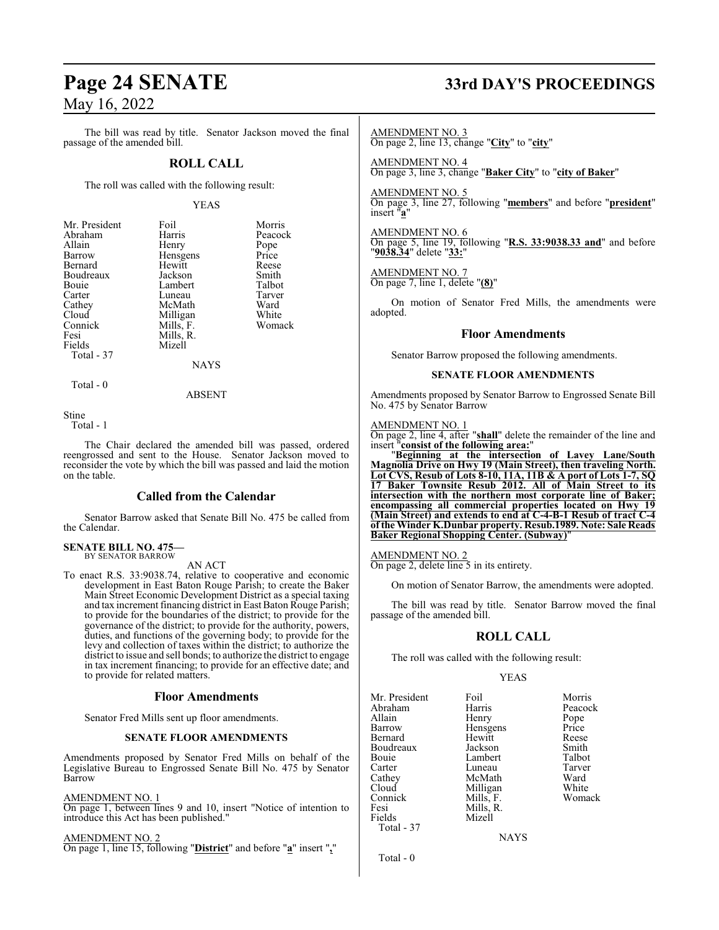The bill was read by title. Senator Jackson moved the final passage of the amended bill.

#### **ROLL CALL**

The roll was called with the following result:

#### YEAS

| Mr. President | Foil      | Morris  |
|---------------|-----------|---------|
| Abraham       | Harris    | Peacock |
| Allain        | Henry     | Pope    |
| Barrow        | Hensgens  | Price   |
| Bernard       | Hewitt    | Reese   |
| Boudreaux     | Jackson   | Smith   |
| Bouie         | Lambert   | Talbot  |
| Carter        | Luneau    | Tarver  |
| Cathey        | McMath    | Ward    |
| Cloud         | Milligan  | White   |
| Connick       | Mills, F. | Womack  |
| Fesi          | Mills, R. |         |
| Fields        | Mizell    |         |
| Total - 37    |           |         |
|               | NAYS      |         |
|               |           |         |

Total - 0

ABSENT

Stine

Total - 1

The Chair declared the amended bill was passed, ordered reengrossed and sent to the House. Senator Jackson moved to reconsider the vote by which the bill was passed and laid the motion on the table.

#### **Called from the Calendar**

Senator Barrow asked that Senate Bill No. 475 be called from the Calendar.

#### **SENATE BILL NO. 475—** BY SENATOR BARROW

AN ACT

To enact R.S. 33:9038.74, relative to cooperative and economic development in East Baton Rouge Parish; to create the Baker Main Street Economic Development District as a special taxing and tax increment financing district in East Baton Rouge Parish; to provide for the boundaries of the district; to provide for the governance of the district; to provide for the authority, powers, duties, and functions of the governing body; to provide for the levy and collection of taxes within the district; to authorize the district to issue and sell bonds; to authorize the district to engage in tax increment financing; to provide for an effective date; and to provide for related matters.

#### **Floor Amendments**

Senator Fred Mills sent up floor amendments.

#### **SENATE FLOOR AMENDMENTS**

Amendments proposed by Senator Fred Mills on behalf of the Legislative Bureau to Engrossed Senate Bill No. 475 by Senator Barrow

#### AMENDMENT NO. 1

On page 1, between lines 9 and 10, insert "Notice of intention to introduce this Act has been published."

#### AMENDMENT NO. 2

On page 1, line 15, following "**District**" and before "**a**" insert "**,**"

# **Page 24 SENATE 33rd DAY'S PROCEEDINGS**

AMENDMENT NO. 3

On page 2, line 13, change "**City**" to "**city**"

AMENDMENT NO. 4 On page 3, line 3, change "**Baker City**" to "**city of Baker**"

AMENDMENT NO. 5

On page 3, line 27, following "**members**" and before "**president**" insert "**a**"

AMENDMENT NO. 6 On page 5, line 19, following "**R.S. 33:9038.33 and**" and before "**9038.34**" delete "**33:**"

AMENDMENT NO. 7

On page 7, line 1, delete "**(8)**"

On motion of Senator Fred Mills, the amendments were adopted.

#### **Floor Amendments**

Senator Barrow proposed the following amendments.

#### **SENATE FLOOR AMENDMENTS**

Amendments proposed by Senator Barrow to Engrossed Senate Bill No. 475 by Senator Barrow

#### AMENDMENT NO. 1

On page 2, line 4, after "**shall**" delete the remainder of the line and insert "**consist of the following area:**"

"**Beginning at the intersection of Lavey Lane/South Magnolia Drive on Hwy 19 (Main Street), then traveling North. Lot CVS, Resub of Lots 8-10, 11A, 11B & A port of Lots 1-7, SQ 17 Baker Townsite Resub 2012. All of Main Street to its intersection with the northern most corporate line of Baker; encompassing all commercial properties located on Hwy 19 (Main Street) and extends to end at C-4-B-1 Resub of tract C-4 of the Winder K.Dunbar property. Resub.1989. Note: Sale Reads Baker Regional Shopping Center. (Subway)**"

#### AMENDMENT NO. 2

On page 2, delete line 5 in its entirety.

On motion of Senator Barrow, the amendments were adopted.

The bill was read by title. Senator Barrow moved the final passage of the amended bill.

#### **ROLL CALL**

The roll was called with the following result:

Mizell

#### YEAS

Mr. President Foil Foil Morris<br>Abraham Harris Peacock Abraham Harris Peacock<br>Allain Henry Pope Allain Henry Pope<br>
Barrow Hensgens Price Bernard Hewitt Reese Boudreaux Jackson Smith Bouie Lambert Talbot Carter Luneau Tarve<br>
Cathey McMath Ward Cathey McMath Ward<br>Cloud Milligan White Connick<br>Fesi Fesi Mills, R.<br>Fields Mizell Total - 37

Hensgens Price<br>Hewitt Reese Milligan White<br>
Mills, F. Womack

| v<br>۰.<br>× |  |
|--------------|--|

Total - 0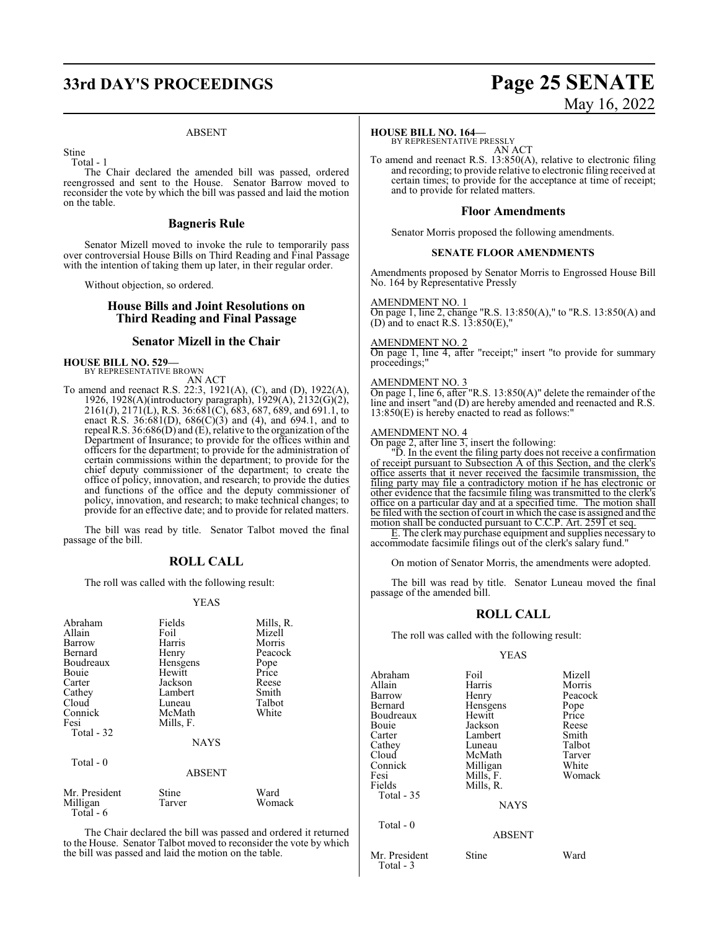# **33rd DAY'S PROCEEDINGS Page 25 SENATE**

#### ABSENT

Stine

Total - 1

The Chair declared the amended bill was passed, ordered reengrossed and sent to the House. Senator Barrow moved to reconsider the vote by which the bill was passed and laid the motion on the table.

#### **Bagneris Rule**

Senator Mizell moved to invoke the rule to temporarily pass over controversial House Bills on Third Reading and Final Passage with the intention of taking them up later, in their regular order.

Without objection, so ordered.

#### **House Bills and Joint Resolutions on Third Reading and Final Passage**

#### **Senator Mizell in the Chair**

#### **HOUSE BILL NO. 529—** BY REPRESENTATIVE BROWN

AN ACT

To amend and reenact R.S. 22:3, 1921(A), (C), and (D), 1922(A), 1926, 1928(A)(introductory paragraph), 1929(A), 2132(G)(2), 2161(J), 2171(L), R.S. 36:681(C), 683, 687, 689, and 691.1, to enact R.S. 36:681(D),  $686(C)(3)$  and (4), and 694.1, and to repeal R.S.  $36:686(D)$  and  $(E)$ , relative to the organization of the Department of Insurance; to provide for the offices within and officers for the department; to provide for the administration of certain commissions within the department; to provide for the chief deputy commissioner of the department; to create the office of policy, innovation, and research; to provide the duties and functions of the office and the deputy commissioner of policy, innovation, and research; to make technical changes; to provide for an effective date; and to provide for related matters.

The bill was read by title. Senator Talbot moved the final passage of the bill.

#### **ROLL CALL**

The roll was called with the following result:

#### YEAS

| Abraham<br>Allain<br>Barrow<br>Bernard<br>Boudreaux<br>Bouie<br>Carter<br>Cathey<br>Cloud<br>Connick<br>Fesi<br>Total - 32<br>Total - 0 | Fields<br>Foil<br>Harris<br>Henry<br>Hensgens<br>Hewitt<br>Jackson<br>Lambert<br>Luneau<br>McMath<br>Mills, F.<br><b>NAYS</b><br><b>ABSENT</b> | Mills, R.<br>Mizell<br>Morris<br>Peacock<br>Pope<br>Price<br>Reese<br>Smith<br>Talbot<br>White |
|-----------------------------------------------------------------------------------------------------------------------------------------|------------------------------------------------------------------------------------------------------------------------------------------------|------------------------------------------------------------------------------------------------|
|                                                                                                                                         |                                                                                                                                                |                                                                                                |
| Mr. President<br>Milligan<br>Total - 6                                                                                                  | Stine<br>Tarver                                                                                                                                | Ward<br>Womack                                                                                 |

The Chair declared the bill was passed and ordered it returned to the House. Senator Talbot moved to reconsider the vote by which the bill was passed and laid the motion on the table.

#### **HOUSE BILL NO. 164—**

BY REPRESENTATIVE PRESSLY AN ACT

To amend and reenact R.S. 13:850(A), relative to electronic filing and recording; to provide relative to electronic filing received at certain times; to provide for the acceptance at time of receipt; and to provide for related matters.

### **Floor Amendments**

Senator Morris proposed the following amendments.

#### **SENATE FLOOR AMENDMENTS**

Amendments proposed by Senator Morris to Engrossed House Bill No. 164 by Representative Pressly

#### AMENDMENT NO. 1

On page 1, line 2, change "R.S. 13:850(A)," to "R.S. 13:850(A) and (D) and to enact R.S.  $13:850(E)$ ,

#### AMENDMENT NO. 2

On page 1, line 4, after "receipt;" insert "to provide for summary proceedings;"

#### AMENDMENT NO. 3

On page 1, line 6, after "R.S. 13:850(A)" delete the remainder of the line and insert "and (D) are hereby amended and reenacted and R.S. 13:850(E) is hereby enacted to read as follows:"

#### AMENDMENT NO. 4

On page 2, after line 3, insert the following:

"D. In the event the filing party does not receive a confirmation of receipt pursuant to Subsection A of this Section, and the clerk's office asserts that it never received the facsimile transmission, the filing party may file a contradictory motion if he has electronic or other evidence that the facsimile filing was transmitted to the clerk's office on a particular day and at a specified time. The motion shall be filed with the section of court in which the case is assigned and the motion shall be conducted pursuant to C.C.P. Art. 2591 et seq.

E. The clerk may purchase equipment and supplies necessary to accommodate facsimile filings out of the clerk's salary fund."

On motion of Senator Morris, the amendments were adopted.

The bill was read by title. Senator Luneau moved the final passage of the amended bill.

#### **ROLL CALL**

The roll was called with the following result:

#### YEAS

| Abraham       | Foil          | Mizell  |
|---------------|---------------|---------|
| Allain        | Harris        | Morris  |
| Barrow        | Henry         | Peacock |
| Bernard       | Hensgens      | Pope    |
| Boudreaux     | Hewitt        | Price   |
| Bouie         | Jackson       | Reese   |
| Carter        | Lambert       | Smith   |
| Cathey        | Luneau        | Talbot  |
| Cloud         | McMath        | Tarver  |
| Connick       | Milligan      | White   |
| Fesi          | Mills, F.     | Womack  |
| Fields        | Mills, R.     |         |
| Total - 35    |               |         |
|               | <b>NAYS</b>   |         |
| Total $-0$    |               |         |
|               | <b>ABSENT</b> |         |
| Mr. President | Stine         | Ward    |
| Total - 3     |               |         |

# May 16, 2022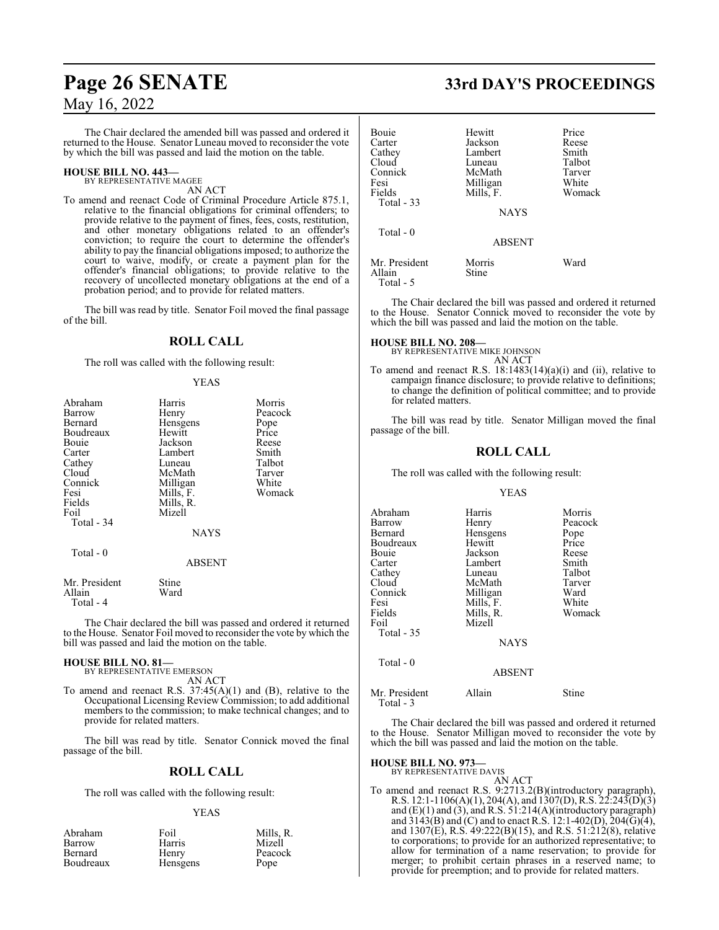The Chair declared the amended bill was passed and ordered it returned to the House. Senator Luneau moved to reconsider the vote by which the bill was passed and laid the motion on the table.

#### **HOUSE BILL NO. 443—** BY REPRESENTATIVE MAGEE

AN ACT

To amend and reenact Code of Criminal Procedure Article 875.1, relative to the financial obligations for criminal offenders; to provide relative to the payment of fines, fees, costs, restitution, and other monetary obligations related to an offender's conviction; to require the court to determine the offender's ability to pay the financial obligations imposed; to authorize the court to waive, modify, or create a payment plan for the offender's financial obligations; to provide relative to the recovery of uncollected monetary obligations at the end of a probation period; and to provide for related matters.

The bill was read by title. Senator Foil moved the final passage of the bill.

#### **ROLL CALL**

The roll was called with the following result:

#### YEAS

| Abraham                               | Harris        | Morris  |
|---------------------------------------|---------------|---------|
| Barrow                                | Henry         | Peacock |
| Bernard                               | Hensgens      | Pope    |
| Boudreaux                             | Hewitt        | Price   |
| Bouie                                 | Jackson       | Reese   |
| Carter                                | Lambert       | Smith   |
| Cathey                                | Luneau        | Talbot  |
| Cloud                                 | McMath        | Tarver  |
| Connick                               | Milligan      | White   |
| Fesi                                  | Mills, F.     | Womack  |
| Fields                                | Mills, R.     |         |
| Foil                                  | Mizell        |         |
| Total - 34                            |               |         |
|                                       | <b>NAYS</b>   |         |
| Total - 0                             |               |         |
|                                       | <b>ABSENT</b> |         |
| Mr. President<br>Allain<br>Total $-4$ | Stine<br>Ward |         |

The Chair declared the bill was passed and ordered it returned to the House. Senator Foil moved to reconsider the vote by which the bill was passed and laid the motion on the table.

#### **HOUSE BILL NO. 81—**

BY REPRESENTATIVE EMERSON AN ACT

To amend and reenact R.S. 37:45(A)(1) and (B), relative to the Occupational Licensing Review Commission; to add additional members to the commission; to make technical changes; and to provide for related matters.

The bill was read by title. Senator Connick moved the final passage of the bill.

#### **ROLL CALL**

The roll was called with the following result:

#### YEAS

| Abraham   | Foil     | Mills, R. |
|-----------|----------|-----------|
| Barrow    | Harris   | Mizell    |
| Bernard   | Henry    | Peacock   |
| Boudreaux | Hensgens | Pope      |

# **Page 26 SENATE 33rd DAY'S PROCEEDINGS**

| Bouie<br>Carter<br>Cathey<br>Cloud<br>Connick | Hewitt<br>Jackson<br>Lambert<br>Luneau<br>McMath | Price<br>Reese<br>Smith<br>Talbot<br>Tarver |
|-----------------------------------------------|--------------------------------------------------|---------------------------------------------|
| Fesi<br>Fields<br>Total $-33$                 | Milligan<br>Mills, F.<br><b>NAYS</b>             | White<br>Womack                             |
| Total $-0$                                    | <b>ABSENT</b>                                    |                                             |
| Mr. President<br>Allain<br>$Total - 5$        | Morris<br>Stine                                  | Ward                                        |

The Chair declared the bill was passed and ordered it returned to the House. Senator Connick moved to reconsider the vote by which the bill was passed and laid the motion on the table.

# **HOUSE BILL NO. 208—** BY REPRESENTATIVE MIKE JOHNSON

AN ACT

To amend and reenact R.S.  $18:1483(14)(a)(i)$  and (ii), relative to campaign finance disclosure; to provide relative to definitions; to change the definition of political committee; and to provide for related matters.

The bill was read by title. Senator Milligan moved the final passage of the bill.

#### **ROLL CALL**

The roll was called with the following result:

#### YEAS

| Abraham<br>Barrow<br>Bernard<br>Boudreaux<br>Bouie<br>Carter<br>Cathey<br>Cloud<br>Connick<br>Fesi<br>Fields<br>Foil | Harris<br>Henry<br>Hensgens<br>Hewitt<br>Jackson<br>Lambert<br>Luneau<br>McMath<br>Milligan<br>Mills, F.<br>Mills, R.<br>Mizell | Morris<br>Peacock<br>Pope<br>Price<br>Reese<br>Smith<br>Talbot<br>Tarver<br>Ward<br>White<br>Womack |
|----------------------------------------------------------------------------------------------------------------------|---------------------------------------------------------------------------------------------------------------------------------|-----------------------------------------------------------------------------------------------------|
| Total - 35                                                                                                           | <b>NAYS</b>                                                                                                                     |                                                                                                     |
| Total - 0                                                                                                            | <b>ABSENT</b>                                                                                                                   |                                                                                                     |
| Mr. President                                                                                                        | Allain                                                                                                                          | Stine                                                                                               |

The Chair declared the bill was passed and ordered it returned to the House. Senator Milligan moved to reconsider the vote by which the bill was passed and laid the motion on the table.

#### **HOUSE BILL NO. 973—** BY REPRESENTATIVE DAVIS

Total - 3

## AN ACT

To amend and reenact R.S. 9:2713.2(B)(introductory paragraph), R.S. 12:1-1106(A)(1), 204(A), and 1307(D), R.S. 22:243(D)(3) and  $(E)(1)$  and  $(3)$ , and R.S. 51:214 $(A)($ introductory paragraph $)$ and 3143(B) and (C) and to enact R.S. 12:1-402(D), 204(G)(4), and 1307(E), R.S. 49:222(B)(15), and R.S. 51:212(8), relative to corporations; to provide for an authorized representative; to allow for termination of a name reservation; to provide for merger; to prohibit certain phrases in a reserved name; to provide for preemption; and to provide for related matters.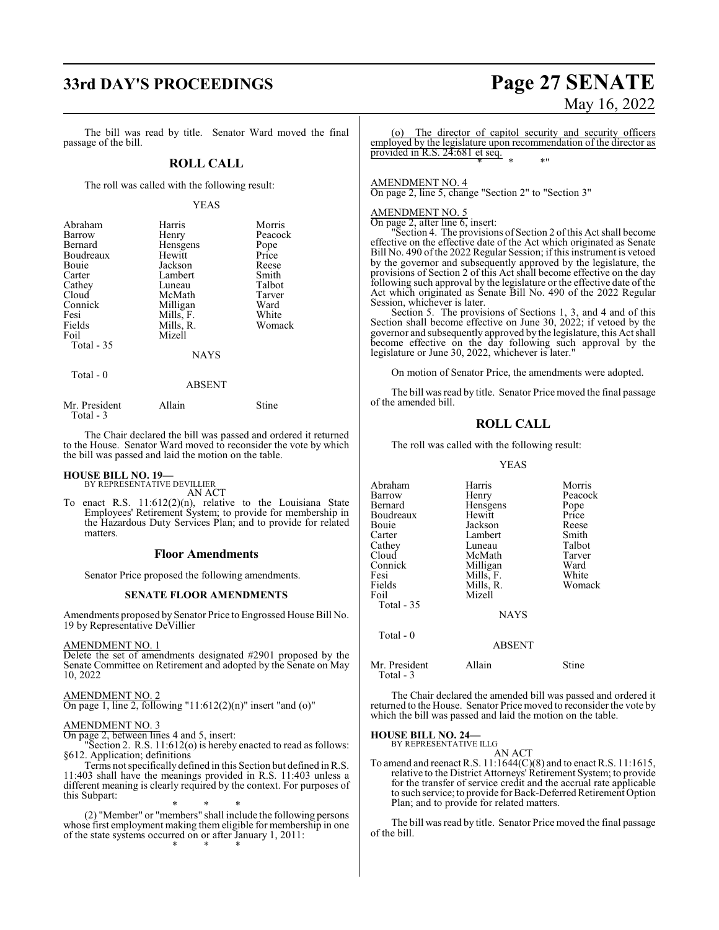# **33rd DAY'S PROCEEDINGS Page 27 SENATE**

The bill was read by title. Senator Ward moved the final passage of the bill.

#### **ROLL CALL**

The roll was called with the following result:

#### YEAS

| Abraham<br>Barrow<br>Bernard<br>Boudreaux<br>Bouie<br>Carter<br>Cathey | Harris<br>Henry<br>Hensgens<br>Hewitt<br>Jackson<br>Lambert<br>Luneau | Morris<br>Peacock<br>Pope<br>Price<br>Reese<br>Smith<br>Talbot |
|------------------------------------------------------------------------|-----------------------------------------------------------------------|----------------------------------------------------------------|
| Cloud<br>Connick<br>Fesi                                               | McMath<br>Milligan<br>Mills, F.                                       | Tarver<br>Ward<br>White                                        |
| Fields<br>Foil<br>Total $-35$                                          | Mills, R.<br>Mizell                                                   | Womack                                                         |
|                                                                        | <b>NAYS</b>                                                           |                                                                |
| Total - 0                                                              | ABSENT                                                                |                                                                |

| Mr. President | Allain | <b>Stine</b> |
|---------------|--------|--------------|
| Total - 3     |        |              |

The Chair declared the bill was passed and ordered it returned to the House. Senator Ward moved to reconsider the vote by which the bill was passed and laid the motion on the table.

## **HOUSE BILL NO. 19—** BY REPRESENTATIVE DEVILLIER

AN ACT

To enact R.S. 11:612(2)(n), relative to the Louisiana State Employees' Retirement System; to provide for membership in the Hazardous Duty Services Plan; and to provide for related matters.

#### **Floor Amendments**

Senator Price proposed the following amendments.

#### **SENATE FLOOR AMENDMENTS**

Amendments proposed by Senator Price to Engrossed House Bill No. 19 by Representative DeVillier

#### AMENDMENT NO. 1

Delete the set of amendments designated #2901 proposed by the Senate Committee on Retirement and adopted by the Senate on May 10, 2022

#### AMENDMENT NO. 2

On page 1, line 2, following "11:612(2)(n)" insert "and (o)"

#### AMENDMENT NO. 3

On page 2, between lines 4 and 5, insert:

"Section 2. R.S. 11:612(o) is hereby enacted to read as follows: §612. Application; definitions

Terms not specifically defined in this Section but defined in R.S. 11:403 shall have the meanings provided in R.S. 11:403 unless a different meaning is clearly required by the context. For purposes of this Subpart:

\* \* \* (2) "Member" or "members" shall include the following persons whose first employment making them eligible for membership in one of the state systems occurred on or after January 1, 2011: \* \* \*

# May 16, 2022

The director of capitol security and security officers employed by the legislature upon recommendation of the director as provided in R.S. 24:681 et seq. \* \* \*"

AMENDMENT NO. 4

On page 2, line 5, change "Section 2" to "Section 3"

#### AMENDMENT NO. 5

On page 2, after line 6, insert:

"Section 4. The provisions of Section 2 ofthis Act shall become effective on the effective date of the Act which originated as Senate Bill No. 490 of the 2022 Regular Session; if this instrument is vetoed by the governor and subsequently approved by the legislature, the provisions of Section 2 of this Act shall become effective on the day following such approval by the legislature or the effective date of the Act which originated as Senate Bill No. 490 of the 2022 Regular Session, whichever is later.

Section 5. The provisions of Sections 1, 3, and 4 and of this Section shall become effective on June 30, 2022; if vetoed by the governor and subsequently approved by the legislature, this Act shall become effective on the day following such approval by the legislature or June 30, 2022, whichever is later."

On motion of Senator Price, the amendments were adopted.

The bill was read by title. Senator Price moved the final passage of the amended bill.

#### **ROLL CALL**

The roll was called with the following result:

YEAS

| Abraham<br>Barrow<br>Bernard<br>Boudreaux<br>Bouie<br>Carter | Harris<br>Henry<br>Hensgens<br>Hewitt<br>Jackson<br>Lambert | Morris<br>Peacock<br>Pope<br>Price<br>Reese<br>Smith |
|--------------------------------------------------------------|-------------------------------------------------------------|------------------------------------------------------|
| Cathey                                                       | Luneau                                                      | Talbot                                               |
| Cloud                                                        | McMath                                                      | Tarver                                               |
| Connick                                                      | Milligan                                                    | Ward                                                 |
| Fesi                                                         | Mills, F.                                                   | White                                                |
| Fields                                                       | Mills, R.                                                   | Womack                                               |
| Foil                                                         | Mizell                                                      |                                                      |
| Total - 35                                                   |                                                             |                                                      |
|                                                              | <b>NAYS</b>                                                 |                                                      |
| Total $-0$                                                   | <b>ABSENT</b>                                               |                                                      |

Mr. President Allain Stine Total - 3

The Chair declared the amended bill was passed and ordered it returned to the House. Senator Price moved to reconsider the vote by which the bill was passed and laid the motion on the table.

#### **HOUSE BILL NO. 24—** BY REPRESENTATIVE ILLG

AN ACT

To amend and reenact R.S. 11:1644(C)(8) and to enact R.S. 11:1615, relative to the District Attorneys' Retirement System; to provide for the transfer of service credit and the accrual rate applicable to such service; to provide for Back-Deferred Retirement Option Plan; and to provide for related matters.

The bill was read by title. Senator Price moved the final passage of the bill.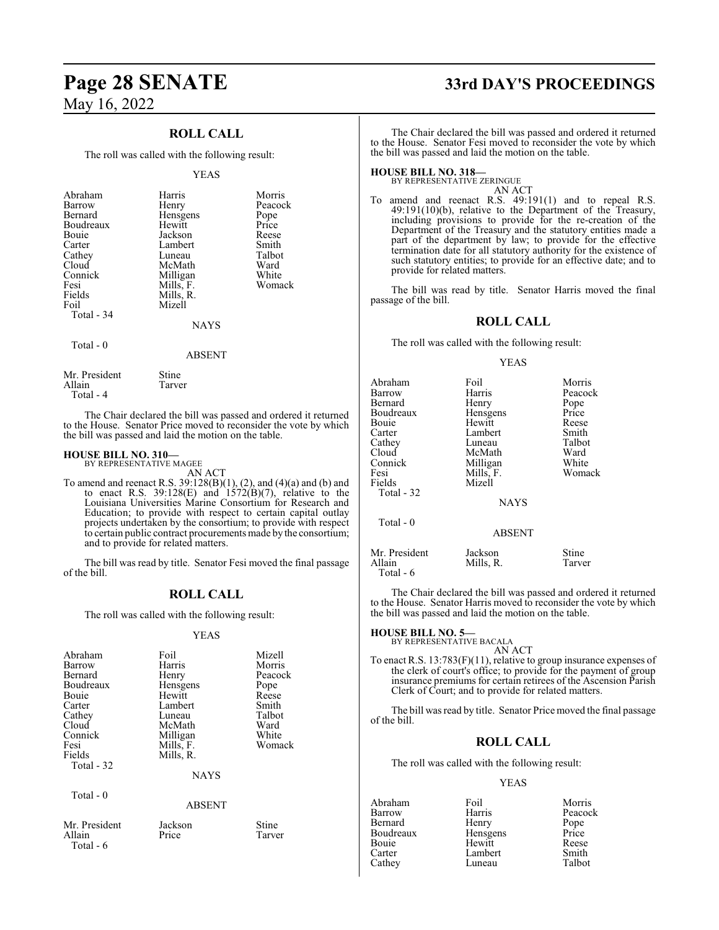### **ROLL CALL**

The roll was called with the following result:

#### YEAS

| Abraham<br>Barrow<br>Bernard<br>Boudreaux<br>Bouie<br>Carter<br>Cathey<br>Cloud<br>Connick<br>Fesi<br>Fields<br>Foil<br>Total - 34 | Harris<br>Henry<br>Hensgens<br>Hewitt<br>Jackson<br>Lambert<br>Luneau<br>McMath<br>Milligan<br>Mills, F.<br>Mills, R.<br>Mizell | Morris<br>Peacock<br>Pope<br>Price<br>Reese<br>Smith<br>Talbot<br>Ward<br>White<br>Womack |
|------------------------------------------------------------------------------------------------------------------------------------|---------------------------------------------------------------------------------------------------------------------------------|-------------------------------------------------------------------------------------------|
|                                                                                                                                    | <b>NAYS</b>                                                                                                                     |                                                                                           |
| Total - 0                                                                                                                          | <b>ABSENT</b>                                                                                                                   |                                                                                           |

Mr. President Stine<br>Allain Tarver Allain Total - 4

The Chair declared the bill was passed and ordered it returned to the House. Senator Price moved to reconsider the vote by which the bill was passed and laid the motion on the table.

#### **HOUSE BILL NO. 310—** BY REPRESENTATIVE MAGEE

Total - 6

AN ACT

To amend and reenact R.S. 39:128(B)(1), (2), and (4)(a) and (b) and to enact R.S.  $39:128(E)$  and  $1572(B)(7)$ , relative to the Louisiana Universities Marine Consortium for Research and Education; to provide with respect to certain capital outlay projects undertaken by the consortium; to provide with respect to certain public contract procurements made by the consortium; and to provide for related matters.

The bill was read by title. Senator Fesi moved the final passage of the bill.

#### **ROLL CALL**

The roll was called with the following result:

#### YEAS

| Abraham<br>Barrow       | Foil<br>Harris     | Mizell<br>Morris |
|-------------------------|--------------------|------------------|
| Bernard<br>Boudreaux    | Henry              | Peacock          |
| Bouie                   | Hensgens<br>Hewitt | Pope<br>Reese    |
| Carter                  | Lambert            | Smith            |
| Cathey                  | Luneau             | Talbot           |
| Cloud                   | McMath             | Ward             |
| Connick                 | Milligan           | White            |
| Fesi                    | Mills, F.          | Womack           |
| Fields                  | Mills, R.          |                  |
| Total - 32              |                    |                  |
|                         | <b>NAYS</b>        |                  |
| Total $-0$              |                    |                  |
|                         | <b>ABSENT</b>      |                  |
| Mr. President<br>Allain | Jackson<br>Price   | Stine<br>Tarver  |

# **Page 28 SENATE 33rd DAY'S PROCEEDINGS**

The Chair declared the bill was passed and ordered it returned to the House. Senator Fesi moved to reconsider the vote by which the bill was passed and laid the motion on the table.

**HOUSE BILL NO. 318—** BY REPRESENTATIVE ZERINGUE

provide for related matters.

AN ACT To amend and reenact R.S. 49:191(1) and to repeal R.S. 49:191(10)(b), relative to the Department of the Treasury, including provisions to provide for the re-creation of the Department of the Treasury and the statutory entities made a part of the department by law; to provide for the effective termination date for all statutory authority for the existence of

The bill was read by title. Senator Harris moved the final passage of the bill.

such statutory entities; to provide for an effective date; and to

#### **ROLL CALL**

The roll was called with the following result:

#### YEAS

| Abraham<br>Barrow<br>Bernard<br>Boudreaux<br>Bouie<br>Carter<br>Cathey<br>Cloud<br>Connick<br>Fesi<br>Fields<br>Total - 32 | Foil<br>Harris<br>Henry<br>Hensgens<br>Hewitt<br>Lambert<br>Luneau<br>McMath<br>Milligan<br>Mills, F.<br>Mizell | Morris<br>Peacock<br>Pope<br>Price<br>Reese<br>Smith<br>Talbot<br>Ward<br>White<br>Womack |
|----------------------------------------------------------------------------------------------------------------------------|-----------------------------------------------------------------------------------------------------------------|-------------------------------------------------------------------------------------------|
|                                                                                                                            | <b>NAYS</b>                                                                                                     |                                                                                           |
| Total $-0$                                                                                                                 | <b>ABSENT</b>                                                                                                   |                                                                                           |
| Mr. President<br>Allain<br>Total - 6                                                                                       | Jackson<br>Mills, R.                                                                                            | Stine<br>Tarver                                                                           |

The Chair declared the bill was passed and ordered it returned to the House. Senator Harris moved to reconsider the vote by which the bill was passed and laid the motion on the table.

## **HOUSE BILL NO. 5—**

BY REPRESENTATIVE BACALA AN ACT

To enact R.S. 13:783(F)(11), relative to group insurance expenses of the clerk of court's office; to provide for the payment of group insurance premiums for certain retirees of the Ascension Parish Clerk of Court; and to provide for related matters.

The bill was read by title. Senator Price moved the final passage of the bill.

### **ROLL CALL**

The roll was called with the following result:

#### YEAS

Abraham Foil Morris Barrow Harris Peacock<br>
Bernard Henry Pope Bernard Henry Pope<br>Boudreaux Hensgens Price Boudreaux Hensgens Price<br>
Bouie Hewitt Reese Bouie Hewitt Reese Lambert Smith<br>
Luneau Talbot Cathey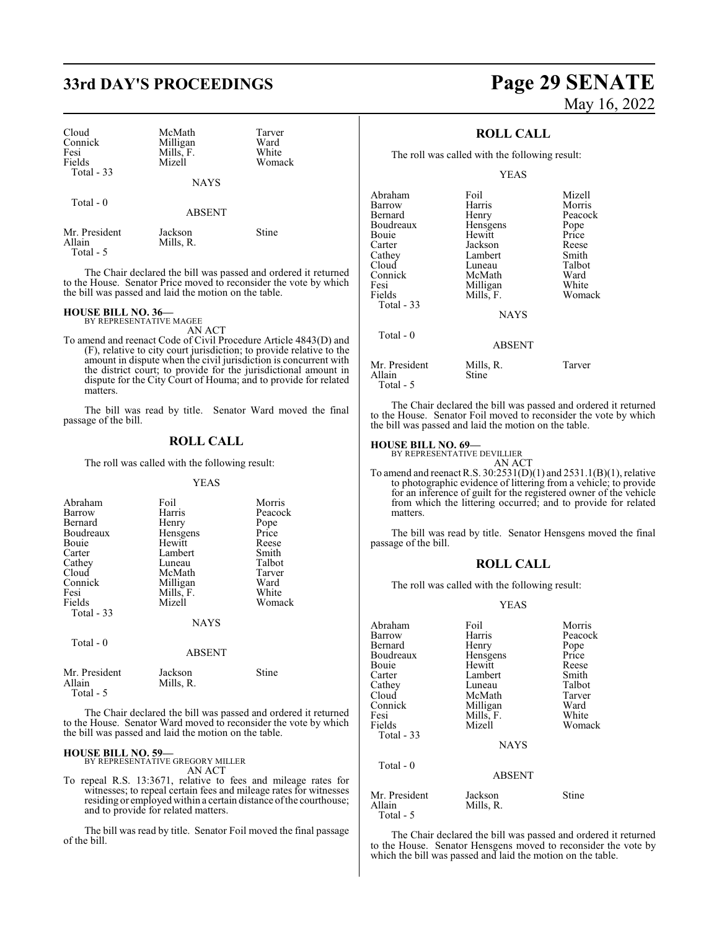# **33rd DAY'S PROCEEDINGS Page 29 SENATE**

| Cloud<br>Connick<br>Fesi<br>Fields<br>Total - 33 | McMath<br>Milligan<br>Mills, F.<br>Mizell | Tarver<br>Ward<br>White<br>Womack |
|--------------------------------------------------|-------------------------------------------|-----------------------------------|
|                                                  | <b>NAYS</b>                               |                                   |
| Total - 0                                        | <b>ABSENT</b>                             |                                   |
| Mr. President                                    | Jackson                                   | $S$ tine                          |

The Chair declared the bill was passed and ordered it returned to the House. Senator Price moved to reconsider the vote by which the bill was passed and laid the motion on the table.

#### **HOUSE BILL NO. 36—**

Allain Mills, R.

Total - 5

BY REPRESENTATIVE MAGEE

AN ACT To amend and reenact Code of Civil Procedure Article 4843(D) and (F), relative to city court jurisdiction; to provide relative to the amount in dispute when the civil jurisdiction is concurrent with the district court; to provide for the jurisdictional amount in dispute for the City Court of Houma; and to provide for related matters.

The bill was read by title. Senator Ward moved the final passage of the bill.

#### **ROLL CALL**

The roll was called with the following result:

#### YEAS

| Abraham<br>Barrow<br>Bernard<br>Boudreaux<br>Bouie<br>Carter<br>Cathey<br>Cloud<br>Connick<br>Fesi | Foil<br>Harris<br>Henry<br>Hensgens<br>Hewitt<br>Lambert<br>Luneau<br>McMath<br>Milligan<br>Mills, F. | Morris<br>Peacock<br>Pope<br>Price<br>Reese<br>Smith<br>Talbot<br>Tarver<br>Ward<br>White |
|----------------------------------------------------------------------------------------------------|-------------------------------------------------------------------------------------------------------|-------------------------------------------------------------------------------------------|
| Fields<br>Total $-33$                                                                              | Mizell<br><b>NAYS</b>                                                                                 | Womack                                                                                    |
| Total - 0                                                                                          | <b>ABSENT</b>                                                                                         |                                                                                           |
| Mr. President<br>Allain                                                                            | Jackson<br>Mills, R.                                                                                  | Stine                                                                                     |

Total - 5

The Chair declared the bill was passed and ordered it returned to the House. Senator Ward moved to reconsider the vote by which the bill was passed and laid the motion on the table.

#### **HOUSE BILL NO. 59—**

BY REPRESENTATIVE GREGORY MILLER AN ACT

To repeal R.S. 13:3671, relative to fees and mileage rates for witnesses; to repeal certain fees and mileage rates for witnesses residing or employed within a certain distance of the courthouse; and to provide for related matters.

The bill was read by title. Senator Foil moved the final passage of the bill.

# May 16, 2022

### **ROLL CALL**

The roll was called with the following result:

YEAS

| Abraham<br>Barrow<br>Bernard<br>Boudreaux<br>Bouie<br>Carter<br>Cathey<br>Cloud<br>Connick<br>Fesi<br>Fields<br>Total $-33$ | Foil<br>Harris<br>Henry<br>Hensgens<br>Hewitt<br>Jackson<br>Lambert<br>Luneau<br>McMath<br>Milligan<br>Mills, F.<br><b>NAYS</b> | Mizell<br>Morris<br>Peacock<br>Pope<br>Price<br>Reese<br>Smith<br>Talbot<br>Ward<br>White<br>Womack |
|-----------------------------------------------------------------------------------------------------------------------------|---------------------------------------------------------------------------------------------------------------------------------|-----------------------------------------------------------------------------------------------------|
| Total $-0$                                                                                                                  | <b>ABSENT</b>                                                                                                                   |                                                                                                     |
| Mr. President<br>Allain                                                                                                     | Mills, R.<br><b>Stine</b>                                                                                                       | Tarver                                                                                              |

Total - 5

The Chair declared the bill was passed and ordered it returned to the House. Senator Foil moved to reconsider the vote by which the bill was passed and laid the motion on the table.

**HOUSE BILL NO. 69—** BY REPRESENTATIVE DEVILLIER AN ACT

To amend and reenact R.S. 30:2531(D)(1) and 2531.1(B)(1), relative to photographic evidence of littering from a vehicle; to provide for an inference of guilt for the registered owner of the vehicle from which the littering occurred; and to provide for related matters.

The bill was read by title. Senator Hensgens moved the final passage of the bill.

#### **ROLL CALL**

The roll was called with the following result:

#### YEAS

| Abraham                 | Foil                 | Morris  |
|-------------------------|----------------------|---------|
| Barrow                  | Harris               | Peacock |
| Bernard                 | Henry                | Pope    |
| Boudreaux               | Hensgens             | Price   |
| Bouie                   | Hewitt               | Reese   |
| Carter                  | Lambert              | Smith   |
| Cathey                  | Luneau               | Talbot  |
| Cloud                   | McMath               | Tarver  |
| Connick                 | Milligan             | Ward    |
| Fesi                    | Mills, F.            | White   |
| Fields                  | Mizell               | Womack  |
| Total - 33              |                      |         |
|                         | <b>NAYS</b>          |         |
| Total $-0$              |                      |         |
|                         | <b>ABSENT</b>        |         |
| Mr. President<br>Allain | Jackson<br>Mills, R. | Stine   |
| Total - 5               |                      |         |

The Chair declared the bill was passed and ordered it returned to the House. Senator Hensgens moved to reconsider the vote by which the bill was passed and laid the motion on the table.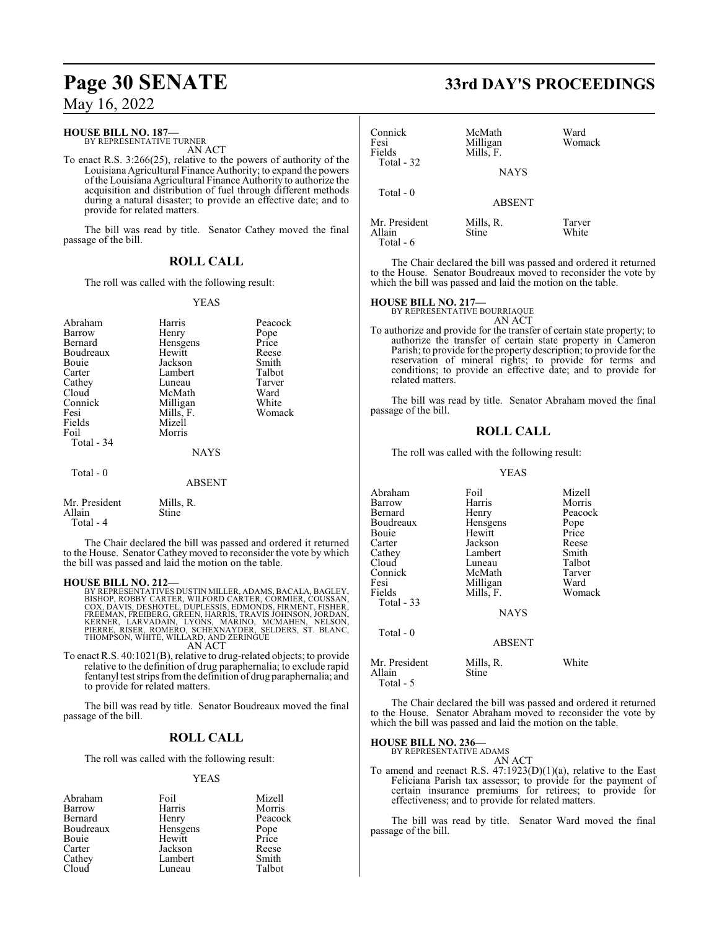#### **HOUSE BILL NO. 187—**

BY REPRESENTATIVE TURNER AN ACT

To enact R.S. 3:266(25), relative to the powers of authority of the Louisiana Agricultural Finance Authority; to expand the powers ofthe Louisiana Agricultural Finance Authority to authorize the acquisition and distribution of fuel through different methods during a natural disaster; to provide an effective date; and to provide for related matters.

The bill was read by title. Senator Cathey moved the final passage of the bill.

#### **ROLL CALL**

The roll was called with the following result:

#### YEAS

| Abraham<br>Barrow<br>Bernard<br>Boudreaux<br>Bouie<br>Carter<br>Cathey<br>Cloud<br>Connick<br>Fesi<br>Fields<br>Foil<br>Total - 34 | Harris<br>Henry<br>Hensgens<br>Hewitt<br>Jackson<br>Lambert<br>Luneau<br>McMath<br>Milligan<br>Mills, F.<br>Mizell<br>Morris<br><b>NAYS</b> | Peacock<br>Pope<br>Price<br>Reese<br>Smith<br>Talbot<br>Tarver<br>Ward<br>White<br>Womack |
|------------------------------------------------------------------------------------------------------------------------------------|---------------------------------------------------------------------------------------------------------------------------------------------|-------------------------------------------------------------------------------------------|
| Total $-0$                                                                                                                         | <b>ABSENT</b>                                                                                                                               |                                                                                           |
| Mr. President                                                                                                                      | Mills, R.                                                                                                                                   |                                                                                           |

Allain Stine Total - 4

The Chair declared the bill was passed and ordered it returned to the House. Senator Cathey moved to reconsider the vote by which the bill was passed and laid the motion on the table.

#### **HOUSE BILL NO. 212—**

BY REPRESENTATIVES DUSTIN MILLER, ADAMS, BACALA, BAGLEY,<br>BISHOP, ROBBY CARTER, WILFORD CARTER, CÔRMIER, COUSSAN,<br>COX, DAVIS, DESHOTEL, DUPLESSIS, EDMONDS, FIRMENT, FISHER,<br>FREEMAN, FREIBERG, GREEN, HARRIS, TRAVIS JOHNSON, THOMPSON, WHITE, WILLARD, AND ZERINGUE AN ACT

To enact R.S. 40:1021(B), relative to drug-related objects; to provide relative to the definition of drug paraphernalia; to exclude rapid fentanyl test strips fromthe definition of drug paraphernalia; and to provide for related matters.

The bill was read by title. Senator Boudreaux moved the final passage of the bill.

#### **ROLL CALL**

The roll was called with the following result:

#### YEAS

| Abraham   | Foil     | Mizell        |
|-----------|----------|---------------|
| Barrow    | Harris   | Morris        |
| Bernard   | Henry    | Peacock       |
| Boudreaux | Hensgens | Pope<br>Price |
| Bouie     | Hewitt   |               |
| Carter    | Jackson  | Reese         |
| Cathey    | Lambert  | Smith         |
| Cloud     | Luneau   | Talbot        |
|           |          |               |

# **Page 30 SENATE 33rd DAY'S PROCEEDINGS**

| Connick<br>Fesi                        | McMath<br>Milligan       | Ward<br>Womack  |  |
|----------------------------------------|--------------------------|-----------------|--|
| Fields<br>Total - 32                   | Mills, F.<br><b>NAYS</b> |                 |  |
| Total $-0$                             | <b>ABSENT</b>            |                 |  |
| Mr. President<br>Allain<br>$Total - 6$ | Mills, R.<br>Stine       | Tarver<br>White |  |

The Chair declared the bill was passed and ordered it returned to the House. Senator Boudreaux moved to reconsider the vote by which the bill was passed and laid the motion on the table.

## **HOUSE BILL NO. 217—** BY REPRESENTATIVE BOURRIAQUE

AN ACT

To authorize and provide for the transfer of certain state property; to authorize the transfer of certain state property in Cameron Parish; to provide for the property description; to provide for the reservation of mineral rights; to provide for terms and conditions; to provide an effective date; and to provide for related matters.

The bill was read by title. Senator Abraham moved the final passage of the bill.

#### **ROLL CALL**

The roll was called with the following result:

#### YEAS

| Abraham       | Foil          | Mizell  |
|---------------|---------------|---------|
| Barrow        | Harris        | Morris  |
| Bernard       | Henry         | Peacock |
| Boudreaux     | Hensgens      | Pope    |
| Bouie         | Hewitt        | Price   |
| Carter        | Jackson       | Reese   |
| Cathey        | Lambert       | Smith   |
| Cloud         | Luneau        | Talbot  |
| Connick       | McMath        | Tarver  |
| Fesi          | Milligan      | Ward    |
| Fields        | Mills, F.     | Womack  |
| Total $-33$   |               |         |
|               | <b>NAYS</b>   |         |
| $Total - 0$   |               |         |
|               | <b>ABSENT</b> |         |
| Mr. President | Mills, R.     | White   |

Allain Stine Total - 5

The Chair declared the bill was passed and ordered it returned to the House. Senator Abraham moved to reconsider the vote by which the bill was passed and laid the motion on the table.

**HOUSE BILL NO. 236—**

BY REPRESENTATIVE ADAMS AN ACT

To amend and reenact R.S.  $47:1923(D)(1)(a)$ , relative to the East Feliciana Parish tax assessor; to provide for the payment of certain insurance premiums for retirees; to provide for effectiveness; and to provide for related matters.

The bill was read by title. Senator Ward moved the final passage of the bill.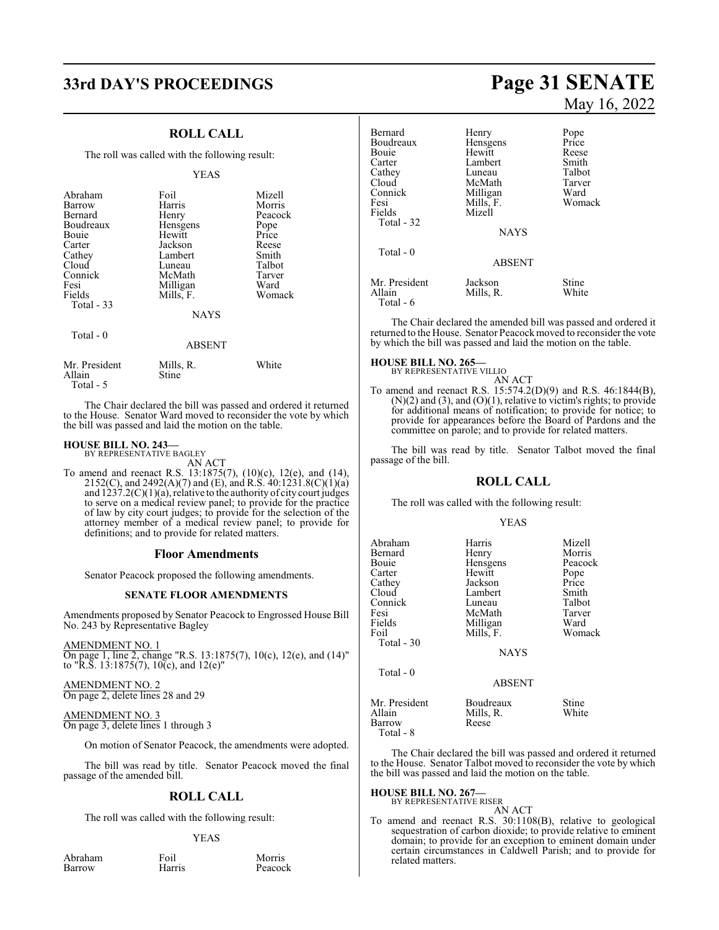# **33rd DAY'S PROCEEDINGS Page 31 SENATE**

#### **ROLL CALL**

The roll was called with the following result:

#### YEAS

| Abraham       | Foil          | Mizell  |
|---------------|---------------|---------|
| Barrow        | Harris        | Morris  |
| Bernard       | Henry         | Peacock |
| Boudreaux     | Hensgens      | Pope    |
| Bouie         | Hewitt        | Price   |
| Carter        | Jackson       | Reese   |
| Cathey        | Lambert       | Smith   |
| Cloud         | Luneau        | Talbot  |
| Connick       | McMath        | Tarver  |
| Fesi          | Milligan      | Ward    |
| Fields        | Mills, F.     | Womack  |
| Total $-33$   |               |         |
|               | <b>NAYS</b>   |         |
| Total $-0$    |               |         |
|               | <b>ABSENT</b> |         |
| Mr. President | Mills, R.     | White   |

Allain Stine Total - 5

The Chair declared the bill was passed and ordered it returned to the House. Senator Ward moved to reconsider the vote by which the bill was passed and laid the motion on the table.

#### **HOUSE BILL NO. 243—**

BY REPRESENTATIVE BAGLEY AN ACT

To amend and reenact R.S. 13:1875(7), (10)(c), 12(e), and (14), 2152(C), and 2492(A)(7) and (E), and R.S. 40:1231.8(C)(1)(a) and  $1237.2(C)(1)(a)$ , relative to the authority of city court judges to serve on a medical review panel; to provide for the practice of law by city court judges; to provide for the selection of the attorney member of a medical review panel; to provide for definitions; and to provide for related matters.

#### **Floor Amendments**

Senator Peacock proposed the following amendments.

#### **SENATE FLOOR AMENDMENTS**

Amendments proposed by Senator Peacock to Engrossed House Bill No. 243 by Representative Bagley

AMENDMENT NO. 1 On page 1, line 2, change "R.S. 13:1875(7), 10(c), 12(e), and (14)" to "R.S. 13:1875(7), 10(c), and 12(e)"

AMENDMENT NO. 2 On page 2, delete lines 28 and 29

AMENDMENT NO. 3 On page 3, delete lines 1 through 3

On motion of Senator Peacock, the amendments were adopted.

The bill was read by title. Senator Peacock moved the final passage of the amended bill.

#### **ROLL CALL**

The roll was called with the following result:

#### YEAS

Abraham Foil Morris<br>
Barrow Harris Peacoc

Peacock

# May 16, 2022

| Bernard<br>Boudreaux<br>Bouie<br>Carter<br>Cathey<br>Cloud<br>Connick<br>Fesi<br>Fields<br>Total - 32 | Henry<br>Hensgens<br>Hewitt<br>Lambert<br>Luneau<br>McMath<br>Milligan<br>Mills, F.<br>Mizell<br><b>NAYS</b> | Pope<br>Price<br>Reese<br>Smith<br>Talbot<br>Tarver<br>Ward<br>Womack |
|-------------------------------------------------------------------------------------------------------|--------------------------------------------------------------------------------------------------------------|-----------------------------------------------------------------------|
| Total $-0$                                                                                            | <b>ABSENT</b>                                                                                                |                                                                       |
| Mr. President<br>Allain<br>Total - 6                                                                  | Jackson<br>Mills, R.                                                                                         | Stine<br>White                                                        |

The Chair declared the amended bill was passed and ordered it returned to the House. Senator Peacockmoved to reconsider the vote by which the bill was passed and laid the motion on the table.

#### **HOUSE BILL NO. 265—**

BY REPRESENTATIVE VILLIO AN ACT

To amend and reenact R.S. 15:574.2(D)(9) and R.S. 46:1844(B), (N)(2) and (3), and (O)(1), relative to victim's rights; to provide for additional means of notification; to provide for notice; to provide for appearances before the Board of Pardons and the committee on parole; and to provide for related matters.

The bill was read by title. Senator Talbot moved the final passage of the bill.

#### **ROLL CALL**

The roll was called with the following result:

#### YEAS

| Harris<br>Henry<br>Hensgens<br>Hewitt<br>Jackson | Mizell<br>Morris<br>Peacock<br>Pope<br>Price<br>Smith |
|--------------------------------------------------|-------------------------------------------------------|
|                                                  | Talbot                                                |
| McMath<br>Milligan<br>Mills, F.                  | Tarver<br>Ward<br>Womack                              |
| <b>NAYS</b>                                      |                                                       |
| <b>ABSENT</b>                                    |                                                       |
|                                                  | Lambert<br>Luneau                                     |

Mr. President Boudreaux Stine<br>
Allain Mills, R. White Mills, R.<br>Reese **Barrow** Total - 8

The Chair declared the bill was passed and ordered it returned to the House. Senator Talbot moved to reconsider the vote by which the bill was passed and laid the motion on the table.

# **HOUSE BILL NO. 267—** BY REPRESENTATIVE RISER

AN ACT

To amend and reenact R.S. 30:1108(B), relative to geological sequestration of carbon dioxide; to provide relative to eminent domain; to provide for an exception to eminent domain under certain circumstances in Caldwell Parish; and to provide for related matters.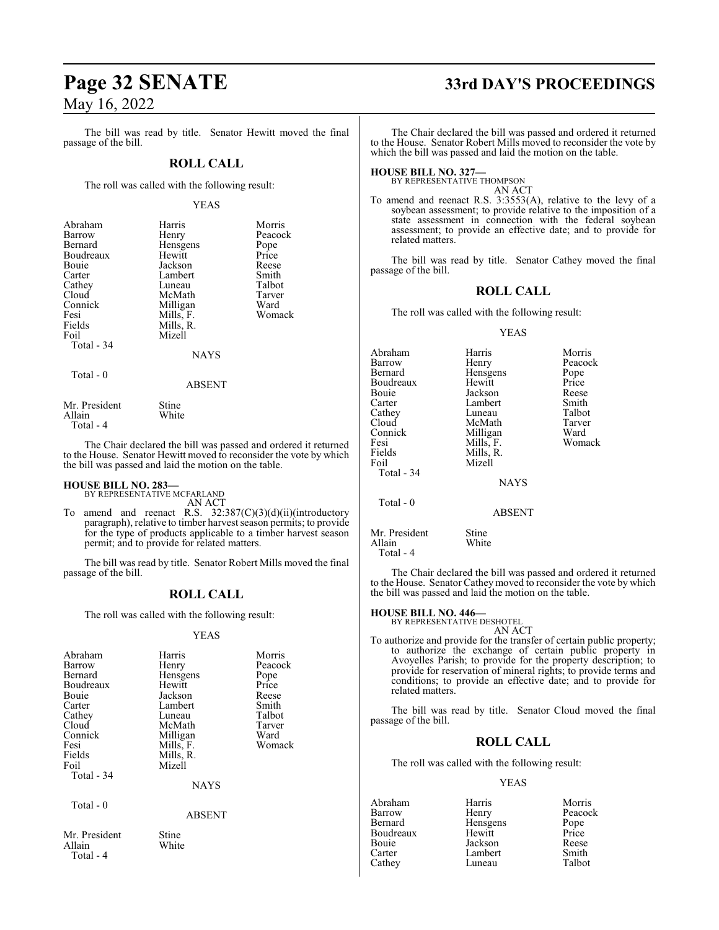The bill was read by title. Senator Hewitt moved the final passage of the bill.

#### **ROLL CALL**

The roll was called with the following result:

#### YEAS

| Abraham<br>Barrow<br>Bernard<br>Boudreaux<br><b>Bouje</b><br>Carter<br>Cathey<br>Cloud<br>Connick<br>Fesi<br>Fields | Harris<br>Henry<br>Hensgens<br>Hewitt<br>Jackson<br>Lambert<br>Luneau<br>McMath<br>Milligan<br>Mills, F.<br>Mills, R. | Morris<br>Peacock<br>Pope<br>Price<br>Reese<br>Smith<br>Talbot<br>Tarver<br>Ward<br>Womack |
|---------------------------------------------------------------------------------------------------------------------|-----------------------------------------------------------------------------------------------------------------------|--------------------------------------------------------------------------------------------|
| Foil                                                                                                                | Mizell                                                                                                                |                                                                                            |
| Total - 34                                                                                                          |                                                                                                                       |                                                                                            |
|                                                                                                                     | <b>NAYS</b>                                                                                                           |                                                                                            |
| Total - 0                                                                                                           | ABSENT                                                                                                                |                                                                                            |

Mr. President Stine<br>Allain White White Total - 4

The Chair declared the bill was passed and ordered it returned to the House. Senator Hewitt moved to reconsider the vote by which the bill was passed and laid the motion on the table.

# **HOUSE BILL NO. 283—** BY REPRESENTATIVE MCFARLAND

AN ACT

To amend and reenact R.S. 32:387(C)(3)(d)(ii)(introductory paragraph), relative to timber harvest season permits; to provide for the type of products applicable to a timber harvest season permit; and to provide for related matters.

The bill was read by title. Senator Robert Mills moved the final passage of the bill.

#### **ROLL CALL**

The roll was called with the following result:

#### YEAS

| Abraham                                                | Harris        | Morris  |
|--------------------------------------------------------|---------------|---------|
| Barrow                                                 | Henry         | Peacock |
| Bernard                                                | Hensgens      | Pope    |
| Boudreaux                                              | Hewitt        | Price   |
| Bouie                                                  | Jackson       | Reese   |
| Carter                                                 | Lambert       | Smith   |
| Cathey                                                 | Luneau        | Talbot  |
| Cloud                                                  | McMath        | Tarver  |
| Connick                                                | Milligan      | Ward    |
| Fesi                                                   | Mills, F.     | Womack  |
| Fields                                                 | Mills, R.     |         |
| Foil                                                   | Mizell        |         |
| Total $-34$                                            |               |         |
|                                                        | <b>NAYS</b>   |         |
| Total - 0                                              |               |         |
|                                                        | <b>ABSENT</b> |         |
| $\mathbf{r}$ $\mathbf{r}$ $\mathbf{r}$<br>$\mathbf{r}$ | $\sim$        |         |

Mr. President Stine<br>Allain White Allain Total - 4

# **Page 32 SENATE 33rd DAY'S PROCEEDINGS**

The Chair declared the bill was passed and ordered it returned to the House. Senator Robert Mills moved to reconsider the vote by which the bill was passed and laid the motion on the table.

### **HOUSE BILL NO. 327—**

BY REPRESENTATIVE THOMPSON AN ACT

To amend and reenact R.S. 3:3553(A), relative to the levy of a soybean assessment; to provide relative to the imposition of a state assessment in connection with the federal soybean assessment; to provide an effective date; and to provide for related matters.

The bill was read by title. Senator Cathey moved the final passage of the bill.

#### **ROLL CALL**

The roll was called with the following result:

#### YEAS

| Abraham<br>Barrow<br>Bernard<br>Boudreaux<br>Bouie<br>Carter<br>Cathey<br>Cloud<br>Connick | Harris<br>Henry<br>Hensgens<br>Hewitt<br>Jackson<br>Lambert<br>Luneau<br>McMath<br>Milligan | Morris<br>Peacock<br>Pope<br>Price<br>Reese<br>Smith<br>Talbot<br>Tarver<br>Ward |
|--------------------------------------------------------------------------------------------|---------------------------------------------------------------------------------------------|----------------------------------------------------------------------------------|
| Fesi<br>Fields<br>Foil<br>Total - 34                                                       | Mills, F.<br>Mills, R.<br>Mizell<br><b>NAYS</b>                                             | Womack                                                                           |
| Total - 0                                                                                  | <b>ABSENT</b>                                                                               |                                                                                  |
| Mr. President<br>Allain                                                                    | Stine<br>White                                                                              |                                                                                  |

Total - 4

The Chair declared the bill was passed and ordered it returned to the House. Senator Cathey moved to reconsider the vote by which the bill was passed and laid the motion on the table.

## **HOUSE BILL NO. 446—** BY REPRESENTATIVE DESHOTEL

AN ACT

To authorize and provide for the transfer of certain public property; to authorize the exchange of certain public property in Avoyelles Parish; to provide for the property description; to provide for reservation of mineral rights; to provide terms and conditions; to provide an effective date; and to provide for related matters.

The bill was read by title. Senator Cloud moved the final passage of the bill.

### **ROLL CALL**

The roll was called with the following result:

#### YEAS

Abraham Harris Morris Barrow Henry<br>Rernard Henso Hensgens Pope<br>Hewitt Price Boudreaux Hewitt Price<br>
Bouie Jackson Reese Bouie Jackson Reese Lambert Smith<br>
Luneau Talbot Cathey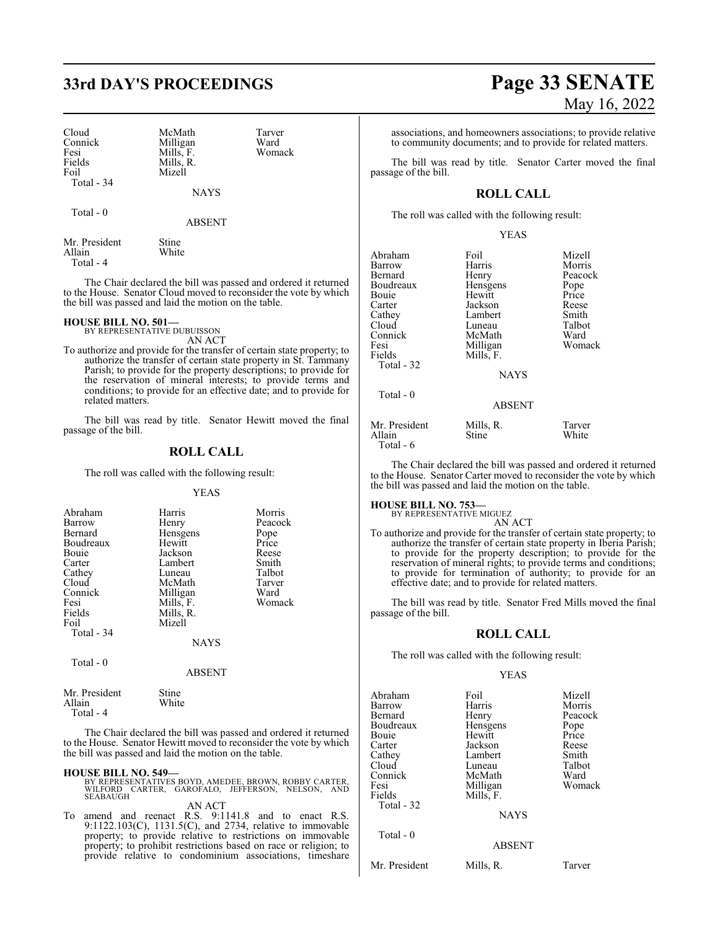# **33rd DAY'S PROCEEDINGS Page 33 SENATE**

| Cloud      |  |
|------------|--|
| Connick    |  |
| Fesi       |  |
| Fields     |  |
| Foil       |  |
| Total - 34 |  |
|            |  |

Total - 0

McMath Tarver<br>
Milligan Ward Milligan Ward<br>
Mills, F. Womack  $Mills, F.$ Mills, R. Mizell

NAYS

ABSENT

| Mr. President | Stine |
|---------------|-------|
| Allain        | White |
| Total - 4     |       |

The Chair declared the bill was passed and ordered it returned to the House. Senator Cloud moved to reconsider the vote by which the bill was passed and laid the motion on the table.

#### **HOUSE BILL NO. 501—**

BY REPRESENTATIVE DUBUISSON AN ACT

To authorize and provide for the transfer of certain state property; to authorize the transfer of certain state property in St. Tammany Parish; to provide for the property descriptions; to provide for the reservation of mineral interests; to provide terms and conditions; to provide for an effective date; and to provide for related matters.

The bill was read by title. Senator Hewitt moved the final passage of the bill.

#### **ROLL CALL**

The roll was called with the following result:

#### YEAS

| Abraham<br>Barrow<br>Bernard<br>Boudreaux<br><b>Bouje</b><br>Carter<br>Cathey<br>Cloud<br>Connick<br>Fesi<br>Fields<br>Foil<br>Total - 34 | Harris<br>Henry<br>Hensgens<br>Hewitt<br>Jackson<br>Lambert<br>Luneau<br>McMath<br>Milligan<br>Mills, F.<br>Mills, R.<br>Mizell<br><b>NAYS</b> | Morris<br>Peacock<br>Pope<br>Price<br>Reese<br>Smith<br>Talbot<br>Tarver<br>Ward<br>Womack |
|-------------------------------------------------------------------------------------------------------------------------------------------|------------------------------------------------------------------------------------------------------------------------------------------------|--------------------------------------------------------------------------------------------|
| Total - 0                                                                                                                                 |                                                                                                                                                |                                                                                            |

| Mr. President | Stine |
|---------------|-------|
| Allain        | White |
| Total - 4     |       |

The Chair declared the bill was passed and ordered it returned to the House. Senator Hewitt moved to reconsider the vote by which the bill was passed and laid the motion on the table.

ABSENT

**HOUSE BILL NO. 549—** BY REPRESENTATIVES BOYD, AMEDEE, BROWN, ROBBY CARTER, WILFORD CARTER, GAROFALO, JEFFERSON, NELSON, AND **SEABAUGH** AN ACT

To amend and reenact R.S. 9:1141.8 and to enact R.S. 9:1122.103(C), 1131.5(C), and 2734, relative to immovable property; to provide relative to restrictions on immovable property; to prohibit restrictions based on race or religion; to provide relative to condominium associations, timeshare

# May 16, 2022

associations, and homeowners associations; to provide relative to community documents; and to provide for related matters.

The bill was read by title. Senator Carter moved the final passage of the bill.

### **ROLL CALL**

The roll was called with the following result:

|--|

| Abraham<br>Barrow<br>Bernard<br>Boudreaux<br>Bouie<br>Carter<br>Cathey<br>Cloud<br>Connick<br>Fesi<br>Fields<br>Total - 32 | Foil<br>Harris<br>Henry<br>Hensgens<br>Hewitt<br>Jackson<br>Lambert<br>Luneau<br>McMath<br>Milligan<br>Mills, F.<br><b>NAYS</b> | Mizell<br>Morris<br>Peacock<br>Pope<br>Price<br>Reese<br>Smith<br>Talbot<br>Ward<br>Womack |
|----------------------------------------------------------------------------------------------------------------------------|---------------------------------------------------------------------------------------------------------------------------------|--------------------------------------------------------------------------------------------|
| Total $-0$                                                                                                                 | <b>ABSENT</b>                                                                                                                   |                                                                                            |
| Mr. President<br>Allain                                                                                                    | Mills, R.<br>Stine                                                                                                              | Tarver<br>White                                                                            |

Total - 6

The Chair declared the bill was passed and ordered it returned to the House. Senator Carter moved to reconsider the vote by which the bill was passed and laid the motion on the table.

#### **HOUSE BILL NO. 753—**

BY REPRESENTATIVE MIGUEZ

AN ACT To authorize and provide for the transfer of certain state property; to authorize the transfer of certain state property in Iberia Parish; to provide for the property description; to provide for the reservation of mineral rights; to provide terms and conditions; to provide for termination of authority; to provide for an effective date; and to provide for related matters.

The bill was read by title. Senator Fred Mills moved the final passage of the bill.

#### **ROLL CALL**

The roll was called with the following result:

#### YEAS

| Foil          | Mizell                            |
|---------------|-----------------------------------|
| Harris        | Morris                            |
| Henry         | Peacock                           |
|               | Pope                              |
| Hewitt        | Price                             |
| Jackson       | Reese                             |
| Lambert       | Smith                             |
| Luneau        | Talbot                            |
| McMath        | Ward                              |
|               | Womack                            |
|               |                                   |
|               |                                   |
| <b>NAYS</b>   |                                   |
|               |                                   |
| <b>ABSENT</b> |                                   |
| Mills, R.     | Tarver                            |
|               | Hensgens<br>Milligan<br>Mills, F. |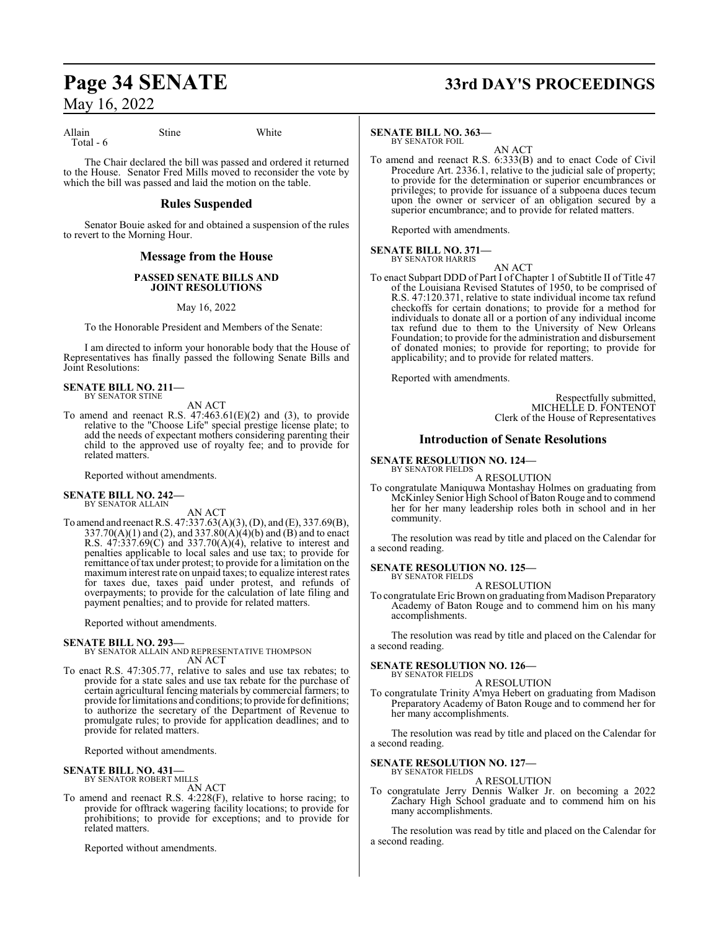Allain Stine White Total - 6

The Chair declared the bill was passed and ordered it returned to the House. Senator Fred Mills moved to reconsider the vote by which the bill was passed and laid the motion on the table.

#### **Rules Suspended**

Senator Bouie asked for and obtained a suspension of the rules to revert to the Morning Hour.

#### **Message from the House**

#### **PASSED SENATE BILLS AND JOINT RESOLUTIONS**

May 16, 2022

To the Honorable President and Members of the Senate:

I am directed to inform your honorable body that the House of Representatives has finally passed the following Senate Bills and Joint Resolutions:

**SENATE BILL NO. 211—** BY SENATOR STINE

AN ACT

To amend and reenact R.S.  $47:463.61(E)(2)$  and (3), to provide relative to the "Choose Life" special prestige license plate; to add the needs of expectant mothers considering parenting their child to the approved use of royalty fee; and to provide for related matters.

Reported without amendments.

#### **SENATE BILL NO. 242—** BY SENATOR ALLAIN

AN ACT

To amend and reenact R.S. 47:337.63(A)(3), (D), and (E), 337.69(B), 337.70(A)(1) and (2), and 337.80(A)(4)(b) and (B) and to enact R.S. 47:337.69(C) and 337.70(A)(4), relative to interest and penalties applicable to local sales and use tax; to provide for remittance oftax under protest; to provide for a limitation on the maximum interest rate on unpaid taxes; to equalize interest rates for taxes due, taxes paid under protest, and refunds of overpayments; to provide for the calculation of late filing and payment penalties; and to provide for related matters.

Reported without amendments.

#### **SENATE BILL NO. 293—**

BY SENATOR ALLAIN AND REPRESENTATIVE THOMPSON AN ACT

To enact R.S. 47:305.77, relative to sales and use tax rebates; to provide for a state sales and use tax rebate for the purchase of certain agricultural fencing materials by commercial farmers; to provide for limitations and conditions; to provide for definitions; to authorize the secretary of the Department of Revenue to promulgate rules; to provide for application deadlines; and to provide for related matters.

Reported without amendments.

#### **SENATE BILL NO. 431—** BY SENATOR ROBERT MILLS

AN ACT

To amend and reenact R.S. 4:228(F), relative to horse racing; to provide for offtrack wagering facility locations; to provide for prohibitions; to provide for exceptions; and to provide for related matters.

Reported without amendments.

# **Page 34 SENATE 33rd DAY'S PROCEEDINGS**

#### **SENATE BILL NO. 363—**

BY SENATOR FOIL AN ACT

To amend and reenact R.S. 6:333(B) and to enact Code of Civil Procedure Art. 2336.1, relative to the judicial sale of property; to provide for the determination or superior encumbrances or privileges; to provide for issuance of a subpoena duces tecum upon the owner or servicer of an obligation secured by a superior encumbrance; and to provide for related matters.

Reported with amendments.

**SENATE BILL NO. 371—** BY SENATOR HARRIS

AN ACT

To enact Subpart DDD of Part I of Chapter 1 of Subtitle II of Title 47 of the Louisiana Revised Statutes of 1950, to be comprised of R.S. 47:120.371, relative to state individual income tax refund checkoffs for certain donations; to provide for a method for individuals to donate all or a portion of any individual income tax refund due to them to the University of New Orleans Foundation; to provide for the administration and disbursement of donated monies; to provide for reporting; to provide for applicability; and to provide for related matters.

Reported with amendments.

Respectfully submitted, MICHELLE D. FONTENOT Clerk of the House of Representatives

#### **Introduction of Senate Resolutions**

#### **SENATE RESOLUTION NO. 124—** BY SENATOR FIELDS

A RESOLUTION

To congratulate Maniquwa Montashay Holmes on graduating from McKinley Senior High School of Baton Rouge and to commend her for her many leadership roles both in school and in her community.

The resolution was read by title and placed on the Calendar for a second reading.

#### **SENATE RESOLUTION NO. 125—** BY SENATOR FIELDS

A RESOLUTION

To congratulate Eric Brown on graduating from Madison Preparatory Academy of Baton Rouge and to commend him on his many accomplishments.

The resolution was read by title and placed on the Calendar for a second reading.

#### **SENATE RESOLUTION NO. 126—** BY SENATOR FIELDS

A RESOLUTION

To congratulate Trinity A'mya Hebert on graduating from Madison Preparatory Academy of Baton Rouge and to commend her for her many accomplishments.

The resolution was read by title and placed on the Calendar for a second reading.

#### **SENATE RESOLUTION NO. 127—** BY SENATOR FIELDS

A RESOLUTION

To congratulate Jerry Dennis Walker Jr. on becoming a 2022 Zachary High School graduate and to commend him on his many accomplishments.

The resolution was read by title and placed on the Calendar for a second reading.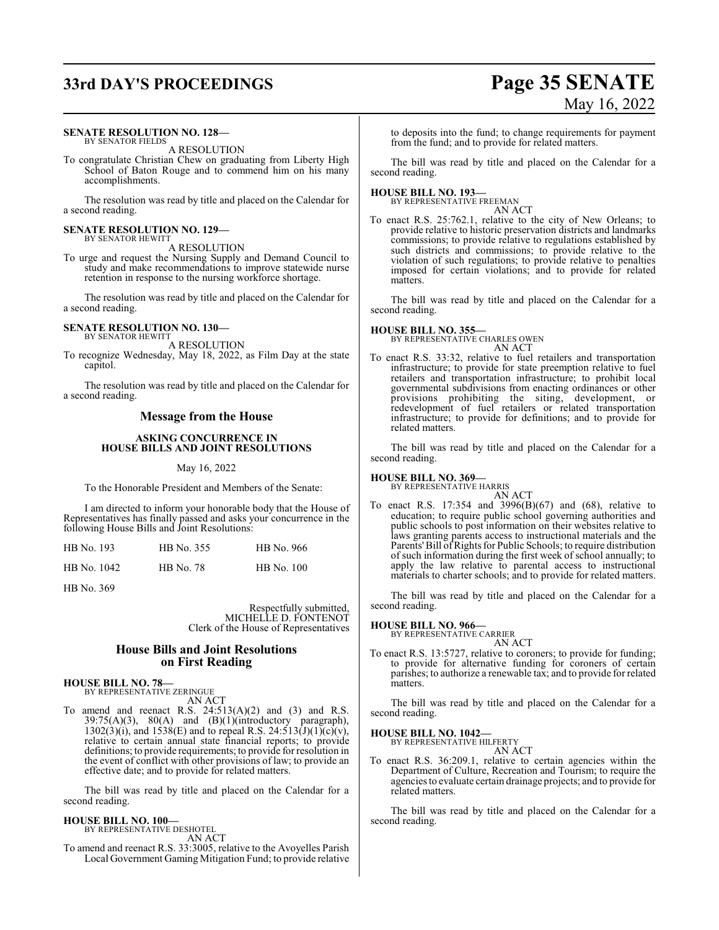#### **SENATE RESOLUTION NO. 128—** BY SENATOR FIELDS

A RESOLUTION

To congratulate Christian Chew on graduating from Liberty High School of Baton Rouge and to commend him on his many accomplishments.

The resolution was read by title and placed on the Calendar for a second reading.

#### **SENATE RESOLUTION NO. 129—** BY SENATOR HEWITT

A RESOLUTION

To urge and request the Nursing Supply and Demand Council to study and make recommendations to improve statewide nurse retention in response to the nursing workforce shortage.

The resolution was read by title and placed on the Calendar for a second reading.

#### **SENATE RESOLUTION NO. 130—** BY SENATOR HEWITT

A RESOLUTION

To recognize Wednesday, May 18, 2022, as Film Day at the state capitol.

The resolution was read by title and placed on the Calendar for a second reading.

#### **Message from the House**

#### **ASKING CONCURRENCE IN HOUSE BILLS AND JOINT RESOLUTIONS**

May 16, 2022

To the Honorable President and Members of the Senate:

I am directed to inform your honorable body that the House of Representatives has finally passed and asks your concurrence in the following House Bills and Joint Resolutions:

| HB No. 193  | HB No. 355 | HB No. 966 |
|-------------|------------|------------|
| HB No. 1042 | HB No. 78  | HB No. 100 |

HB No. 369

Respectfully submitted, MICHELLE D. FONTENOT Clerk of the House of Representatives

#### **House Bills and Joint Resolutions on First Reading**

**HOUSE BILL NO. 78—** BY REPRESENTATIVE ZERINGUE

AN ACT

To amend and reenact R.S.  $24:513(A)(2)$  and  $(3)$  and R.S.  $39:75(A)(3)$ ,  $80(A)$  and  $(B)(1)(introductory)$  paragraph),  $1302(\overline{3})(i)$ , and  $1538(E)$  and to repeal R.S.  $24:513(\overline{J})(1)\overline{(c)}(v)$ , relative to certain annual state financial reports; to provide definitions; to provide requirements; to provide for resolution in the event of conflict with other provisions of law; to provide an effective date; and to provide for related matters.

The bill was read by title and placed on the Calendar for a second reading.

#### **HOUSE BILL NO. 100—** BY REPRESENTATIVE DESHOTEL

AN ACT

To amend and reenact R.S. 33:3005, relative to the Avoyelles Parish Local Government Gaming Mitigation Fund; to provide relative

to deposits into the fund; to change requirements for payment from the fund; and to provide for related matters.

The bill was read by title and placed on the Calendar for a second reading.

**HOUSE BILL NO. 193—** BY REPRESENTATIVE FREEMAN

- AN ACT
- To enact R.S. 25:762.1, relative to the city of New Orleans; to provide relative to historic preservation districts and landmarks commissions; to provide relative to regulations established by such districts and commissions; to provide relative to the violation of such regulations; to provide relative to penalties imposed for certain violations; and to provide for related matters.

The bill was read by title and placed on the Calendar for a second reading.

**HOUSE BILL NO. 355—** BY REPRESENTATIVE CHARLES OWEN

AN ACT

To enact R.S. 33:32, relative to fuel retailers and transportation infrastructure; to provide for state preemption relative to fuel retailers and transportation infrastructure; to prohibit local governmental subdivisions from enacting ordinances or other provisions prohibiting the siting, development, or redevelopment of fuel retailers or related transportation infrastructure; to provide for definitions; and to provide for related matters.

The bill was read by title and placed on the Calendar for a second reading.

# **HOUSE BILL NO. 369—** BY REPRESENTATIVE HARRIS

AN ACT

To enact R.S. 17:354 and 3996(B)(67) and (68), relative to education; to require public school governing authorities and public schools to post information on their websites relative to laws granting parents access to instructional materials and the Parents' Bill of Rights for Public Schools; to require distribution of such information during the first week of school annually; to apply the law relative to parental access to instructional materials to charter schools; and to provide for related matters.

The bill was read by title and placed on the Calendar for a second reading.

# **HOUSE BILL NO. 966—** BY REPRESENTATIVE CARRIER

AN ACT

To enact R.S. 13:5727, relative to coroners; to provide for funding; to provide for alternative funding for coroners of certain parishes; to authorize a renewable tax; and to provide for related matters.

The bill was read by title and placed on the Calendar for a second reading.

#### **HOUSE BILL NO. 1042—**

BY REPRESENTATIVE HILFERTY AN ACT

To enact R.S. 36:209.1, relative to certain agencies within the Department of Culture, Recreation and Tourism; to require the agencies to evaluate certain drainage projects; and to provide for related matters.

The bill was read by title and placed on the Calendar for a second reading.

# **33rd DAY'S PROCEEDINGS Page 35 SENATE** May 16, 2022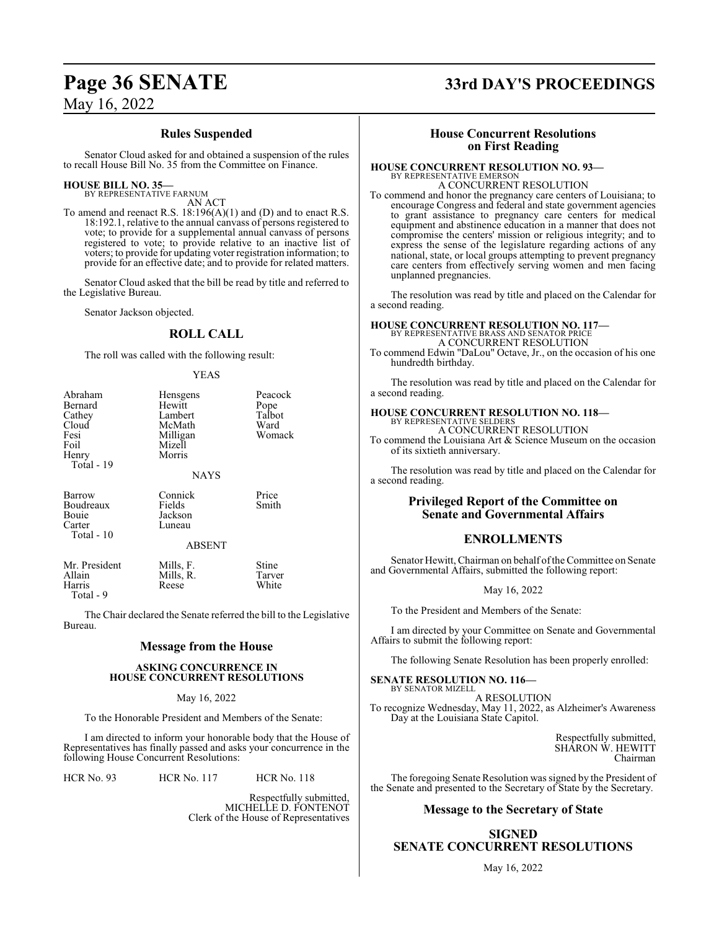#### **Rules Suspended**

Senator Cloud asked for and obtained a suspension of the rules to recall House Bill No. 35 from the Committee on Finance.

#### **HOUSE BILL NO. 35—** BY REPRESENTATIVE FARNUM

AN ACT

To amend and reenact R.S.  $18:196(A)(1)$  and (D) and to enact R.S. 18:192.1, relative to the annual canvass of persons registered to vote; to provide for a supplemental annual canvass of persons registered to vote; to provide relative to an inactive list of voters; to provide for updating voter registration information; to provide for an effective date; and to provide for related matters.

Senator Cloud asked that the bill be read by title and referred to the Legislative Bureau.

Senator Jackson objected.

#### **ROLL CALL**

The roll was called with the following result:

#### YEAS

| Abraham<br>Bernard<br>Cathey<br>Cloud<br>Fesi<br>Foil<br>Henry<br>Total - 19 | Hensgens<br>Hewitt<br>Lambert<br>McMath<br>Milligan<br>Mizell<br>Morris<br><b>NAYS</b> | Peacock<br>Pope<br>Talbot<br>Ward<br>Womack |
|------------------------------------------------------------------------------|----------------------------------------------------------------------------------------|---------------------------------------------|
| Barrow<br>Boudreaux<br>Bouie<br>Carter<br>Total - 10                         | Connick<br>Fields<br>Jackson<br>Luneau<br><b>ABSENT</b>                                | Price<br>Smith                              |
| Mr. President<br>Allain<br>Harris<br>Total - 9                               | Mills, F.<br>Mills, R.<br>Reese                                                        | Stine<br>Tarver<br>White                    |

The Chair declared the Senate referred the bill to the Legislative Bureau.

#### **Message from the House**

#### **ASKING CONCURRENCE IN HOUSE CONCURRENT RESOLUTIONS**

May 16, 2022

To the Honorable President and Members of the Senate:

I am directed to inform your honorable body that the House of Representatives has finally passed and asks your concurrence in the following House Concurrent Resolutions:

HCR No. 93 HCR No. 117 HCR No. 118

Respectfully submitted, MICHELLE D. FONTENOT Clerk of the House of Representatives

# **Page 36 SENATE 33rd DAY'S PROCEEDINGS**

### **House Concurrent Resolutions on First Reading**

#### **HOUSE CONCURRENT RESOLUTION NO. 93—** BY REPRESENTATIVE EMERSON

A CONCURRENT RESOLUTION To commend and honor the pregnancy care centers of Louisiana; to encourage Congress and federal and state government agencies to grant assistance to pregnancy care centers for medical equipment and abstinence education in a manner that does not compromise the centers' mission or religious integrity; and to express the sense of the legislature regarding actions of any national, state, or local groups attempting to prevent pregnancy care centers from effectively serving women and men facing unplanned pregnancies.

The resolution was read by title and placed on the Calendar for a second reading.

#### **HOUSE CONCURRENT RESOLUTION NO. 117—** BY REPRESENTATIVE BRASS AND SENATOR PRICE A CONCURRENT RESOLUTION

To commend Edwin "DaLou" Octave, Jr., on the occasion of his one hundredth birthday.

The resolution was read by title and placed on the Calendar for a second reading.

# **HOUSE CONCURRENT RESOLUTION NO. 118—** BY REPRESENTATIVE SELDERS

A CONCURRENT RESOLUTION

To commend the Louisiana Art & Science Museum on the occasion of its sixtieth anniversary.

The resolution was read by title and placed on the Calendar for a second reading.

### **Privileged Report of the Committee on Senate and Governmental Affairs**

## **ENROLLMENTS**

Senator Hewitt, Chairman on behalf of the Committee on Senate and Governmental Affairs, submitted the following report:

May 16, 2022

To the President and Members of the Senate:

I am directed by your Committee on Senate and Governmental Affairs to submit the following report:

The following Senate Resolution has been properly enrolled:

**SENATE RESOLUTION NO. 116—** BY SENATOR MIZELL A RESOLUTION To recognize Wednesday, May 11, 2022, as Alzheimer's Awareness Day at the Louisiana State Capitol.

> Respectfully submitted, SHARON W. HEWITT Chairman

The foregoing Senate Resolution was signed by the President of the Senate and presented to the Secretary of State by the Secretary.

#### **Message to the Secretary of State**

**SIGNED SENATE CONCURRENT RESOLUTIONS**

May 16, 2022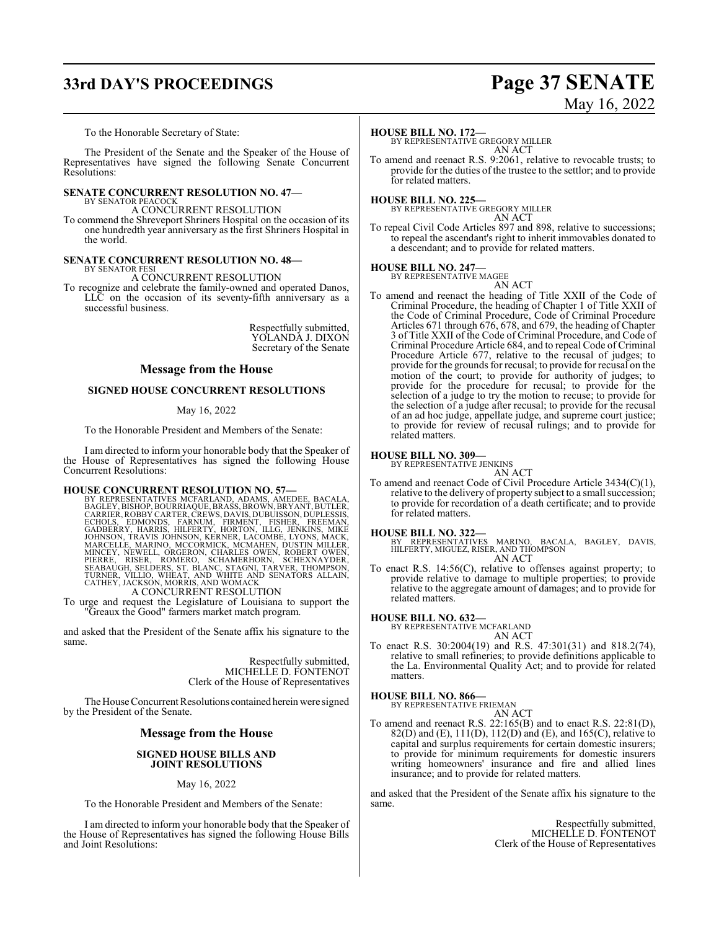# **33rd DAY'S PROCEEDINGS Page 37 SENATE**

# May 16, 2022

To the Honorable Secretary of State:

The President of the Senate and the Speaker of the House of Representatives have signed the following Senate Concurrent Resolutions:

#### **SENATE CONCURRENT RESOLUTION NO. 47—** BY SENATOR PEACOCK

A CONCURRENT RESOLUTION

To commend the Shreveport Shriners Hospital on the occasion of its one hundredth year anniversary as the first Shriners Hospital in the world.

#### **SENATE CONCURRENT RESOLUTION NO. 48—** BY SENATOR FESI

A CONCURRENT RESOLUTION

To recognize and celebrate the family-owned and operated Danos, LLC on the occasion of its seventy-fifth anniversary as a successful business.

> Respectfully submitted, YOLANDA J. DIXON Secretary of the Senate

#### **Message from the House**

#### **SIGNED HOUSE CONCURRENT RESOLUTIONS**

#### May 16, 2022

To the Honorable President and Members of the Senate:

I am directed to inform your honorable body that the Speaker of the House of Representatives has signed the following House Concurrent Resolutions:

HOUSE CONCURRENT RESOLUTION NO. 57—<br>BY REPRESENTATIVES MCFARLAND, ADAMS, AMEDEE, BACALA,<br>BAGLEY, BISHOP, BOURRIAQUE, BRASS, BROWN, BRYANT, BUTLER,<br>CARRIER, ROBBY CARTER, CREWS, DAVIS, DUBUISSON, DÚPLESSIS,<br>ECHOLS, EDMONDS, MARCELLE, MARINO, MCCORMICK, MCMAHEN, DUSTIN MILLER,<br>MINCEY, NEWELL, ORGERON, CHARLES OWEN, ROBERT OWEN,<br>PIERRE, RISER, ROMERO, SCHAMERHORN, SCHEXNAYDER,<br>SEABAUGH, SELDERS, ST. BLANC, STAGNI, TARVER, THOMPSON,<br>TURNER, JACK

A CONCURRENT RESOLUTION

To urge and request the Legislature of Louisiana to support the "Greaux the Good" farmers market match program.

and asked that the President of the Senate affix his signature to the same.

> Respectfully submitted, MICHELLE D. FONTENOT Clerk of the House of Representatives

The House Concurrent Resolutions contained herein were signed by the President of the Senate.

#### **Message from the House**

#### **SIGNED HOUSE BILLS AND JOINT RESOLUTIONS**

#### May 16, 2022

To the Honorable President and Members of the Senate:

I am directed to inform your honorable body that the Speaker of the House of Representatives has signed the following House Bills and Joint Resolutions:

#### **HOUSE BILL NO. 172—**

BY REPRESENTATIVE GREGORY MILLER AN ACT

To amend and reenact R.S. 9:2061, relative to revocable trusts; to provide for the duties of the trustee to the settlor; and to provide for related matters.

**HOUSE BILL NO. 225—** BY REPRESENTATIVE GREGORY MILLER AN ACT

To repeal Civil Code Articles 897 and 898, relative to successions; to repeal the ascendant's right to inherit immovables donated to a descendant; and to provide for related matters.

# **HOUSE BILL NO. 247—** BY REPRESENTATIVE MAGEE

AN ACT

To amend and reenact the heading of Title XXII of the Code of Criminal Procedure, the heading of Chapter 1 of Title XXII of the Code of Criminal Procedure, Code of Criminal Procedure Articles 671 through 676, 678, and 679, the heading of Chapter 3 of Title XXII of the Code of Criminal Procedure, and Code of Criminal Procedure Article 684, and to repeal Code of Criminal Procedure Article 677, relative to the recusal of judges; to provide for the grounds for recusal; to provide for recusal on the motion of the court; to provide for authority of judges; to provide for the procedure for recusal; to provide for the selection of a judge to try the motion to recuse; to provide for the selection of a judge after recusal; to provide for the recusal of an ad hoc judge, appellate judge, and supreme court justice; to provide for review of recusal rulings; and to provide for related matters.

#### **HOUSE BILL NO. 309—**

BY REPRESENTATIVE JENKINS

AN ACT To amend and reenact Code of Civil Procedure Article 3434(C)(1), relative to the delivery of property subject to a small succession; to provide for recordation of a death certificate; and to provide for related matters.

#### **HOUSE BILL NO. 322—**

BY REPRESENTATIVES MARINO, BACALA, BAGLEY, DAVIS, HILFERTY, MIGUEZ, RISER, AND THOMPSON AN ACT

To enact R.S. 14:56(C), relative to offenses against property; to provide relative to damage to multiple properties; to provide relative to the aggregate amount of damages; and to provide for related matters.

### **HOUSE BILL NO. 632—**

BY REPRESENTATIVE MCFARLAND AN ACT

To enact R.S. 30:2004(19) and R.S. 47:301(31) and 818.2(74), relative to small refineries; to provide definitions applicable to the La. Environmental Quality Act; and to provide for related matters.

# **HOUSE BILL NO. 866—** BY REPRESENTATIVE FRIEMAN

AN ACT

To amend and reenact R.S. 22:165(B) and to enact R.S. 22:81(D), 82(D) and (E), 111(D), 112(D) and (E), and 165(C), relative to capital and surplus requirements for certain domestic insurers; to provide for minimum requirements for domestic insurers writing homeowners' insurance and fire and allied lines insurance; and to provide for related matters.

and asked that the President of the Senate affix his signature to the same.

> Respectfully submitted, MICHELLE D. FONTENOT Clerk of the House of Representatives